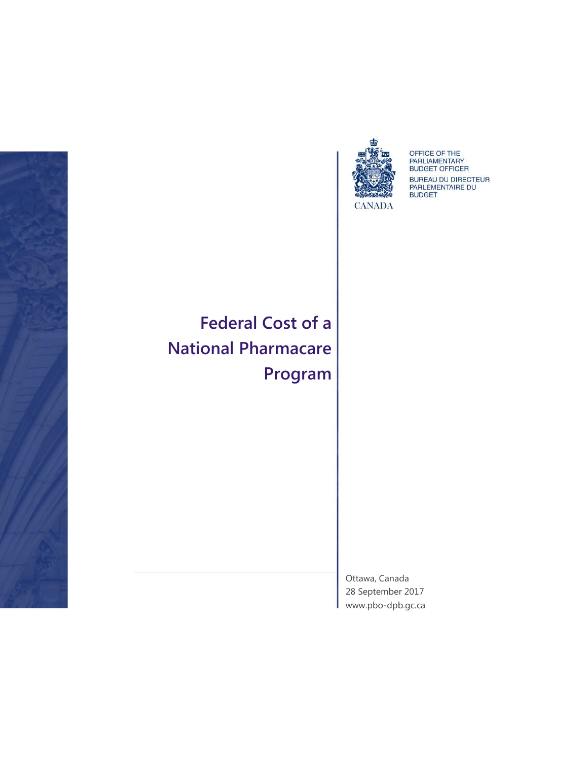



OFFICE OF THE<br>PARLIAMENTARY<br>BUDGET OFFICER BUREAU DU DIRECTEUR<br>PARLEMENTAIRE DU<br>BUDGET

**Federal Cost of a National Pharmacare Program**

> Ottawa, Canada 28 September 2017 [www.pbo-dpb.gc.ca](http://www.pbo-dpb.gc.ca/)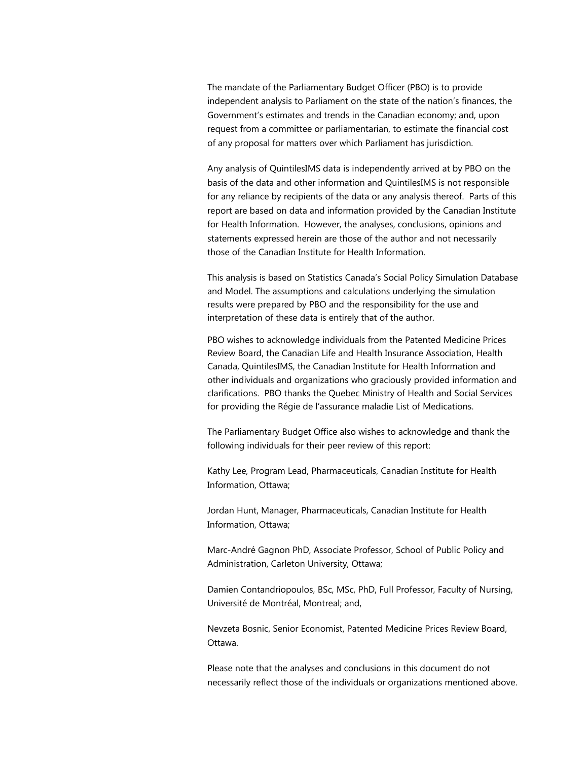The mandate of the Parliamentary Budget Officer (PBO) is to provide independent analysis to Parliament on the state of the nation's finances, the Government's estimates and trends in the Canadian economy; and, upon request from a committee or parliamentarian, to estimate the financial cost of any proposal for matters over which Parliament has jurisdiction.

Any analysis of QuintilesIMS data is independently arrived at by PBO on the basis of the data and other information and QuintilesIMS is not responsible for any reliance by recipients of the data or any analysis thereof. Parts of this report are based on data and information provided by the Canadian Institute for Health Information. However, the analyses, conclusions, opinions and statements expressed herein are those of the author and not necessarily those of the Canadian Institute for Health Information.

This analysis is based on Statistics Canada's Social Policy Simulation Database and Model. The assumptions and calculations underlying the simulation results were prepared by PBO and the responsibility for the use and interpretation of these data is entirely that of the author.

PBO wishes to acknowledge individuals from the Patented Medicine Prices Review Board, the Canadian Life and Health Insurance Association, Health Canada, QuintilesIMS, the Canadian Institute for Health Information and other individuals and organizations who graciously provided information and clarifications. PBO thanks the Quebec Ministry of Health and Social Services for providing the Régie de l'assurance maladie List of Medications.

The Parliamentary Budget Office also wishes to acknowledge and thank the following individuals for their peer review of this report:

Kathy Lee, Program Lead, Pharmaceuticals, Canadian Institute for Health Information, Ottawa;

Jordan Hunt, Manager, Pharmaceuticals, Canadian Institute for Health Information, Ottawa;

Marc-André Gagnon PhD, Associate Professor, School of Public Policy and Administration, Carleton University, Ottawa;

Damien Contandriopoulos, BSc, MSc, PhD, Full Professor, Faculty of Nursing, Université de Montréal, Montreal; and,

Nevzeta Bosnic, Senior Economist, Patented Medicine Prices Review Board, Ottawa.

Please note that the analyses and conclusions in this document do not necessarily reflect those of the individuals or organizations mentioned above.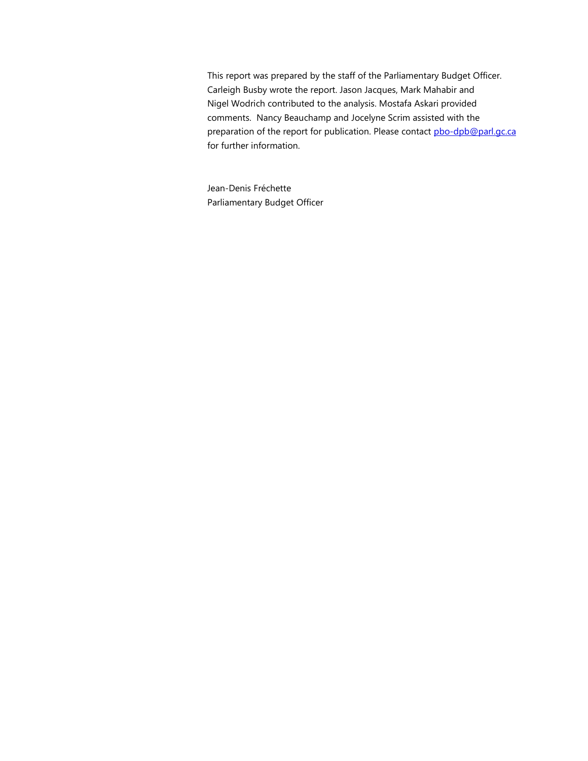This report was prepared by the staff of the Parliamentary Budget Officer. Carleigh Busby wrote the report. Jason Jacques, Mark Mahabir and Nigel Wodrich contributed to the analysis. Mostafa Askari provided comments. Nancy Beauchamp and Jocelyne Scrim assisted with the preparation of the report for publication. Please contact [pbo-dpb@parl.gc.ca](mailto:pbo-dpb@parl.gc.ca) for further information.

Jean-Denis Fréchette Parliamentary Budget Officer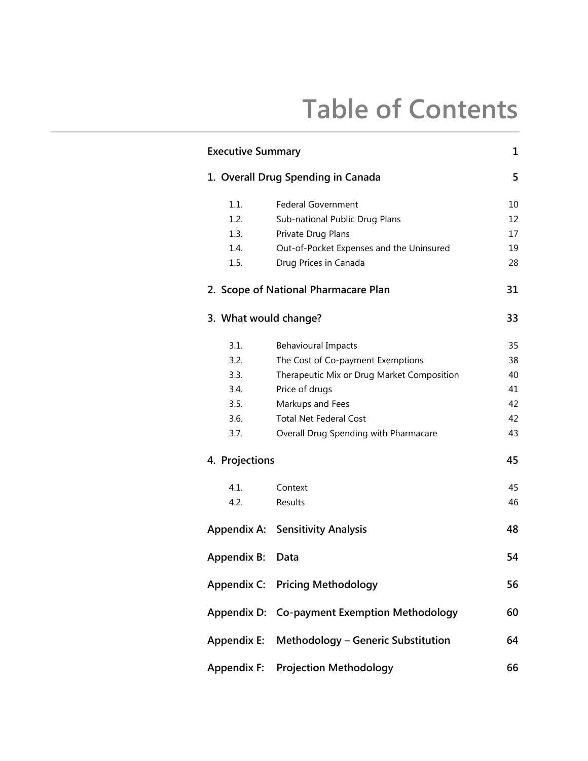# **Table of Contents**

| <b>Executive Summary</b> |                                            |    |
|--------------------------|--------------------------------------------|----|
|                          | 1. Overall Drug Spending in Canada         |    |
| 1.1.                     | <b>Federal Government</b>                  | 10 |
| 1.2.                     | Sub-national Public Drug Plans             | 12 |
| 1.3.                     | Private Drug Plans                         | 17 |
| 1.4.                     | Out-of-Pocket Expenses and the Uninsured   | 19 |
| 1.5.                     | Drug Prices in Canada                      | 28 |
|                          | 2. Scope of National Pharmacare Plan       | 31 |
| 3. What would change?    |                                            | 33 |
| 3.1.                     | <b>Behavioural Impacts</b>                 | 35 |
| 3.2.                     | The Cost of Co-payment Exemptions          | 38 |
| 3.3.                     | Therapeutic Mix or Drug Market Composition | 40 |
| 3.4.                     | Price of drugs                             | 41 |
| 3.5.                     | Markups and Fees                           | 42 |
| 3.6.                     | <b>Total Net Federal Cost</b>              | 42 |
| 3.7.                     | Overall Drug Spending with Pharmacare      | 43 |
| 4. Projections           |                                            | 45 |
| 4.1.                     | Context                                    | 45 |
| 4.2.                     | Results                                    | 46 |
|                          | <b>Appendix A: Sensitivity Analysis</b>    | 48 |
| <b>Appendix B:</b>       | Data                                       | 54 |
|                          | <b>Appendix C: Pricing Methodology</b>     | 56 |
| <b>Appendix D:</b>       | <b>Co-payment Exemption Methodology</b>    | 60 |
| <b>Appendix E:</b>       | Methodology - Generic Substitution         | 64 |
| <b>Appendix F:</b>       | <b>Projection Methodology</b>              | 66 |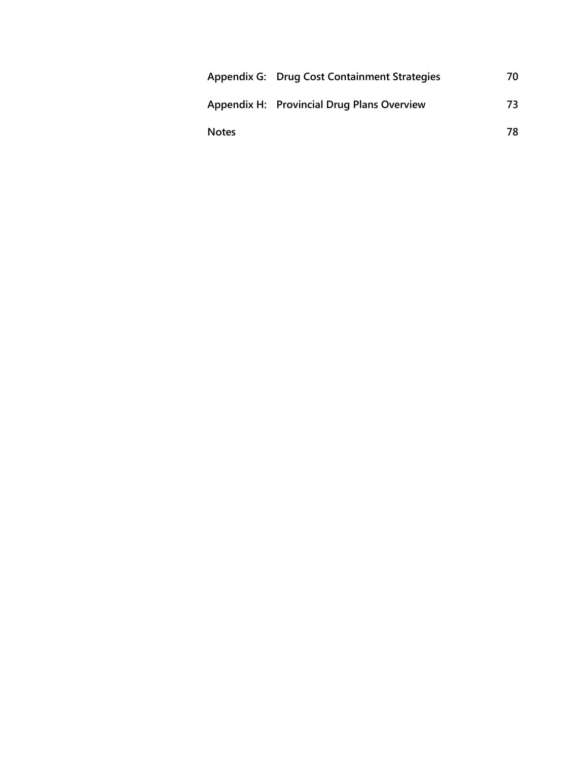|              | Appendix G: Drug Cost Containment Strategies | 70 |
|--------------|----------------------------------------------|----|
|              | Appendix H: Provincial Drug Plans Overview   | 73 |
| <b>Notes</b> |                                              | 78 |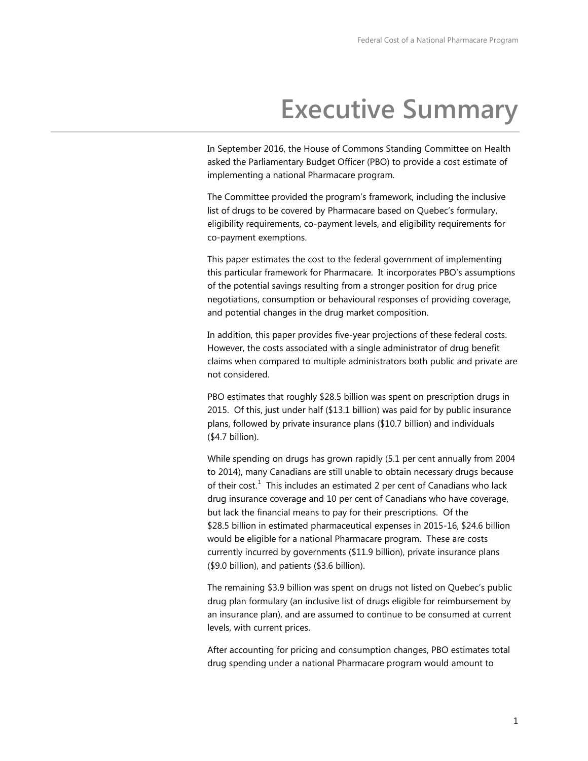# **Executive Summary**

<span id="page-5-0"></span>In September 2016, the House of Commons Standing Committee on Health asked the Parliamentary Budget Officer (PBO) to provide a cost estimate of implementing a national Pharmacare program.

The Committee provided the program's framework, including the inclusive list of drugs to be covered by Pharmacare based on Quebec's formulary, eligibility requirements, co-payment levels, and eligibility requirements for co-payment exemptions.

This paper estimates the cost to the federal government of implementing this particular framework for Pharmacare. It incorporates PBO's assumptions of the potential savings resulting from a stronger position for drug price negotiations, consumption or behavioural responses of providing coverage, and potential changes in the drug market composition.

In addition, this paper provides five-year projections of these federal costs. However, the costs associated with a single administrator of drug benefit claims when compared to multiple administrators both public and private are not considered.

PBO estimates that roughly \$28.5 billion was spent on prescription drugs in 2015. Of this, just under half (\$13.1 billion) was paid for by public insurance plans, followed by private insurance plans (\$10.7 billion) and individuals (\$4.7 billion).

While spending on drugs has grown rapidly (5.1 per cent annually from 2004 to 2014), many Canadians are still unable to obtain necessary drugs because of their cost.<sup>[1](#page-83-0)</sup> This includes an estimated 2 per cent of Canadians who lack drug insurance coverage and 10 per cent of Canadians who have coverage, but lack the financial means to pay for their prescriptions. Of the \$28.5 billion in estimated pharmaceutical expenses in 2015-16, \$24.6 billion would be eligible for a national Pharmacare program. These are costs currently incurred by governments (\$11.9 billion), private insurance plans (\$9.0 billion), and patients (\$3.6 billion).

The remaining \$3.9 billion was spent on drugs not listed on Quebec's public drug plan formulary (an inclusive list of drugs eligible for reimbursement by an insurance plan), and are assumed to continue to be consumed at current levels, with current prices.

After accounting for pricing and consumption changes, PBO estimates total drug spending under a national Pharmacare program would amount to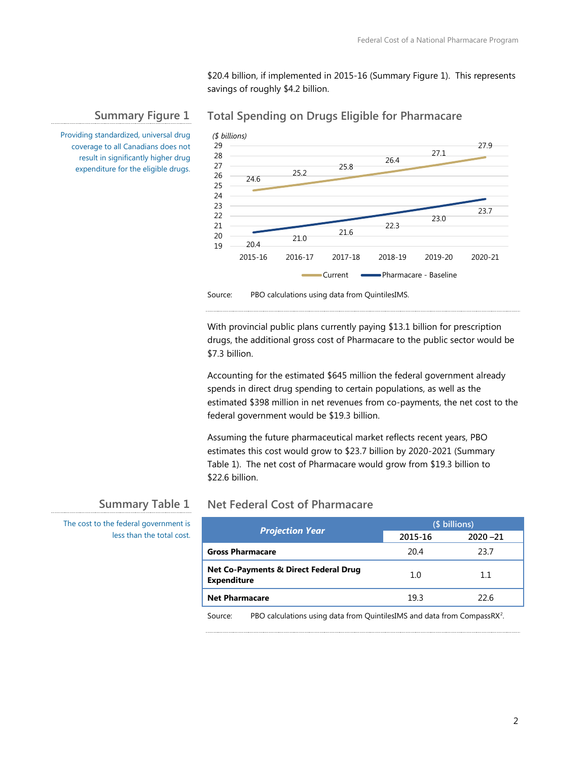23.0

23.7

\$20.4 billion, if implemented in 2015-16 (Summary Figure 1). This represents savings of roughly \$4.2 billion.

### **Summary Figure 1**

#### 24.6 25.2 25.8 26.4 27.1 27.9 24 25 26 27 28 29 *(\$ billions)*

21.6

22.3

Current **- Pharmacare** - Baseline

**Total Spending on Drugs Eligible for Pharmacare**

Providing standardized, universal drug coverage to all Canadians does not result in significantly higher drug expenditure for the eligible drugs.

Source: PBO calculations using data from QuintilesIMS.

21.0

20.4

With provincial public plans currently paying \$13.1 billion for prescription drugs, the additional gross cost of Pharmacare to the public sector would be \$7.3 billion.

2015-16 2016-17 2017-18 2018-19 2019-20 2020-21

Accounting for the estimated \$645 million the federal government already spends in direct drug spending to certain populations, as well as the estimated \$398 million in net revenues from co-payments, the net cost to the federal government would be \$19.3 billion.

Assuming the future pharmaceutical market reflects recent years, PBO estimates this cost would grow to \$23.7 billion by 2020-2021 (Summary Table 1). The net cost of Pharmacare would grow from \$19.3 billion to \$22.6 billion.

### **Summary Table 1**

The cost to the federal government is less than the total cost.

# **Net Federal Cost of Pharmacare**

|                                                                        | (\$ billions) |             |  |
|------------------------------------------------------------------------|---------------|-------------|--|
| <b>Projection Year</b>                                                 | 2015-16       | $2020 - 21$ |  |
| <b>Gross Pharmacare</b>                                                | 20.4          | 23.7        |  |
| <b>Net Co-Payments &amp; Direct Federal Drug</b><br><b>Expenditure</b> | 1.0           | 1.1         |  |
| <b>Net Pharmacare</b>                                                  | 19.3          | 22.6        |  |

Source: PBO calculations using data from QuintilesIMS and data from CompassRX<sup>[2](#page-83-1)</sup>.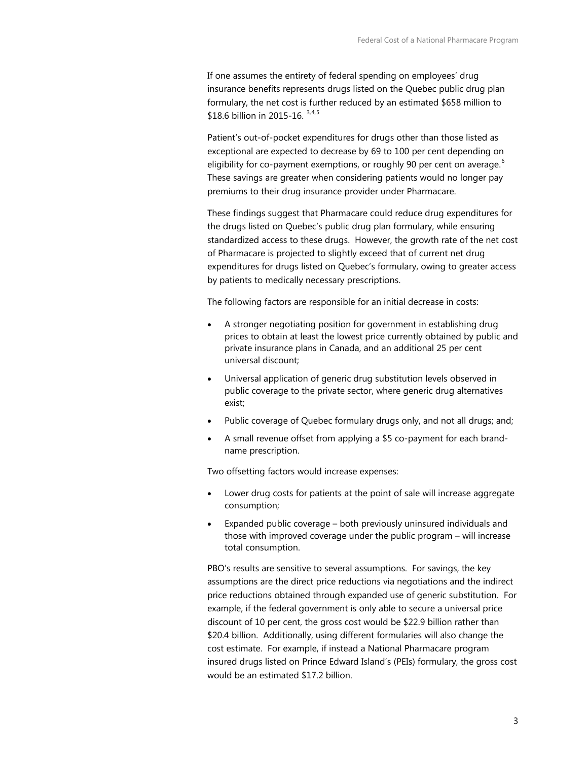If one assumes the entirety of federal spending on employees' drug insurance benefits represents drugs listed on the Quebec public drug plan formulary, the net cost is further reduced by an estimated \$658 million to \$18.6 billion in 2015-16. [3,](#page-84-0)[4,](#page-84-1)[5](#page-84-2)

Patient's out-of-pocket expenditures for drugs other than those listed as exceptional are expected to decrease by 69 to 100 per cent depending on eligibility for co-payment exemptions, or roughly 90 per cent on average. $^6$  $^6$ These savings are greater when considering patients would no longer pay premiums to their drug insurance provider under Pharmacare.

These findings suggest that Pharmacare could reduce drug expenditures for the drugs listed on Quebec's public drug plan formulary, while ensuring standardized access to these drugs. However, the growth rate of the net cost of Pharmacare is projected to slightly exceed that of current net drug expenditures for drugs listed on Quebec's formulary, owing to greater access by patients to medically necessary prescriptions.

The following factors are responsible for an initial decrease in costs:

- A stronger negotiating position for government in establishing drug prices to obtain at least the lowest price currently obtained by public and private insurance plans in Canada, and an additional 25 per cent universal discount;
- Universal application of generic drug substitution levels observed in public coverage to the private sector, where generic drug alternatives exist;
- Public coverage of Quebec formulary drugs only, and not all drugs; and;
- A small revenue offset from applying a \$5 co-payment for each brandname prescription.

Two offsetting factors would increase expenses:

- Lower drug costs for patients at the point of sale will increase aggregate consumption;
- Expanded public coverage both previously uninsured individuals and those with improved coverage under the public program – will increase total consumption.

PBO's results are sensitive to several assumptions. For savings, the key assumptions are the direct price reductions via negotiations and the indirect price reductions obtained through expanded use of generic substitution. For example, if the federal government is only able to secure a universal price discount of 10 per cent, the gross cost would be \$22.9 billion rather than \$20.4 billion. Additionally, using different formularies will also change the cost estimate. For example, if instead a National Pharmacare program insured drugs listed on Prince Edward Island's (PEIs) formulary, the gross cost would be an estimated \$17.2 billion.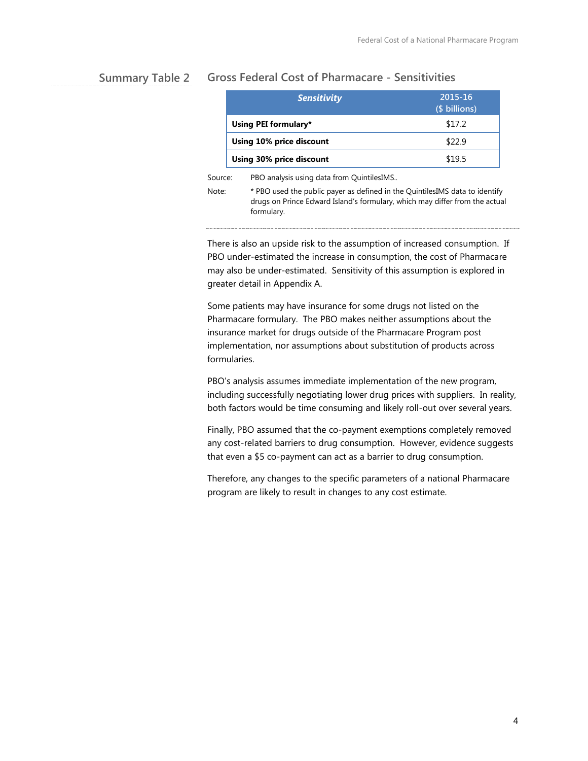#### **Gross Federal Cost of Pharmacare - Sensitivities Summary Table 2**

|         | <b>Sensitivity</b>                        | 2015-16<br>(\$ billions) |
|---------|-------------------------------------------|--------------------------|
|         | Using PEI formulary*                      | \$17.2                   |
|         | Using 10% price discount                  | \$22.9                   |
|         | Using 30% price discount                  | \$19.5                   |
| Source: | PBO analysis using data from QuintilesIMS |                          |

Note: \* PBO used the public payer as defined in the QuintilesIMS data to identify drugs on Prince Edward Island's formulary, which may differ from the actual formulary.

There is also an upside risk to the assumption of increased consumption. If PBO under-estimated the increase in consumption, the cost of Pharmacare may also be under-estimated. Sensitivity of this assumption is explored in greater detail in Appendix A.

Some patients may have insurance for some drugs not listed on the Pharmacare formulary. The PBO makes neither assumptions about the insurance market for drugs outside of the Pharmacare Program post implementation, nor assumptions about substitution of products across formularies.

PBO's analysis assumes immediate implementation of the new program, including successfully negotiating lower drug prices with suppliers. In reality, both factors would be time consuming and likely roll-out over several years.

Finally, PBO assumed that the co-payment exemptions completely removed any cost-related barriers to drug consumption. However, evidence suggests that even a \$5 co-payment can act as a barrier to drug consumption.

Therefore, any changes to the specific parameters of a national Pharmacare program are likely to result in changes to any cost estimate.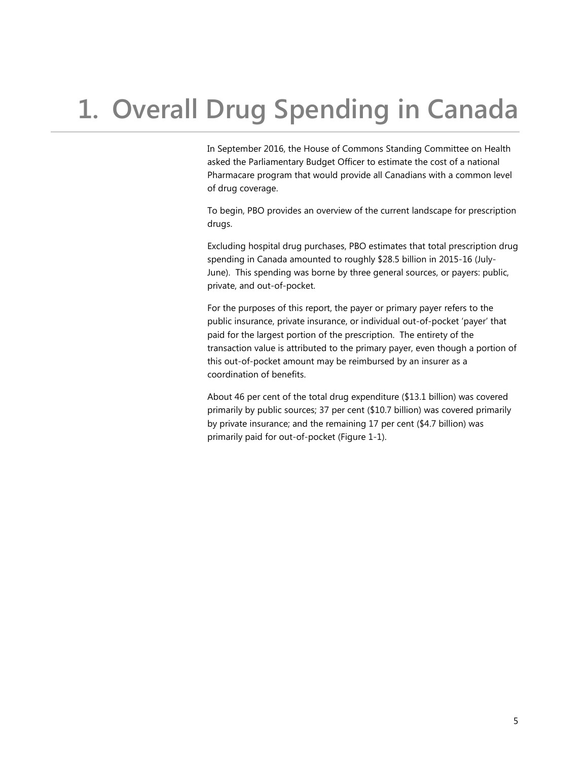# <span id="page-9-0"></span>**1. Overall Drug Spending in Canada**

In September 2016, the House of Commons Standing Committee on Health asked the Parliamentary Budget Officer to estimate the cost of a national Pharmacare program that would provide all Canadians with a common level of drug coverage.

To begin, PBO provides an overview of the current landscape for prescription drugs.

Excluding hospital drug purchases, PBO estimates that total prescription drug spending in Canada amounted to roughly \$28.5 billion in 2015-16 (July-June). This spending was borne by three general sources, or payers: public, private, and out-of-pocket.

For the purposes of this report, the payer or primary payer refers to the public insurance, private insurance, or individual out-of-pocket 'payer' that paid for the largest portion of the prescription. The entirety of the transaction value is attributed to the primary payer, even though a portion of this out-of-pocket amount may be reimbursed by an insurer as a coordination of benefits.

About 46 per cent of the total drug expenditure (\$13.1 billion) was covered primarily by public sources; 37 per cent (\$10.7 billion) was covered primarily by private insurance; and the remaining 17 per cent (\$4.7 billion) was primarily paid for out-of-pocket (Figure 1-1).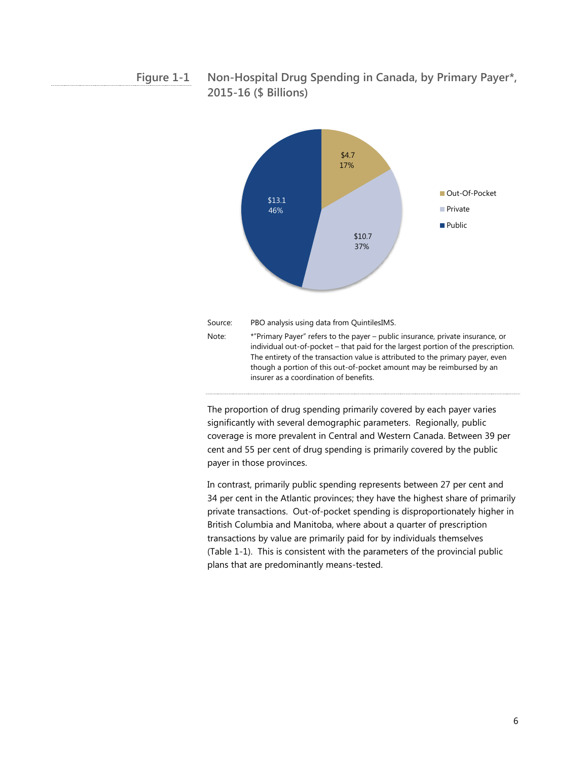**Non-Hospital Drug Spending in Canada, by Primary Payer\*, 2015-16 (\$ Billions) Figure 1-1**



The proportion of drug spending primarily covered by each payer varies significantly with several demographic parameters. Regionally, public coverage is more prevalent in Central and Western Canada. Between 39 per cent and 55 per cent of drug spending is primarily covered by the public payer in those provinces.

In contrast, primarily public spending represents between 27 per cent and 34 per cent in the Atlantic provinces; they have the highest share of primarily private transactions. Out-of-pocket spending is disproportionately higher in British Columbia and Manitoba, where about a quarter of prescription transactions by value are primarily paid for by individuals themselves (Table 1-1). This is consistent with the parameters of the provincial public plans that are predominantly means-tested.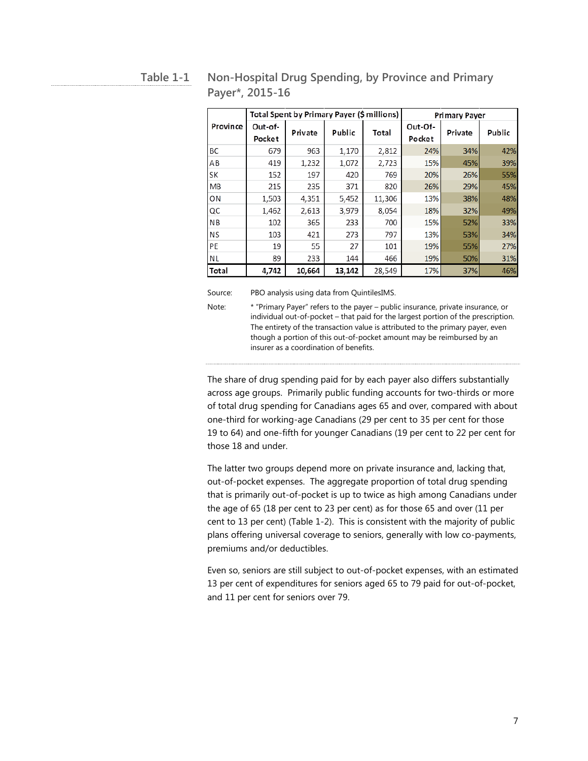| × | v<br>٠ |  |
|---|--------|--|
|   |        |  |

# **Non-Hospital Drug Spending, by Province and Primary Payer\*, 2015-16**

|           |                   | Total Spent by Primary Payer (\$ millions) |        |        | <b>Primary Payer</b> |         |        |
|-----------|-------------------|--------------------------------------------|--------|--------|----------------------|---------|--------|
| Province  | Out-of-<br>Pocket | Private                                    | Public | Total  | Out-Of-<br>Pocket    | Private | Public |
| ВC        | 679               | 963                                        | 1,170  | 2,812  | 24%                  | 34%     | 42%    |
| ΑB        | 419               | 1,232                                      | 1,072  | 2,723  | 15%                  | 45%     | 39%    |
| SK        | 152               | 197                                        | 420    | 769    | 20%                  | 26%     | 55%    |
| <b>MB</b> | 215               | 235                                        | 371    | 820    | 26%                  | 29%     | 45%    |
| ON        | 1,503             | 4,351                                      | 5,452  | 11,306 | 13%                  | 38%     | 48%    |
| QC        | 1,462             | 2,613                                      | 3,979  | 8,054  | 18%                  | 32%     | 49%    |
| <b>NB</b> | 102               | 365                                        | 233    | 700    | 15%                  | 52%     | 33%    |
| <b>NS</b> | 103               | 421                                        | 273    | 797    | 13%                  | 53%     | 34%    |
| PE        | 19                | 55                                         | 27     | 101    | 19%                  | 55%     | 27%    |
| <b>NL</b> | 89                | 233                                        | 144    | 466    | 19%                  | 50%     | 31%    |
| Total     | 4,742             | 10,664                                     | 13,142 | 28,549 | 17%                  | 37%     | 46%    |

Source: PBO analysis using data from QuintilesIMS.

Note: \* "Primary Payer" refers to the payer – public insurance, private insurance, or individual out-of-pocket – that paid for the largest portion of the prescription. The entirety of the transaction value is attributed to the primary payer, even though a portion of this out-of-pocket amount may be reimbursed by an insurer as a coordination of benefits.

The share of drug spending paid for by each payer also differs substantially across age groups. Primarily public funding accounts for two-thirds or more of total drug spending for Canadians ages 65 and over, compared with about one-third for working-age Canadians (29 per cent to 35 per cent for those 19 to 64) and one-fifth for younger Canadians (19 per cent to 22 per cent for those 18 and under.

The latter two groups depend more on private insurance and, lacking that, out-of-pocket expenses. The aggregate proportion of total drug spending that is primarily out-of-pocket is up to twice as high among Canadians under the age of 65 (18 per cent to 23 per cent) as for those 65 and over (11 per cent to 13 per cent) (Table 1-2). This is consistent with the majority of public plans offering universal coverage to seniors, generally with low co-payments, premiums and/or deductibles.

Even so, seniors are still subject to out-of-pocket expenses, with an estimated 13 per cent of expenditures for seniors aged 65 to 79 paid for out-of-pocket, and 11 per cent for seniors over 79.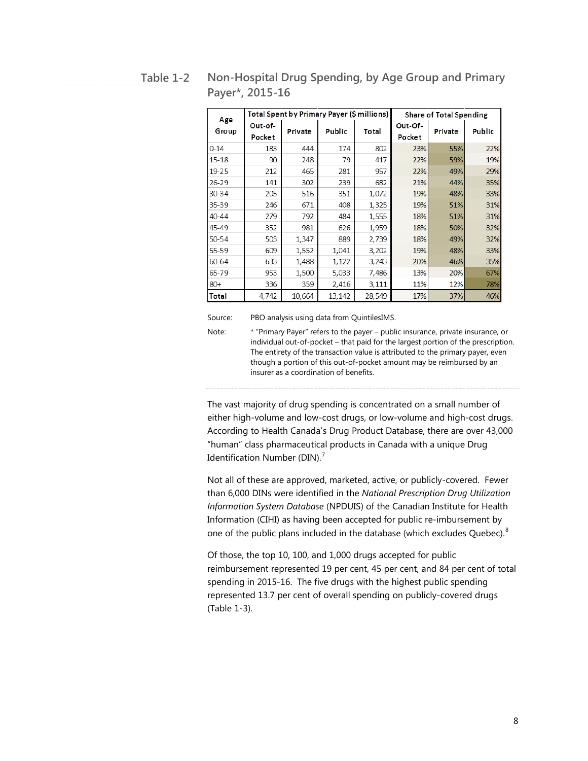|              |                   | Total Spent by Primary Payer (\$ millions)<br><b>Share of Total Spending</b> |        |        |                   |         |        |
|--------------|-------------------|------------------------------------------------------------------------------|--------|--------|-------------------|---------|--------|
| Age<br>Group | Out-of-<br>Pocket | Private                                                                      | Public | Total  | Out-Of-<br>Pocket | Private | Public |
| $0 - 14$     | 183               | 444                                                                          | 174    | 802    | 23%               | 55%     | 22%    |
| 15-18        | 90                | 248                                                                          | 79     | 417    | 22%               | 59%     | 19%    |
| 19-25        | 212               | 465                                                                          | 281    | 957    | 22%               | 49%     | 29%    |
| 26-29        | 141               | 302                                                                          | 239    | 682    | 21%               | 44%     | 35%    |
| 30-34        | 205               | 516                                                                          | 351    | 1,072  | 19%               | 48%     | 33%    |
| 35-39        | 246               | 671                                                                          | 408    | 1,325  | 19%               | 51%     | 31%    |
| 40-44        | 279               | 792                                                                          | 484    | 1,555  | 18%               | 51%     | 31%    |
| 45-49        | 352               | 981                                                                          | 626    | 1,959  | 18%               | 50%     | 32%    |
| 50-54        | 503               | 1,347                                                                        | 889    | 2,739  | 18%               | 49%     | 32%    |
| 55-59        | 609               | 1,552                                                                        | 1,041  | 3,202  | 19%               | 48%     | 33%    |
| 60-64        | 633               | 1,488                                                                        | 1,122  | 3,243  | 20%               | 46%     | 35%    |
| 65-79        | 953               | 1,500                                                                        | 5,033  | 7,486  | 13%               | 20%     | 67%    |
| $80+$        | 336               | 359                                                                          | 2,416  | 3,111  | 11%               | 12%     | 78%    |
| Total        | 4,742             | 10,664                                                                       | 13,142 | 28,549 | 17%               | 37%     | 46%    |

#### **Non-Hospital Drug Spending, by Age Group and Primary Payer\*, 2015-16 Table 1-2**

Source: PBO analysis using data from QuintilesIMS.

Note: \* "Primary Payer" refers to the payer – public insurance, private insurance, or individual out-of-pocket – that paid for the largest portion of the prescription. The entirety of the transaction value is attributed to the primary payer, even though a portion of this out-of-pocket amount may be reimbursed by an insurer as a coordination of benefits.

The vast majority of drug spending is concentrated on a small number of either high-volume and low-cost drugs, or low-volume and high-cost drugs. According to Health Canada's Drug Product Database, there are over 43,000 "human" class pharmaceutical products in Canada with a unique Drug Identification Number (DIN).<sup>[7](#page-84-4)</sup>

Not all of these are approved, marketed, active, or publicly-covered. Fewer than 6,000 DINs were identified in the *National Prescription Drug Utilization Information System Database* (NPDUIS) of the Canadian Institute for Health Information (CIHI) as having been accepted for public re-imbursement by one of the public plans included in the database (which excludes Quebec). $^8$  $^8$ 

Of those, the top 10, 100, and 1,000 drugs accepted for public reimbursement represented 19 per cent, 45 per cent, and 84 per cent of total spending in 2015-16. The five drugs with the highest public spending represented 13.7 per cent of overall spending on publicly-covered drugs (Table 1-3).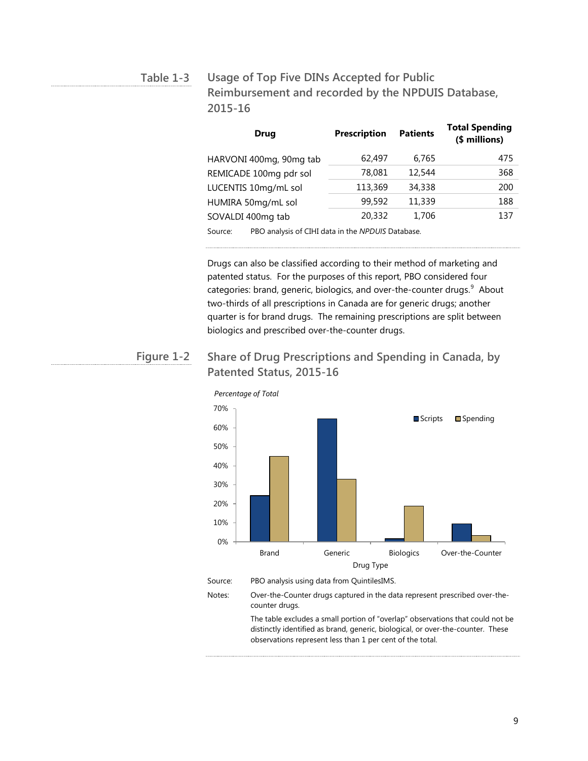**Usage of Top Five DINs Accepted for Public Reimbursement and recorded by the NPDUIS Database, 2015-16 Table 1-3**

| <b>Drug</b>                                                  | <b>Prescription</b> | <b>Patients</b> | <b>Total Spending</b><br>(\$ millions) |
|--------------------------------------------------------------|---------------------|-----------------|----------------------------------------|
| HARVONI 400mg, 90mg tab                                      | 62,497              | 6,765           | 475                                    |
| REMICADE 100mg pdr sol                                       | 78,081              | 12,544          | 368                                    |
| LUCENTIS 10mg/mL sol                                         | 113,369             | 34,338          | 200                                    |
| HUMIRA 50mg/mL sol                                           | 99,592              | 11,339          | 188                                    |
| SOVALDI 400mg tab                                            | 20.332              | 1,706           | 137                                    |
| Source:<br>PBO analysis of CIHI data in the NPDUIS Database. |                     |                 |                                        |

Drugs can also be classified according to their method of marketing and patented status. For the purposes of this report, PBO considered four categories: brand, generic, biologics, and over-the-counter drugs.<sup>[9](#page-85-0)</sup> About two-thirds of all prescriptions in Canada are for generic drugs; another quarter is for brand drugs. The remaining prescriptions are split between biologics and prescribed over-the-counter drugs.

#### **Share of Drug Prescriptions and Spending in Canada, by Patented Status, 2015-16 Figure 1-2**



counter drugs. The table excludes a small portion of "overlap" observations that could not be

distinctly identified as brand, generic, biological, or over-the-counter. These observations represent less than 1 per cent of the total.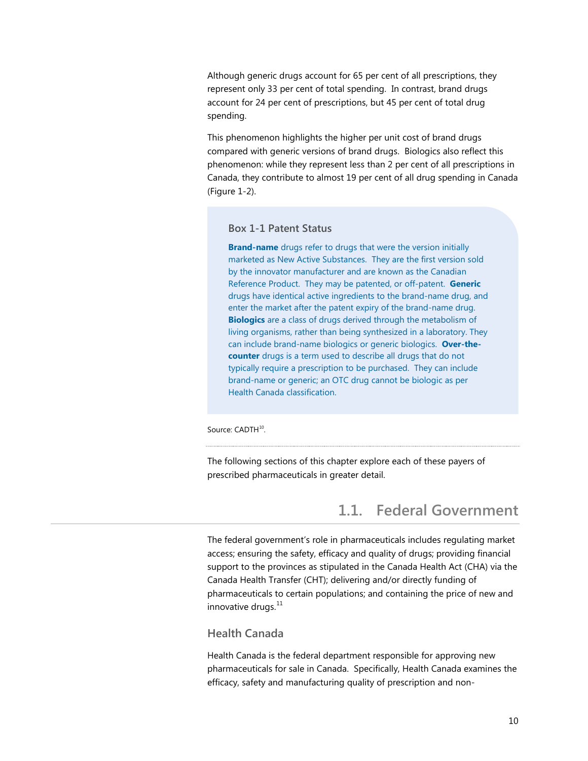<span id="page-14-0"></span>Although generic drugs account for 65 per cent of all prescriptions, they represent only 33 per cent of total spending. In contrast, brand drugs account for 24 per cent of prescriptions, but 45 per cent of total drug spending.

This phenomenon highlights the higher per unit cost of brand drugs compared with generic versions of brand drugs. Biologics also reflect this phenomenon: while they represent less than 2 per cent of all prescriptions in Canada, they contribute to almost 19 per cent of all drug spending in Canada (Figure 1-2).

#### **Box 1-1 Patent Status**

**Brand-name** drugs refer to drugs that were the version initially marketed as New Active Substances. They are the first version sold by the innovator manufacturer and are known as the Canadian Reference Product. They may be patented, or off-patent. **Generic** drugs have identical active ingredients to the brand-name drug, and enter the market after the patent expiry of the brand-name drug. **Biologics** are a class of drugs derived through the metabolism of living organisms, rather than being synthesized in a laboratory. They can include brand-name biologics or generic biologics. **Over-thecounter** drugs is a term used to describe all drugs that do not typically require a prescription to be purchased. They can include brand-name or generic; an OTC drug cannot be biologic as per Health Canada classification.

Source: CADTH<sup>10</sup>.

The following sections of this chapter explore each of these payers of prescribed pharmaceuticals in greater detail.

# **1.1. Federal Government**

The federal government's role in pharmaceuticals includes regulating market access; ensuring the safety, efficacy and quality of drugs; providing financial support to the provinces as stipulated in the Canada Health Act (CHA) via the Canada Health Transfer (CHT); delivering and/or directly funding of pharmaceuticals to certain populations; and containing the price of new and innovative drugs. $^{11}$ 

#### **Health Canada**

Health Canada is the federal department responsible for approving new pharmaceuticals for sale in Canada. Specifically, Health Canada examines the efficacy, safety and manufacturing quality of prescription and non-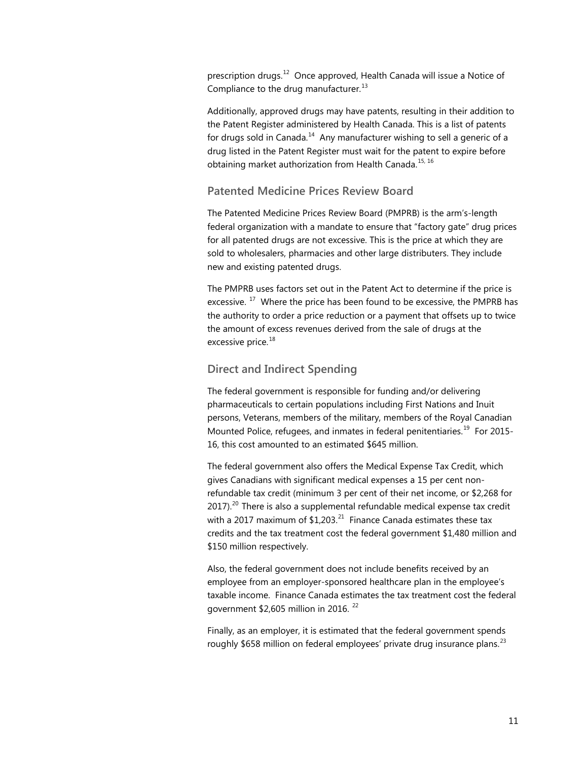prescription drugs.<sup>[12](#page-86-0)</sup> Once approved, Health Canada will issue a Notice of Compliance to the drug manufacturer. $^{13}$  $^{13}$  $^{13}$ 

Additionally, approved drugs may have patents, resulting in their addition to the Patent Register administered by Health Canada. This is a list of patents for drugs sold in Canada. $^{14}$  Any manufacturer wishing to sell a generic of a drug listed in the Patent Register must wait for the patent to expire before obtaining market authorization from Health Canada.<sup>[15,](#page-86-3) [16](#page-86-4)</sup>

#### **Patented Medicine Prices Review Board**

The Patented Medicine Prices Review Board (PMPRB) is the arm's-length federal organization with a mandate to ensure that "factory gate" drug prices for all patented drugs are not excessive. This is the price at which they are sold to wholesalers, pharmacies and other large distributers. They include new and existing patented drugs.

The PMPRB uses factors set out in the Patent Act to determine if the price is excessive.<sup>[17](#page-86-5)</sup> Where the price has been found to be excessive, the PMPRB has the authority to order a price reduction or a payment that offsets up to twice the amount of excess revenues derived from the sale of drugs at the excessive price.<sup>[18](#page-86-6)</sup>

#### **Direct and Indirect Spending**

The federal government is responsible for funding and/or delivering pharmaceuticals to certain populations including First Nations and Inuit persons, Veterans, members of the military, members of the Royal Canadian Mounted Police, refugees, and inmates in federal penitentiaries.<sup>[19](#page-86-7)</sup> For 2015-16, this cost amounted to an estimated \$645 million.

The federal government also offers the Medical Expense Tax Credit, which gives Canadians with significant medical expenses a 15 per cent nonrefundable tax credit (minimum 3 per cent of their net income, or \$2,268 for [20](#page-86-8)17).<sup>20</sup> There is also a supplemental refundable medical expense tax credit with a 2017 maximum of  $$1.203<sup>21</sup>$  Finance Canada estimates these tax credits and the tax treatment cost the federal government \$1,480 million and \$150 million respectively.

Also, the federal government does not include benefits received by an employee from an employer-sponsored healthcare plan in the employee's taxable income. Finance Canada estimates the tax treatment cost the federal government \$2,605 million in 2016. [22](#page-86-10)

Finally, as an employer, it is estimated that the federal government spends roughly \$658 million on federal employees' private drug insurance plans.<sup>[23](#page-86-11)</sup>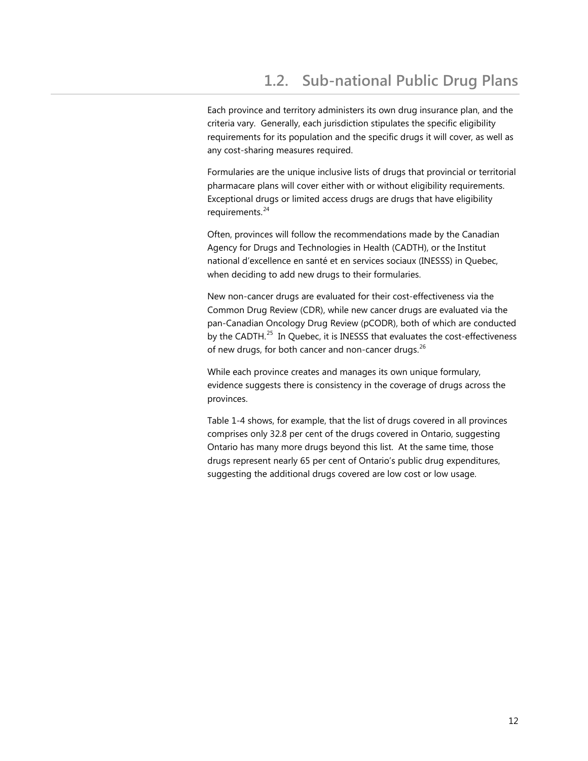<span id="page-16-0"></span>Each province and territory administers its own drug insurance plan, and the criteria vary. Generally, each jurisdiction stipulates the specific eligibility requirements for its population and the specific drugs it will cover, as well as any cost-sharing measures required.

Formularies are the unique inclusive lists of drugs that provincial or territorial pharmacare plans will cover either with or without eligibility requirements. Exceptional drugs or limited access drugs are drugs that have eligibility requirements.<sup>24</sup>

Often, provinces will follow the recommendations made by the Canadian Agency for Drugs and Technologies in Health (CADTH), or the Institut national d'excellence en santé et en services sociaux (INESSS) in Quebec, when deciding to add new drugs to their formularies.

New non-cancer drugs are evaluated for their cost-effectiveness via the Common Drug Review (CDR), while new cancer drugs are evaluated via the pan-Canadian Oncology Drug Review (pCODR), both of which are conducted by the CADTH.<sup>[25](#page-87-1)</sup> In Quebec, it is INESSS that evaluates the cost-effectiveness of new drugs, for both cancer and non-cancer drugs. $^{26}$  $^{26}$  $^{26}$ 

While each province creates and manages its own unique formulary, evidence suggests there is consistency in the coverage of drugs across the provinces.

Table 1-4 shows, for example, that the list of drugs covered in all provinces comprises only 32.8 per cent of the drugs covered in Ontario, suggesting Ontario has many more drugs beyond this list. At the same time, those drugs represent nearly 65 per cent of Ontario's public drug expenditures, suggesting the additional drugs covered are low cost or low usage.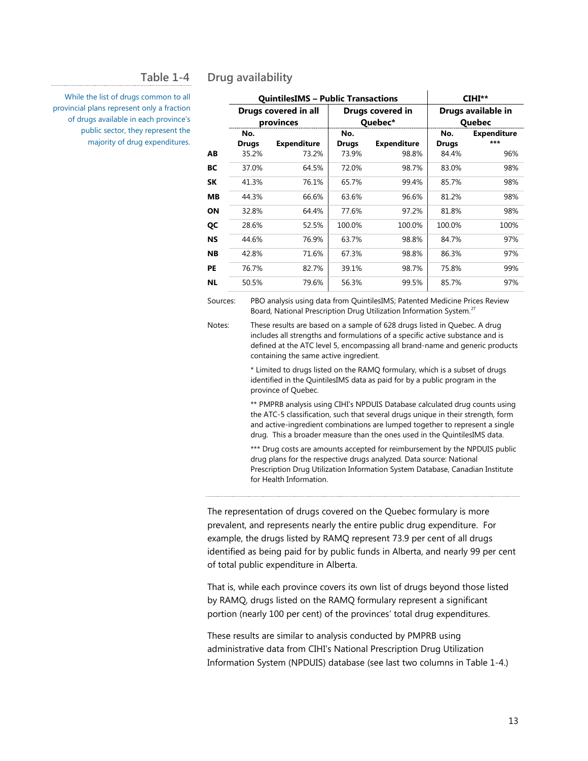#### **Table 1-4**

**Drug availability**

While the list of drugs common to all provincial plans represent only a fraction of drugs available in each province's public sector, they represent the majority of drug expenditures.

|    | <b>QuintilesIMS - Public Transactions</b> |                    |                             |                    |                                     | CIHI**                      |
|----|-------------------------------------------|--------------------|-----------------------------|--------------------|-------------------------------------|-----------------------------|
|    | Drugs covered in all<br>provinces         |                    | Drugs covered in<br>Quebec* |                    | Drugs available in<br><b>Quebec</b> |                             |
|    | No.<br><b>Drugs</b>                       | <b>Expenditure</b> | No.<br><b>Drugs</b>         | <b>Expenditure</b> | No.<br><b>Drugs</b>                 | <b>Expenditure</b><br>$***$ |
| AВ | 35.2%                                     | 73.2%              | 73.9%                       | 98.8%              | 84.4%                               | 96%                         |
| ВC | 37.0%                                     | 64.5%              | 72.0%                       | 98.7%              | 83.0%                               | 98%                         |
| SΚ | 41.3%                                     | 76.1%              | 65.7%                       | 99.4%              | 85.7%                               | 98%                         |
| MВ | 44.3%                                     | 66.6%              | 63.6%                       | 96.6%              | 81.2%                               | 98%                         |
| ΟN | 32.8%                                     | 64.4%              | 77.6%                       | 97.2%              | 81.8%                               | 98%                         |
| QC | 28.6%                                     | 52.5%              | 100.0%                      | 100.0%             | 100.0%                              | 100%                        |
| NS | 44.6%                                     | 76.9%              | 63.7%                       | 98.8%              | 84.7%                               | 97%                         |
| NΒ | 42.8%                                     | 71.6%              | 67.3%                       | 98.8%              | 86.3%                               | 97%                         |
| РE | 76.7%                                     | 82.7%              | 39.1%                       | 98.7%              | 75.8%                               | 99%                         |
| ΝL | 50.5%                                     | 79.6%              | 56.3%                       | 99.5%              | 85.7%                               | 97%                         |
|    |                                           |                    |                             |                    |                                     |                             |

Sources: PBO analysis using data from QuintilesIMS; Patented Medicine Prices Review Board, National Prescription Drug Utilization Information System.<sup>[27](#page-88-0)</sup>

Notes: These results are based on a sample of 628 drugs listed in Quebec. A drug includes all strengths and formulations of a specific active substance and is defined at the ATC level 5, encompassing all brand-name and generic products containing the same active ingredient.

> \* Limited to drugs listed on the RAMQ formulary, which is a subset of drugs identified in the QuintilesIMS data as paid for by a public program in the province of Quebec.

\*\* PMPRB analysis using CIHI's NPDUIS Database calculated drug counts using the ATC-5 classification, such that several drugs unique in their strength, form and active-ingredient combinations are lumped together to represent a single drug. This a broader measure than the ones used in the QuintilesIMS data.

\*\*\* Drug costs are amounts accepted for reimbursement by the NPDUIS public drug plans for the respective drugs analyzed. Data source: National Prescription Drug Utilization Information System Database, Canadian Institute for Health Information.

The representation of drugs covered on the Quebec formulary is more prevalent, and represents nearly the entire public drug expenditure. For example, the drugs listed by RAMQ represent 73.9 per cent of all drugs identified as being paid for by public funds in Alberta, and nearly 99 per cent of total public expenditure in Alberta.

That is, while each province covers its own list of drugs beyond those listed by RAMQ, drugs listed on the RAMQ formulary represent a significant portion (nearly 100 per cent) of the provinces' total drug expenditures.

These results are similar to analysis conducted by PMPRB using administrative data from CIHI's National Prescription Drug Utilization Information System (NPDUIS) database (see last two columns in Table 1-4.)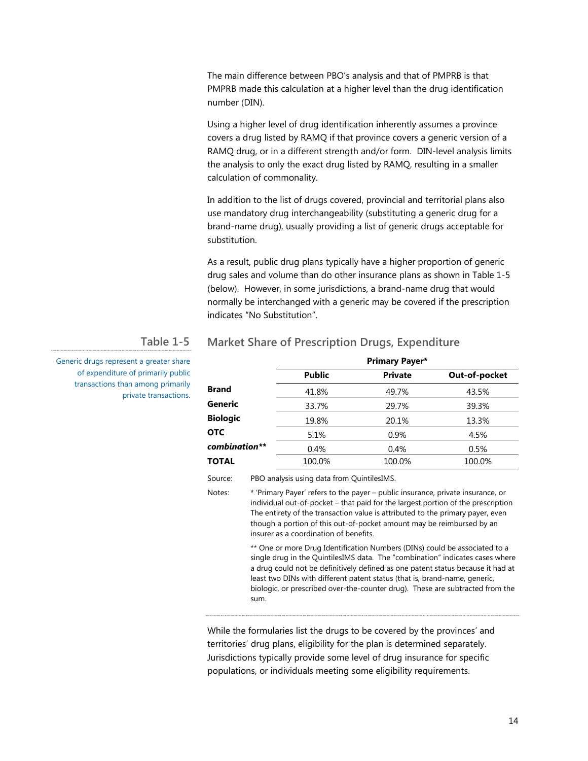The main difference between PBO's analysis and that of PMPRB is that PMPRB made this calculation at a higher level than the drug identification number (DIN).

Using a higher level of drug identification inherently assumes a province covers a drug listed by RAMQ if that province covers a generic version of a RAMQ drug, or in a different strength and/or form. DIN-level analysis limits the analysis to only the exact drug listed by RAMQ, resulting in a smaller calculation of commonality.

In addition to the list of drugs covered, provincial and territorial plans also use mandatory drug interchangeability (substituting a generic drug for a brand-name drug), usually providing a list of generic drugs acceptable for substitution.

As a result, public drug plans typically have a higher proportion of generic drug sales and volume than do other insurance plans as shown in Table 1-5 (below). However, in some jurisdictions, a brand-name drug that would normally be interchanged with a generic may be covered if the prescription indicates "No Substitution".

**Market Share of Prescription Drugs, Expenditure**

#### **Table 1-5**

Generic drugs represent a greater share of expenditure of primarily public transactions than among primarily private transactions.

# **Primary Payer\* Public Private Out-of-pocket Brand** 41.8% 49.7% 43.5% **Generic** 33.7% 29.7% 39.3% **Biologic** 19.8% 20.1% 13.3% **OTC** 5.1% 0.9% 4.5% *combination\*\** 0.4% 0.4% 0.5%

**TOTAL** 100.0% 100.0% 100.0% 100.0%

Source: PBO analysis using data from QuintilesIMS.

Notes: \* 'Primary Payer' refers to the payer – public insurance, private insurance, or individual out-of-pocket – that paid for the largest portion of the prescription The entirety of the transaction value is attributed to the primary payer, even though a portion of this out-of-pocket amount may be reimbursed by an insurer as a coordination of benefits.

> \*\* One or more Drug Identification Numbers (DINs) could be associated to a single drug in the QuintilesIMS data. The "combination" indicates cases where a drug could not be definitively defined as one patent status because it had at least two DINs with different patent status (that is, brand-name, generic, biologic, or prescribed over-the-counter drug). These are subtracted from the sum.

While the formularies list the drugs to be covered by the provinces' and territories' drug plans, eligibility for the plan is determined separately. Jurisdictions typically provide some level of drug insurance for specific populations, or individuals meeting some eligibility requirements.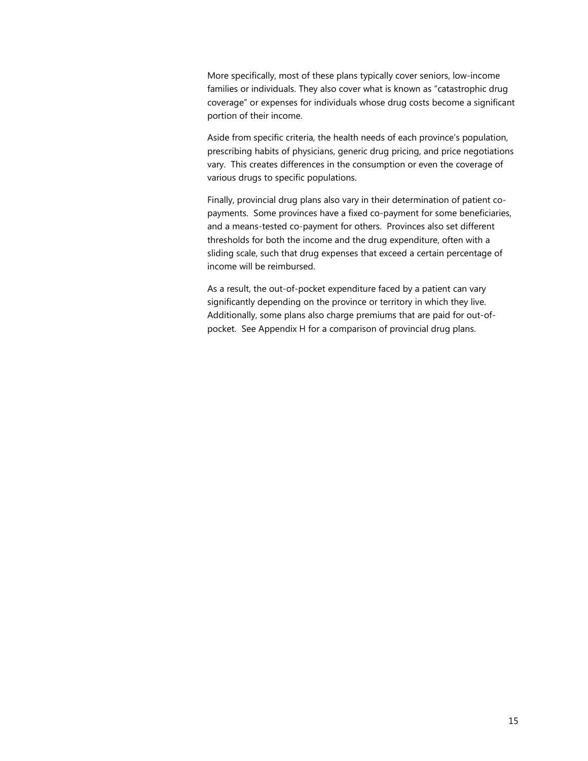More specifically, most of these plans typically cover seniors, low-income families or individuals. They also cover what is known as "catastrophic drug coverage" or expenses for individuals whose drug costs become a significant portion of their income.

Aside from specific criteria, the health needs of each province's population, prescribing habits of physicians, generic drug pricing, and price negotiations vary. This creates differences in the consumption or even the coverage of various drugs to specific populations.

Finally, provincial drug plans also vary in their determination of patient copayments. Some provinces have a fixed co-payment for some beneficiaries, and a means-tested co-payment for others. Provinces also set different thresholds for both the income and the drug expenditure, often with a sliding scale, such that drug expenses that exceed a certain percentage of income will be reimbursed.

As a result, the out-of-pocket expenditure faced by a patient can vary significantly depending on the province or territory in which they live. Additionally, some plans also charge premiums that are paid for out-ofpocket. See Appendix H for a comparison of provincial drug plans.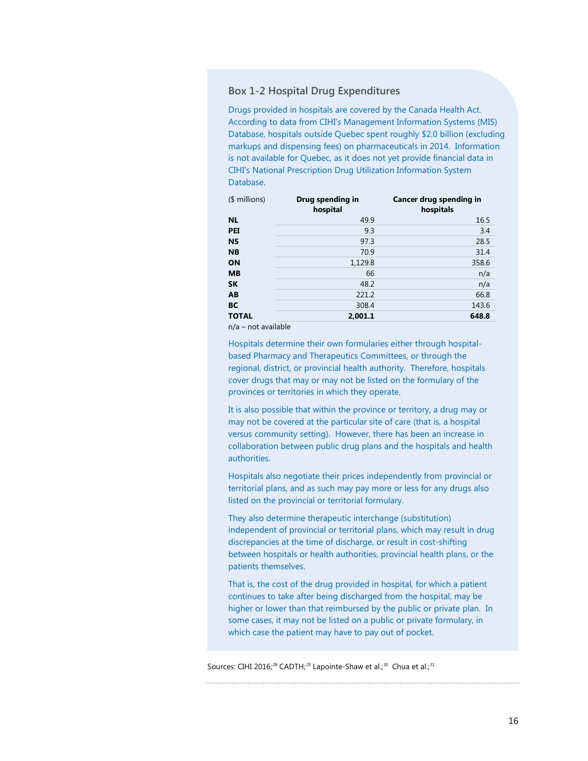#### **Box 1-2 Hospital Drug Expenditures**

Drugs provided in hospitals are covered by the Canada Health Act. According to data from CIHI's Management Information Systems (MIS) Database, hospitals outside Quebec spent roughly \$2.0 billion (excluding markups and dispensing fees) on pharmaceuticals in 2014. Information is not available for Quebec, as it does not yet provide financial data in CIHI's National Prescription Drug Utilization Information System Database.

| <b>NL</b><br><b>PEI</b><br><b>NS</b> | 49.9<br>9.3<br>97.3 | 16.5<br>3.4<br>28.5 |
|--------------------------------------|---------------------|---------------------|
|                                      |                     |                     |
|                                      |                     |                     |
|                                      |                     |                     |
| <b>NB</b>                            | 70.9                | 31.4                |
| ON                                   | 1,129.8             | 358.6               |
| <b>MB</b>                            | 66                  | n/a                 |
| <b>SK</b>                            | 48.2                | n/a                 |
| AB                                   | 221.2               | 66.8                |
| <b>BC</b>                            | 308.4               | 143.6               |
| <b>TOTAL</b>                         | 2,001.1             | 648.8               |

n/a – not available

Hospitals determine their own formularies either through hospitalbased Pharmacy and Therapeutics Committees, or through the regional, district, or provincial health authority. Therefore, hospitals cover drugs that may or may not be listed on the formulary of the provinces or territories in which they operate.

It is also possible that within the province or territory, a drug may or may not be covered at the particular site of care (that is, a hospital versus community setting). However, there has been an increase in collaboration between public drug plans and the hospitals and health authorities.

Hospitals also negotiate their prices independently from provincial or territorial plans, and as such may pay more or less for any drugs also listed on the provincial or territorial formulary.

They also determine therapeutic interchange (substitution) independent of provincial or territorial plans, which may result in drug discrepancies at the time of discharge, or result in cost-shifting between hospitals or health authorities, provincial health plans, or the patients themselves.

That is, the cost of the drug provided in hospital, for which a patient continues to take after being discharged from the hospital, may be higher or lower than that reimbursed by the public or private plan. In some cases, it may not be listed on a public or private formulary, in which case the patient may have to pay out of pocket.

Sources: CIHI 2016;<sup>[28](#page-88-1)</sup> CADTH;<sup>[29](#page-88-2)</sup> Lapointe-Shaw et al.;<sup>30</sup> Chua et al.;<sup>31</sup>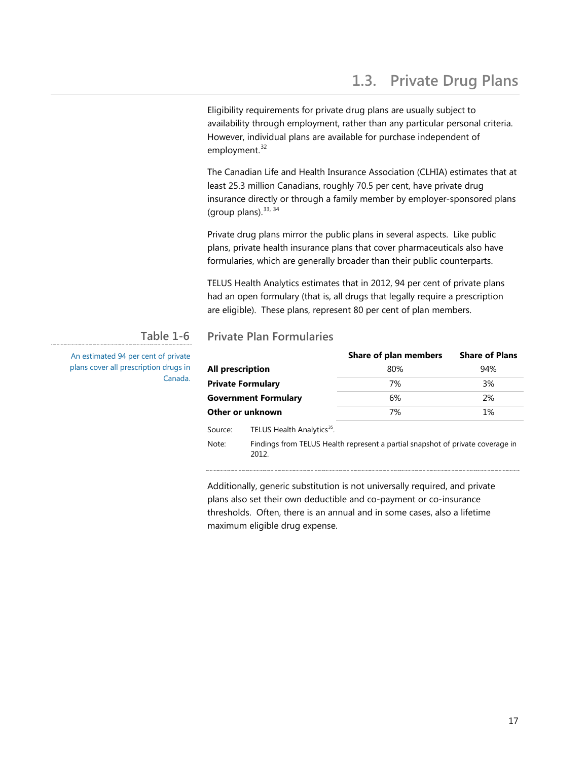<span id="page-21-0"></span>Eligibility requirements for private drug plans are usually subject to availability through employment, rather than any particular personal criteria. However, individual plans are available for purchase independent of employment.<sup>[32](#page-89-0)</sup>

The Canadian Life and Health Insurance Association (CLHIA) estimates that at least 25.3 million Canadians, roughly 70.5 per cent, have private drug insurance directly or through a family member by employer-sponsored plans (group plans).  $33, 34$  $33, 34$  $33, 34$ 

Private drug plans mirror the public plans in several aspects. Like public plans, private health insurance plans that cover pharmaceuticals also have formularies, which are generally broader than their public counterparts.

TELUS Health Analytics estimates that in 2012, 94 per cent of private plans had an open formulary (that is, all drugs that legally require a prescription are eligible). These plans, represent 80 per cent of plan members.

### **Table 1-6**

An estimated 94 per cent of private plans cover all prescription drugs in Canada.

# **Private Plan Formularies**

|                                                                                                 |                                        | Share of plan members                                                          | <b>Share of Plans</b> |  |
|-------------------------------------------------------------------------------------------------|----------------------------------------|--------------------------------------------------------------------------------|-----------------------|--|
| All prescription<br><b>Private Formulary</b><br><b>Government Formulary</b><br>Other or unknown |                                        | 80%                                                                            | 94%                   |  |
|                                                                                                 |                                        | 7%                                                                             | 3%                    |  |
|                                                                                                 |                                        | 6%                                                                             | 2%                    |  |
|                                                                                                 |                                        | 7%                                                                             | $1\%$                 |  |
| Source:                                                                                         | TELUS Health Analytics <sup>35</sup> . |                                                                                |                       |  |
| Note:                                                                                           | 2012.                                  | Findings from TELUS Health represent a partial snapshot of private coverage in |                       |  |

Additionally, generic substitution is not universally required, and private plans also set their own deductible and co-payment or co-insurance thresholds. Often, there is an annual and in some cases, also a lifetime maximum eligible drug expense.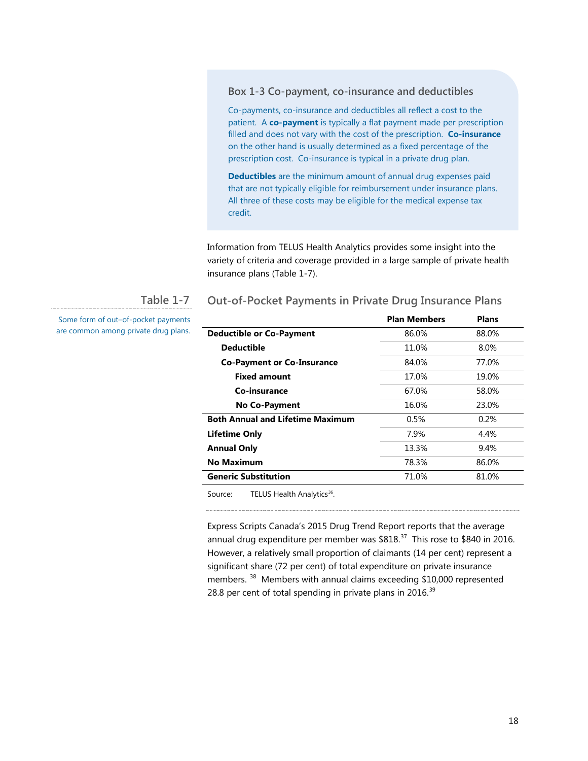#### **Box 1-3 Co-payment, co-insurance and deductibles**

Co-payments, co-insurance and deductibles all reflect a cost to the patient. A **co-payment** is typically a flat payment made per prescription filled and does not vary with the cost of the prescription. **Co-insurance** on the other hand is usually determined as a fixed percentage of the prescription cost. Co-insurance is typical in a private drug plan.

**Deductibles** are the minimum amount of annual drug expenses paid that are not typically eligible for reimbursement under insurance plans. All three of these costs may be eligible for the medical expense tax credit.

Information from TELUS Health Analytics provides some insight into the variety of criteria and coverage provided in a large sample of private health insurance plans (Table 1-7).

**Out-of-Pocket Payments in Private Drug Insurance Plans**

#### **Table 1-7**

Some form of out–of-pocket payments are common among private drug plans.

|                                         | <b>Plan Members</b> | <b>Plans</b> |
|-----------------------------------------|---------------------|--------------|
| <b>Deductible or Co-Payment</b>         | 86.0%               | 88.0%        |
| <b>Deductible</b>                       | 11.0%               | 8.0%         |
| <b>Co-Payment or Co-Insurance</b>       | 84.0%               | 77.0%        |
| <b>Fixed amount</b>                     | 17.0%               | 19.0%        |
| Co-insurance                            | 67.0%               | 58.0%        |
| No Co-Payment                           | 16.0%               | 23.0%        |
| <b>Both Annual and Lifetime Maximum</b> | 0.5%                | 0.2%         |
| <b>Lifetime Only</b>                    | 7.9%                | 4.4%         |
| <b>Annual Only</b>                      | 13.3%               | 9.4%         |
| <b>No Maximum</b>                       | 78.3%               | 86.0%        |
| <b>Generic Substitution</b>             | 71.0%               | 81.0%        |
|                                         |                     |              |

Source: TELUS Health Analytics<sup>36</sup>.

Express Scripts Canada's 2015 Drug Trend Report reports that the average annual drug expenditure per member was \$818.<sup>37</sup> This rose to \$840 in 2016. However, a relatively small proportion of claimants (14 per cent) represent a significant share (72 per cent) of total expenditure on private insurance members.<sup>38</sup> Members with annual claims exceeding \$10,000 represented 28.8 per cent of total spending in private plans in 2016. $39$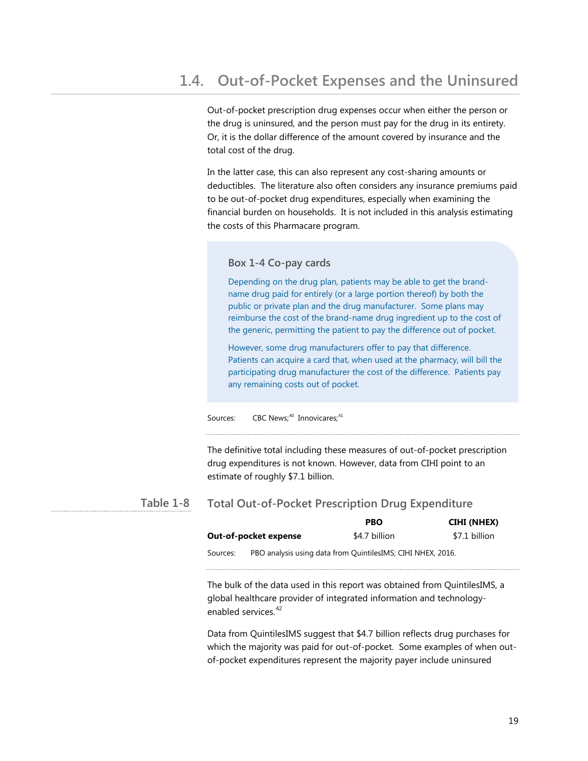<span id="page-23-0"></span>Out-of-pocket prescription drug expenses occur when either the person or the drug is uninsured, and the person must pay for the drug in its entirety. Or, it is the dollar difference of the amount covered by insurance and the total cost of the drug.

In the latter case, this can also represent any cost-sharing amounts or deductibles. The literature also often considers any insurance premiums paid to be out-of-pocket drug expenditures, especially when examining the financial burden on households. It is not included in this analysis estimating the costs of this Pharmacare program.

#### **Box 1-4 Co-pay cards**

Depending on the drug plan, patients may be able to get the brandname drug paid for entirely (or a large portion thereof) by both the public or private plan and the drug manufacturer. Some plans may reimburse the cost of the brand-name drug ingredient up to the cost of the generic, permitting the patient to pay the difference out of pocket.

However, some drug manufacturers offer to pay that difference. Patients can acquire a card that, when used at the pharmacy, will bill the participating drug manufacturer the cost of the difference. Patients pay any remaining costs out of pocket.

Sources: CBC News;<sup>[40](#page-90-0)</sup> Innovicares;<sup>[41](#page-90-1)</sup>

The definitive total including these measures of out-of-pocket prescription drug expenditures is not known. However, data from CIHI point to an estimate of roughly \$7.1 billion.

#### **Total Out-of-Pocket Prescription Drug Expenditure Table 1-8**

|                       |  | <b>PBO</b>                                                  | CIHI (NHEX)   |
|-----------------------|--|-------------------------------------------------------------|---------------|
| Out-of-pocket expense |  | \$4.7 billion                                               | \$7.1 billion |
| Sources:              |  | PBO analysis using data from QuintilesIMS; CIHI NHEX, 2016. |               |

The bulk of the data used in this report was obtained from QuintilesIMS, a global healthcare provider of integrated information and technology-enabled services<sup>[42](#page-90-2)</sup>

Data from QuintilesIMS suggest that \$4.7 billion reflects drug purchases for which the majority was paid for out-of-pocket. Some examples of when outof-pocket expenditures represent the majority payer include uninsured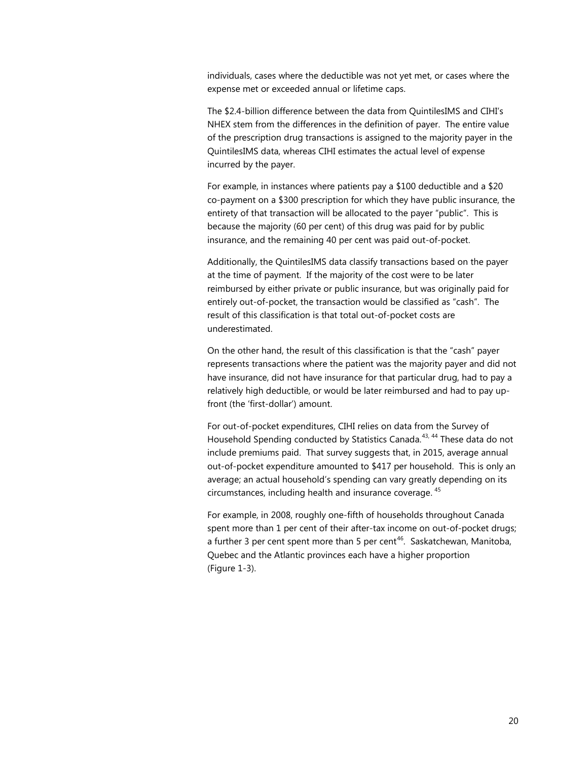individuals, cases where the deductible was not yet met, or cases where the expense met or exceeded annual or lifetime caps.

The \$2.4-billion difference between the data from QuintilesIMS and CIHI's NHEX stem from the differences in the definition of payer. The entire value of the prescription drug transactions is assigned to the majority payer in the QuintilesIMS data, whereas CIHI estimates the actual level of expense incurred by the payer.

For example, in instances where patients pay a \$100 deductible and a \$20 co-payment on a \$300 prescription for which they have public insurance, the entirety of that transaction will be allocated to the payer "public". This is because the majority (60 per cent) of this drug was paid for by public insurance, and the remaining 40 per cent was paid out-of-pocket.

Additionally, the QuintilesIMS data classify transactions based on the payer at the time of payment. If the majority of the cost were to be later reimbursed by either private or public insurance, but was originally paid for entirely out-of-pocket, the transaction would be classified as "cash". The result of this classification is that total out-of-pocket costs are underestimated.

On the other hand, the result of this classification is that the "cash" payer represents transactions where the patient was the majority payer and did not have insurance, did not have insurance for that particular drug, had to pay a relatively high deductible, or would be later reimbursed and had to pay upfront (the 'first-dollar') amount.

For out-of-pocket expenditures, CIHI relies on data from the Survey of Household Spending conducted by Statistics Canada.<sup>[43](#page-91-0), [44](#page-91-1)</sup> These data do not include premiums paid. That survey suggests that, in 2015, average annual out-of-pocket expenditure amounted to \$417 per household. This is only an average; an actual household's spending can vary greatly depending on its circumstances, including health and insurance coverage. [45](#page-91-2)

For example, in 2008, roughly one-fifth of households throughout Canada spent more than 1 per cent of their after-tax income on out-of-pocket drugs; a further 3 per cent spent more than 5 per cent<sup>[46](#page-91-3)</sup>. Saskatchewan, Manitoba, Quebec and the Atlantic provinces each have a higher proportion  $(Figure 1-3)$ .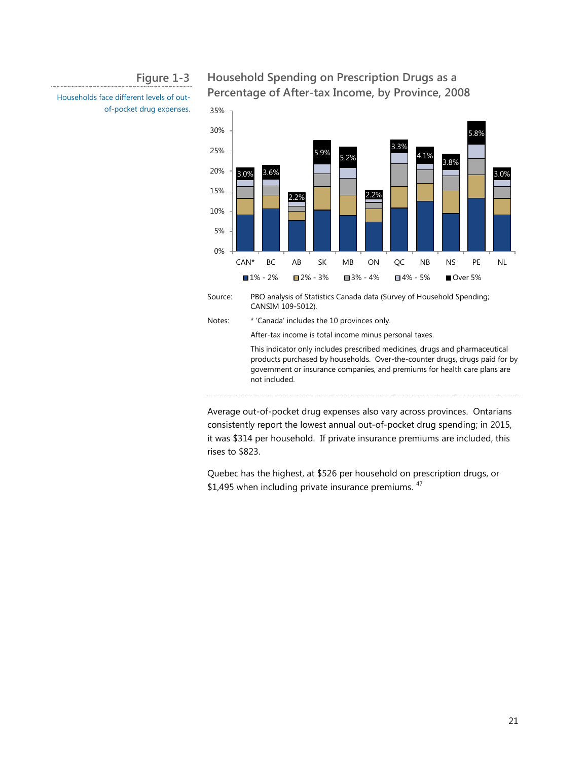#### **Figure 1-3**

Households face different levels of outof-pocket drug expenses.

## **Household Spending on Prescription Drugs as a Percentage of After-tax Income, by Province, 2008**



Average out-of-pocket drug expenses also vary across provinces. Ontarians consistently report the lowest annual out-of-pocket drug spending; in 2015, it was \$314 per household. If private insurance premiums are included, this rises to \$823.

Quebec has the highest, at \$526 per household on prescription drugs, or \$1,495 when including private insurance premiums.  $47$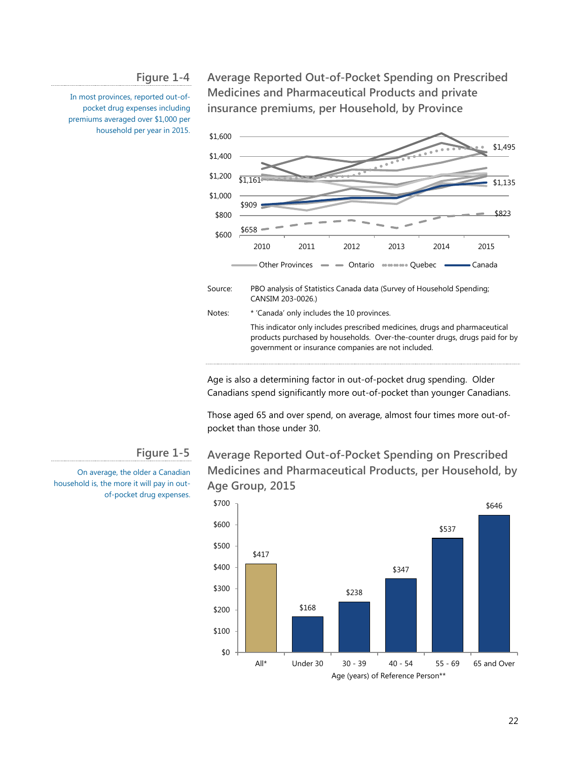**Figure 1-4**

In most provinces, reported out-ofpocket drug expenses including premiums averaged over \$1,000 per household per year in 2015.

**Average Reported Out-of-Pocket Spending on Prescribed Medicines and Pharmaceutical Products and private insurance premiums, per Household, by Province**



Age is also a determining factor in out-of-pocket drug spending. Older Canadians spend significantly more out-of-pocket than younger Canadians.

Those aged 65 and over spend, on average, almost four times more out-ofpocket than those under 30.

#### **Figure 1-5**

On average, the older a Canadian household is, the more it will pay in outof-pocket drug expenses.

# **Average Reported Out-of-Pocket Spending on Prescribed Medicines and Pharmaceutical Products, per Household, by Age Group, 2015**

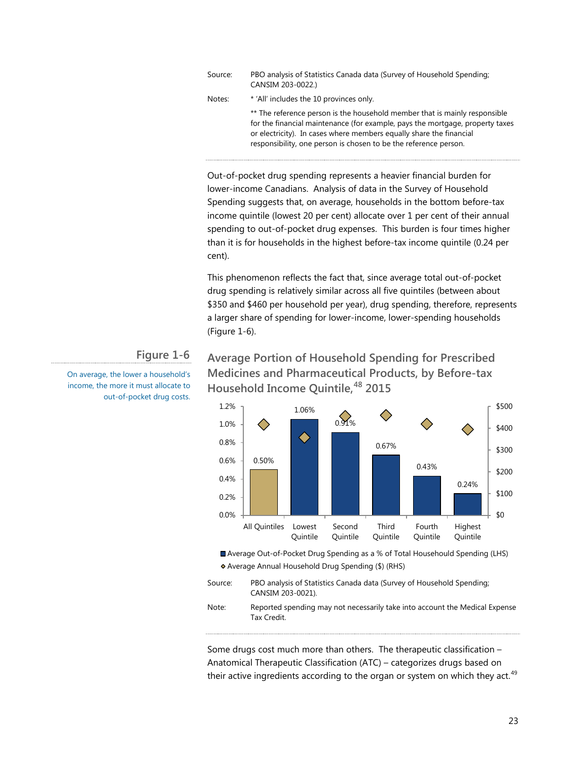| Source: | PBO analysis of Statistics Canada data (Survey of Household Spending;<br>CANSIM 203-0022.)                                                                                                                                                                                                             |
|---------|--------------------------------------------------------------------------------------------------------------------------------------------------------------------------------------------------------------------------------------------------------------------------------------------------------|
| Notes:  | * 'All' includes the 10 provinces only.                                                                                                                                                                                                                                                                |
|         | ** The reference person is the household member that is mainly responsible<br>for the financial maintenance (for example, pays the mortgage, property taxes<br>or electricity). In cases where members equally share the financial<br>responsibility, one person is chosen to be the reference person. |

Out-of-pocket drug spending represents a heavier financial burden for lower-income Canadians. Analysis of data in the Survey of Household Spending suggests that, on average, households in the bottom before-tax income quintile (lowest 20 per cent) allocate over 1 per cent of their annual spending to out-of-pocket drug expenses. This burden is four times higher than it is for households in the highest before-tax income quintile (0.24 per cent).

This phenomenon reflects the fact that, since average total out-of-pocket drug spending is relatively similar across all five quintiles (between about \$350 and \$460 per household per year), drug spending, therefore, represents a larger share of spending for lower-income, lower-spending households (Figure 1-6).

#### **Figure 1-6**

On average, the lower a household's income, the more it must allocate to out-of-pocket drug costs.

# **Average Portion of Household Spending for Prescribed Medicines and Pharmaceutical Products, by Before-tax Household Income Quintile,[48](#page-92-1) 2015**



Average Out-of-Pocket Drug Spending as a % of Total Househould Spending (LHS) Average Annual Household Drug Spending (\$) (RHS)



Note: Reported spending may not necessarily take into account the Medical Expense Tax Credit.

Some drugs cost much more than others. The therapeutic classification – Anatomical Therapeutic Classification (ATC) – categorizes drugs based on their active ingredients according to the organ or system on which they act.<sup>49</sup>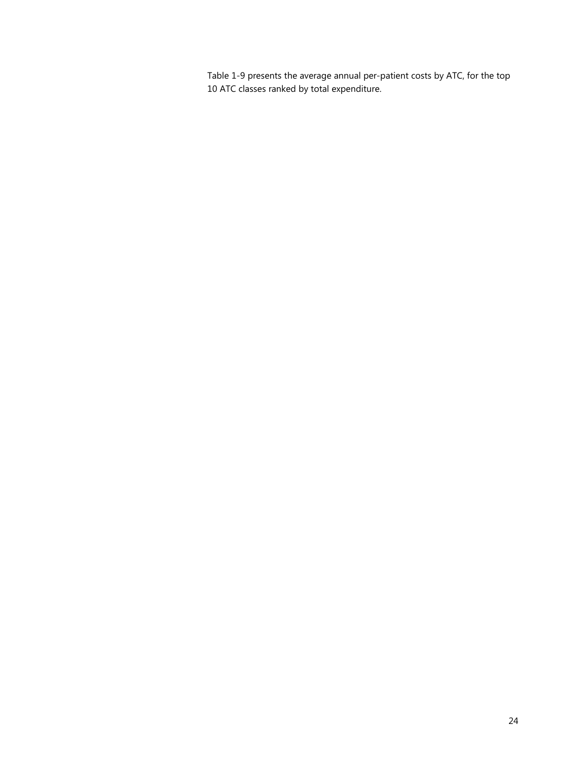Table 1-9 presents the average annual per-patient costs by ATC, for the top 10 ATC classes ranked by total expenditure.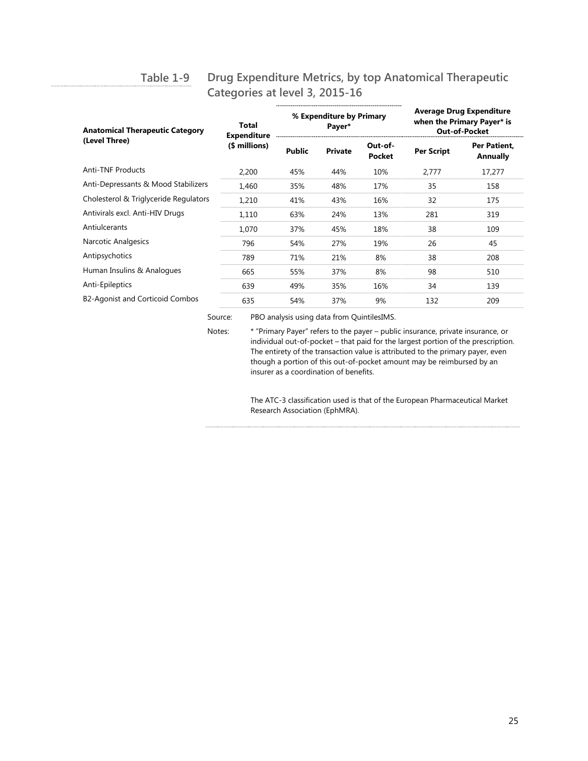#### **Drug Expenditure Metrics, by top Anatomical Therapeutic Categories at level 3, 2015-16 Table 1-9**

| <b>Anatomical Therapeutic Category</b> | Total<br><b>Expenditure</b><br>(\$ millions) | % Expenditure by Primary<br>Payer* |                | <b>Average Drug Expenditure</b><br>when the Primary Payer* is<br><b>Out-of-Pocket</b> |                   |                          |
|----------------------------------------|----------------------------------------------|------------------------------------|----------------|---------------------------------------------------------------------------------------|-------------------|--------------------------|
| (Level Three)                          |                                              | <b>Public</b>                      | <b>Private</b> | Out-of-<br><b>Pocket</b>                                                              | <b>Per Script</b> | Per Patient.<br>Annually |
| <b>Anti-TNF Products</b>               | 2,200                                        | 45%                                | 44%            | 10%                                                                                   | 2,777             | 17,277                   |
| Anti-Depressants & Mood Stabilizers    | 1,460                                        | 35%                                | 48%            | 17%                                                                                   | 35                | 158                      |
| Cholesterol & Triglyceride Regulators  | 1,210                                        | 41%                                | 43%            | 16%                                                                                   | 32                | 175                      |
| Antivirals excl. Anti-HIV Drugs        | 1,110                                        | 63%                                | 24%            | 13%                                                                                   | 281               | 319                      |
| Antiulcerants                          | 1,070                                        | 37%                                | 45%            | 18%                                                                                   | 38                | 109                      |
| Narcotic Analgesics                    | 796                                          | 54%                                | 27%            | 19%                                                                                   | 26                | 45                       |
| Antipsychotics                         | 789                                          | 71%                                | 21%            | 8%                                                                                    | 38                | 208                      |
| Human Insulins & Analogues             | 665                                          | 55%                                | 37%            | 8%                                                                                    | 98                | 510                      |
| Anti-Epileptics                        | 639                                          | 49%                                | 35%            | 16%                                                                                   | 34                | 139                      |
| B2-Agonist and Corticoid Combos        | 635                                          | 54%                                | 37%            | 9%                                                                                    | 132               | 209                      |

Source: PBO analysis using data from QuintilesIMS.

Notes: \* "Primary Payer" refers to the payer – public insurance, private insurance, or individual out-of-pocket – that paid for the largest portion of the prescription. The entirety of the transaction value is attributed to the primary payer, even though a portion of this out-of-pocket amount may be reimbursed by an insurer as a coordination of benefits.

> The ATC-3 classification used is that of the European Pharmaceutical Market Research Association (EphMRA).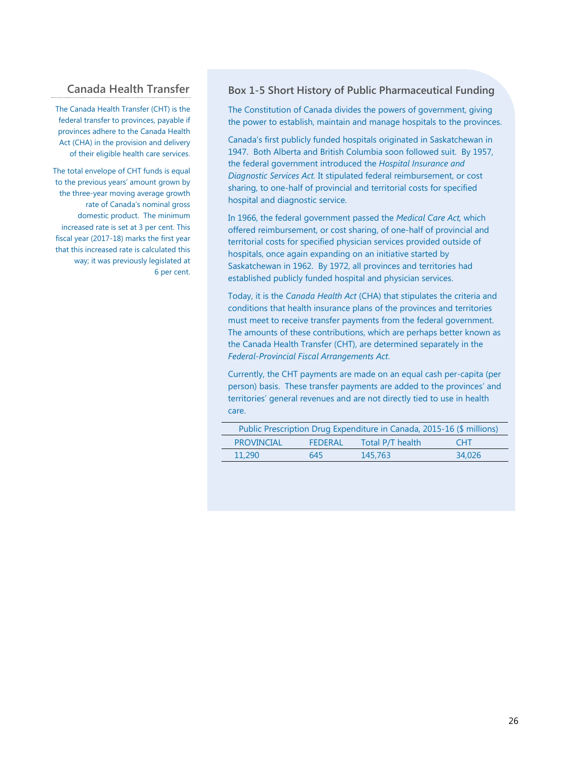# **Canada Health Transfer**

The Canada Health Transfer (CHT) is the federal transfer to provinces, payable if provinces adhere to the Canada Health Act (CHA) in the provision and delivery of their eligible health care services.

The total envelope of CHT funds is equal to the previous years' amount grown by the three-year moving average growth rate of Canada's nominal gross domestic product. The minimum increased rate is set at 3 per cent. This fiscal year (2017-18) marks the first year that this increased rate is calculated this way; it was previously legislated at 6 per cent.

#### **Box 1-5 Short History of Public Pharmaceutical Funding**

The Constitution of Canada divides the powers of government, giving the power to establish, maintain and manage hospitals to the provinces.

Canada's first publicly funded hospitals originated in Saskatchewan in 1947. Both Alberta and British Columbia soon followed suit. By 1957, the federal government introduced the *Hospital Insurance and Diagnostic Services Act.* It stipulated federal reimbursement, or cost sharing, to one-half of provincial and territorial costs for specified hospital and diagnostic service.

In 1966, the federal government passed the *Medical Care Act,* which offered reimbursement, or cost sharing, of one-half of provincial and territorial costs for specified physician services provided outside of hospitals, once again expanding on an initiative started by Saskatchewan in 1962. By 1972, all provinces and territories had established publicly funded hospital and physician services.

Today, it is the *Canada Health Act* (CHA) that stipulates the criteria and conditions that health insurance plans of the provinces and territories must meet to receive transfer payments from the federal government. The amounts of these contributions, which are perhaps better known as the Canada Health Transfer (CHT), are determined separately in the *Federal-Provincial Fiscal Arrangements Act*.

Currently, the CHT payments are made on an equal cash per-capita (per person) basis. These transfer payments are added to the provinces' and territories' general revenues and are not directly tied to use in health care.

| Public Prescription Drug Expenditure in Canada, 2015-16 (\$ millions) |                   |                |                  |            |
|-----------------------------------------------------------------------|-------------------|----------------|------------------|------------|
|                                                                       | <b>PROVINCIAL</b> | <b>FEDERAL</b> | Total P/T health | <b>CHT</b> |
|                                                                       | 11.290            | 645            | 145,763          | 34.026     |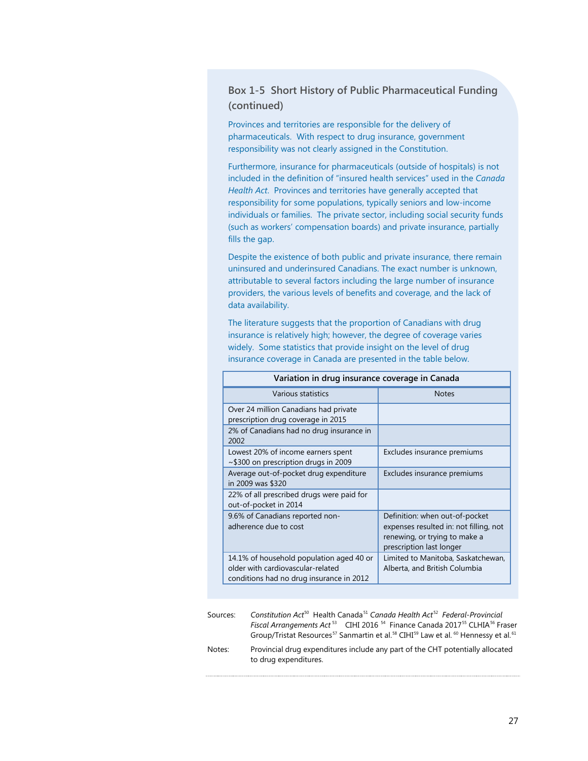## **Box 1-5 Short History of Public Pharmaceutical Funding (continued)**

Provinces and territories are responsible for the delivery of pharmaceuticals. With respect to drug insurance, government responsibility was not clearly assigned in the Constitution.

Furthermore, insurance for pharmaceuticals (outside of hospitals) is not included in the definition of "insured health services" used in the *Canada Health Act*. Provinces and territories have generally accepted that responsibility for some populations, typically seniors and low-income individuals or families. The private sector, including social security funds (such as workers' compensation boards) and private insurance, partially fills the gap.

Despite the existence of both public and private insurance, there remain uninsured and underinsured Canadians. The exact number is unknown, attributable to several factors including the large number of insurance providers, the various levels of benefits and coverage, and the lack of data availability.

The literature suggests that the proportion of Canadians with drug insurance is relatively high; however, the degree of coverage varies widely. Some statistics that provide insight on the level of drug insurance coverage in Canada are presented in the table below.

| Variation in drug insurance coverage in Canada                                                                            |                                                                                                                                       |  |
|---------------------------------------------------------------------------------------------------------------------------|---------------------------------------------------------------------------------------------------------------------------------------|--|
| Various statistics                                                                                                        | <b>Notes</b>                                                                                                                          |  |
| Over 24 million Canadians had private<br>prescription drug coverage in 2015                                               |                                                                                                                                       |  |
| 2% of Canadians had no drug insurance in<br>2002                                                                          |                                                                                                                                       |  |
| Lowest 20% of income earners spent<br>$\sim$ \$300 on prescription drugs in 2009                                          | Excludes insurance premiums                                                                                                           |  |
| Average out-of-pocket drug expenditure<br>in 2009 was \$320                                                               | Excludes insurance premiums                                                                                                           |  |
| 22% of all prescribed drugs were paid for<br>out-of-pocket in 2014                                                        |                                                                                                                                       |  |
| 9.6% of Canadians reported non-<br>adherence due to cost                                                                  | Definition: when out-of-pocket<br>expenses resulted in: not filling, not<br>renewing, or trying to make a<br>prescription last longer |  |
| 14.1% of household population aged 40 or<br>older with cardiovascular-related<br>conditions had no drug insurance in 2012 | Limited to Manitoba, Saskatchewan,<br>Alberta, and British Columbia                                                                   |  |

| Sources: | Constitution Act <sup>50</sup> Health Canada <sup>51</sup> Canada Health Act <sup>52</sup> Federal-Provincial                                  |
|----------|------------------------------------------------------------------------------------------------------------------------------------------------|
|          | Fiscal Arrangements Act <sup>53</sup> CIHI 2016 <sup>54</sup> Finance Canada 2017 <sup>55</sup> CLHIA <sup>56</sup> Fraser                     |
|          | Group/Tristat Resources <sup>57</sup> Sanmartin et al. <sup>58</sup> CIHI <sup>59</sup> Law et al. <sup>60</sup> Hennessy et al. <sup>61</sup> |
| Notes:   | Provincial drug expenditures include any part of the CHT potentially allocated<br>to drug expenditures.                                        |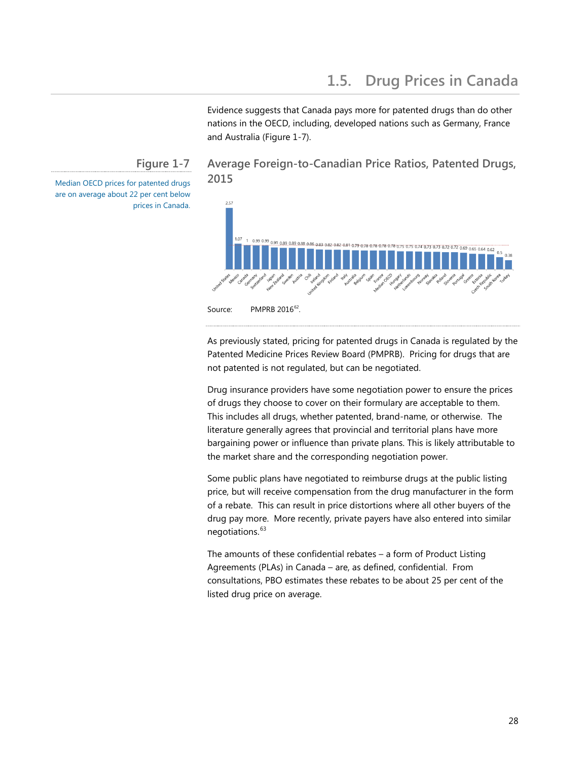Evidence suggests that Canada pays more for patented drugs than do other nations in the OECD, including, developed nations such as Germany, France and Australia (Figure 1-7).

## **Figure 1-7**

<span id="page-32-0"></span>Median OECD prices for patented drugs are on average about 22 per cent below prices in Canada.

# **Average Foreign-to-Canadian Price Ratios, Patented Drugs, 2015**



Source: PMPRB 2016<sup>62</sup>.

As previously stated, pricing for patented drugs in Canada is regulated by the Patented Medicine Prices Review Board (PMPRB). Pricing for drugs that are not patented is not regulated, but can be negotiated.

Drug insurance providers have some negotiation power to ensure the prices of drugs they choose to cover on their formulary are acceptable to them. This includes all drugs, whether patented, brand-name, or otherwise. The literature generally agrees that provincial and territorial plans have more bargaining power or influence than private plans. This is likely attributable to the market share and the corresponding negotiation power.

Some public plans have negotiated to reimburse drugs at the public listing price, but will receive compensation from the drug manufacturer in the form of a rebate. This can result in price distortions where all other buyers of the drug pay more. More recently, private payers have also entered into similar negotiations.<sup>[63](#page-92-4)</sup>

The amounts of these confidential rebates – a form of Product Listing Agreements (PLAs) in Canada – are, as defined, confidential. From consultations, PBO estimates these rebates to be about 25 per cent of the listed drug price on average.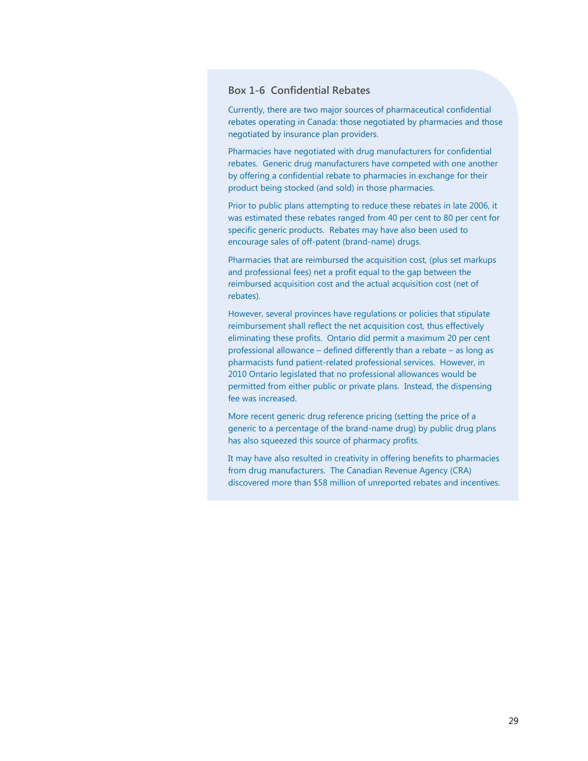### **Box 1-6 Confidential Rebates**

Currently, there are two major sources of pharmaceutical confidential rebates operating in Canada: those negotiated by pharmacies and those negotiated by insurance plan providers.

Pharmacies have negotiated with drug manufacturers for confidential rebates. Generic drug manufacturers have competed with one another by offering a confidential rebate to pharmacies in exchange for their product being stocked (and sold) in those pharmacies.

Prior to public plans attempting to reduce these rebates in late 2006, it was estimated these rebates ranged from 40 per cent to 80 per cent for specific generic products. Rebates may have also been used to encourage sales of off-patent (brand-name) drugs.

Pharmacies that are reimbursed the acquisition cost, (plus set markups and professional fees) net a profit equal to the gap between the reimbursed acquisition cost and the actual acquisition cost (net of rebates).

However, several provinces have regulations or policies that stipulate reimbursement shall reflect the net acquisition cost, thus effectively eliminating these profits. Ontario did permit a maximum 20 per cent professional allowance – defined differently than a rebate – as long as pharmacists fund patient-related professional services. However, in 2010 Ontario legislated that no professional allowances would be permitted from either public or private plans. Instead, the dispensing fee was increased.

More recent generic drug reference pricing (setting the price of a generic to a percentage of the brand-name drug) by public drug plans has also squeezed this source of pharmacy profits.

It may have also resulted in creativity in offering benefits to pharmacies from drug manufacturers. The Canadian Revenue Agency (CRA) discovered more than \$58 million of unreported rebates and incentives.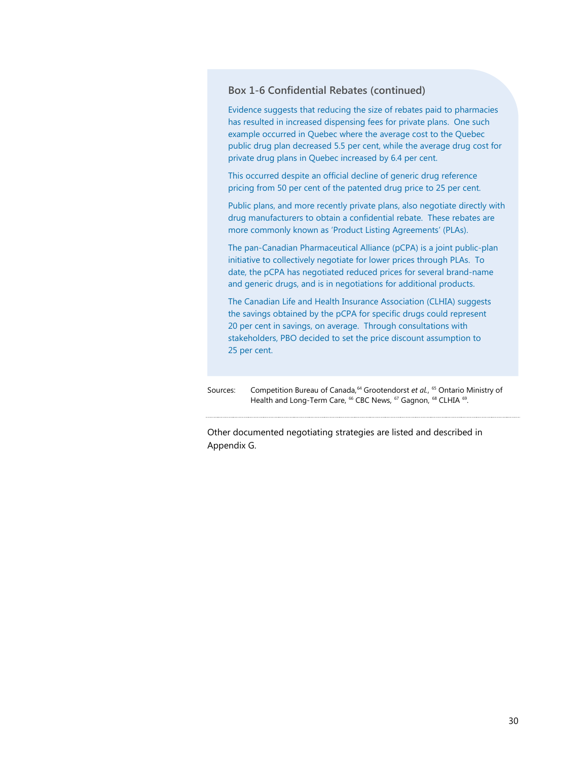#### <span id="page-34-0"></span>**Box 1-6 Confidential Rebates (continued)**

Evidence suggests that reducing the size of rebates paid to pharmacies has resulted in increased dispensing fees for private plans. One such example occurred in Quebec where the average cost to the Quebec public drug plan decreased 5.5 per cent, while the average drug cost for private drug plans in Quebec increased by 6.4 per cent.

This occurred despite an official decline of generic drug reference pricing from 50 per cent of the patented drug price to 25 per cent.

Public plans, and more recently private plans, also negotiate directly with drug manufacturers to obtain a confidential rebate. These rebates are more commonly known as 'Product Listing Agreements' (PLAs).

The pan-Canadian Pharmaceutical Alliance (pCPA) is a joint public-plan initiative to collectively negotiate for lower prices through PLAs. To date, the pCPA has negotiated reduced prices for several brand-name and generic drugs, and is in negotiations for additional products.

The Canadian Life and Health Insurance Association (CLHIA) suggests the savings obtained by the pCPA for specific drugs could represent 20 per cent in savings, on average. Through consultations with stakeholders, PBO decided to set the price discount assumption to 25 per cent.

Sources: Competition Bureau of Canada, <sup>[64](#page-92-5)</sup> Grootendorst *et al.*, <sup>[65](#page-92-16)</sup> Ontario Ministry of Health and Long-Term Care, <sup>66</sup> CBC News, <sup>[67](#page-92-18)</sup> Gagnon, <sup>[68](#page-92-19)</sup> CLHIA <sup>[69](#page-92-10)</sup>.

Other documented negotiating strategies are listed and described in Appendix G.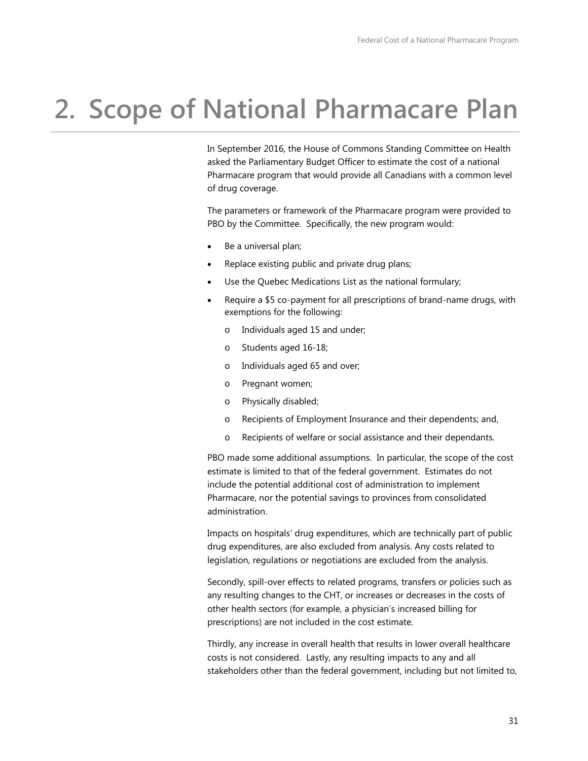# **2. Scope of National Pharmacare Plan**

In September 2016, the House of Commons Standing Committee on Health asked the Parliamentary Budget Officer to estimate the cost of a national Pharmacare program that would provide all Canadians with a common level of drug coverage.

The parameters or framework of the Pharmacare program were provided to PBO by the Committee. Specifically, the new program would:

- Be a universal plan;
- Replace existing public and private drug plans;
- Use the Quebec Medications List as the national formulary;
- Require a \$5 co-payment for all prescriptions of brand-name drugs, with exemptions for the following:
	- o Individuals aged 15 and under;
	- o Students aged 16-18;
	- o Individuals aged 65 and over;
	- o Pregnant women;
	- o Physically disabled;
	- o Recipients of Employment Insurance and their dependents; and,
	- o Recipients of welfare or social assistance and their dependants.

PBO made some additional assumptions. In particular, the scope of the cost estimate is limited to that of the federal government. Estimates do not include the potential additional cost of administration to implement Pharmacare, nor the potential savings to provinces from consolidated administration.

Impacts on hospitals' drug expenditures, which are technically part of public drug expenditures, are also excluded from analysis. Any costs related to legislation, regulations or negotiations are excluded from the analysis.

Secondly, spill-over effects to related programs, transfers or policies such as any resulting changes to the CHT, or increases or decreases in the costs of other health sectors (for example, a physician's increased billing for prescriptions) are not included in the cost estimate.

Thirdly, any increase in overall health that results in lower overall healthcare costs is not considered. Lastly, any resulting impacts to any and all stakeholders other than the federal government, including but not limited to,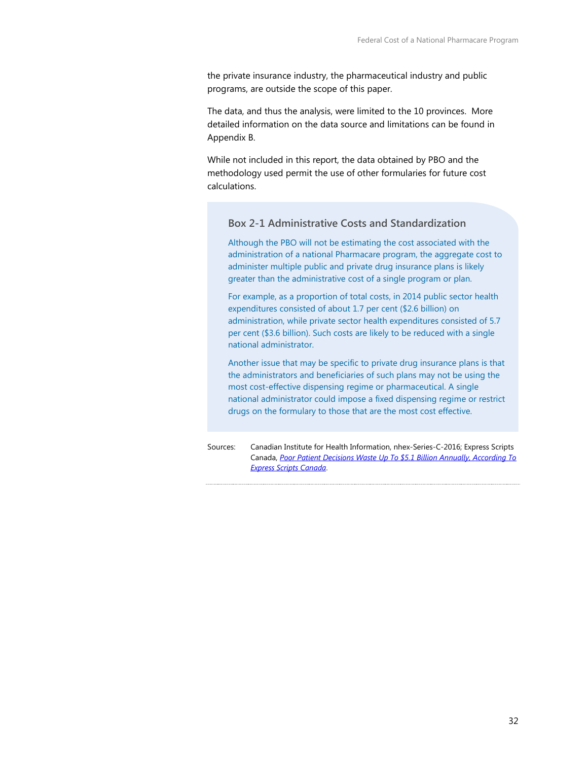the private insurance industry, the pharmaceutical industry and public programs, are outside the scope of this paper.

The data, and thus the analysis, were limited to the 10 provinces. More detailed information on the data source and limitations can be found in Appendix B.

While not included in this report, the data obtained by PBO and the methodology used permit the use of other formularies for future cost calculations.

#### **Box 2-1 Administrative Costs and Standardization**

Although the PBO will not be estimating the cost associated with the administration of a national Pharmacare program, the aggregate cost to administer multiple public and private drug insurance plans is likely greater than the administrative cost of a single program or plan.

For example, as a proportion of total costs, in 2014 public sector health expenditures consisted of about 1.7 per cent (\$2.6 billion) on administration, while private sector health expenditures consisted of 5.7 per cent (\$3.6 billion). Such costs are likely to be reduced with a single national administrator.

Another issue that may be specific to private drug insurance plans is that the administrators and beneficiaries of such plans may not be using the most cost-effective dispensing regime or pharmaceutical. A single national administrator could impose a fixed dispensing regime or restrict drugs on the formulary to those that are the most cost effective.

Sources: Canadian Institute for Health Information, nhex-Series-C-2016; Express Scripts Canada, *[Poor Patient Decisions Waste Up To \\$5.1 Billion Annually, According To](http://www.express-scripts.ca/news-room/poor-patient-decisions-waste-51-billion-annually-according-express-scripts)  [Express Scripts Canada](http://www.express-scripts.ca/news-room/poor-patient-decisions-waste-51-billion-annually-according-express-scripts)*.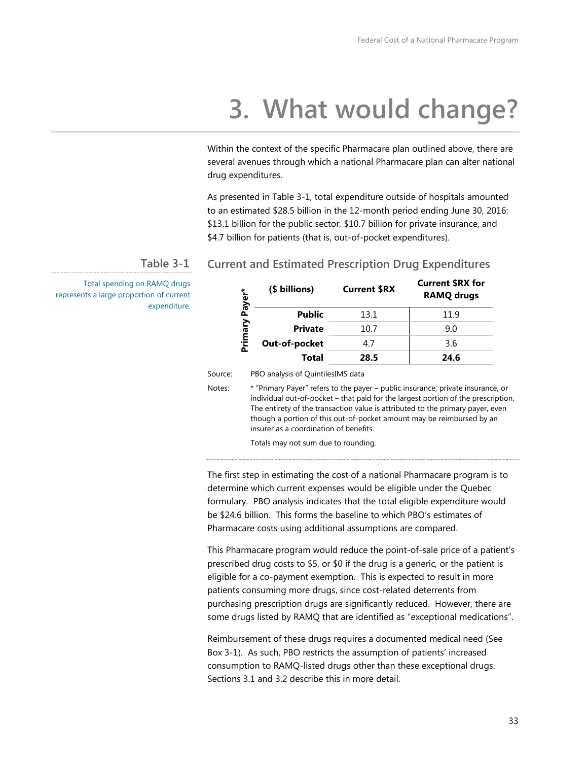# **3. What would change?**

Within the context of the specific Pharmacare plan outlined above, there are several avenues through which a national Pharmacare plan can alter national drug expenditures.

As presented in Table 3-1, total expenditure outside of hospitals amounted to an estimated \$28.5 billion in the 12-month period ending June 30, 2016: \$13.1 billion for the public sector, \$10.7 billion for private insurance, and \$4.7 billion for patients (that is, out-of-pocket expenditures).

#### **Current and Estimated Prescription Drug Expenditures Table 3-1**

Total spending on RAMQ drugs represents a large proportion of current expenditure.

| 乀<br>Payer | (\$ billions)                            | <b>Current \$RX</b> | <b>Current \$RX for</b><br><b>RAMQ drugs</b> |
|------------|------------------------------------------|---------------------|----------------------------------------------|
|            | <b>Public</b>                            | 13.1                | 11.9                                         |
|            | <b>Private</b>                           | 10.7                | 9.0                                          |
| Primary    | Out-of-pocket                            | 4.7                 | 3.6                                          |
|            | Total                                    | 28.5                | 24.6                                         |
| ۵.         | <b>PRO</b> analysis of QuintilesIMS data |                     |                                              |

Source: PBO analysis of QuintilesI

Notes: \* "Primary Payer" refers to the payer – public insurance, private insurance, or individual out-of-pocket – that paid for the largest portion of the prescription. The entirety of the transaction value is attributed to the primary payer, even though a portion of this out-of-pocket amount may be reimbursed by an insurer as a coordination of benefits.

Totals may not sum due to rounding.

The first step in estimating the cost of a national Pharmacare program is to determine which current expenses would be eligible under the Quebec formulary. PBO analysis indicates that the total eligible expenditure would be \$24.6 billion. This forms the baseline to which PBO's estimates of Pharmacare costs using additional assumptions are compared.

This Pharmacare program would reduce the point-of-sale price of a patient's prescribed drug costs to \$5, or \$0 if the drug is a generic, or the patient is eligible for a co-payment exemption. This is expected to result in more patients consuming more drugs, since cost-related deterrents from purchasing prescription drugs are significantly reduced. However, there are some drugs listed by RAMQ that are identified as "exceptional medications".

Reimbursement of these drugs requires a documented medical need (See Box 3-1). As such, PBO restricts the assumption of patients' increased consumption to RAMQ-listed drugs other than these exceptional drugs. Sections 3.1 and 3.2 describe this in more detail.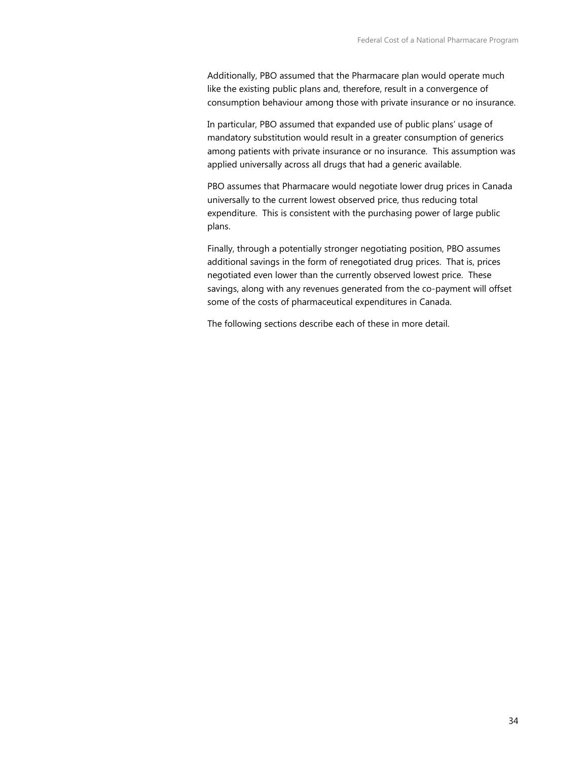Additionally, PBO assumed that the Pharmacare plan would operate much like the existing public plans and, therefore, result in a convergence of consumption behaviour among those with private insurance or no insurance.

In particular, PBO assumed that expanded use of public plans' usage of mandatory substitution would result in a greater consumption of generics among patients with private insurance or no insurance. This assumption was applied universally across all drugs that had a generic available.

PBO assumes that Pharmacare would negotiate lower drug prices in Canada universally to the current lowest observed price, thus reducing total expenditure. This is consistent with the purchasing power of large public plans.

Finally, through a potentially stronger negotiating position, PBO assumes additional savings in the form of renegotiated drug prices. That is, prices negotiated even lower than the currently observed lowest price. These savings, along with any revenues generated from the co-payment will offset some of the costs of pharmaceutical expenditures in Canada.

The following sections describe each of these in more detail.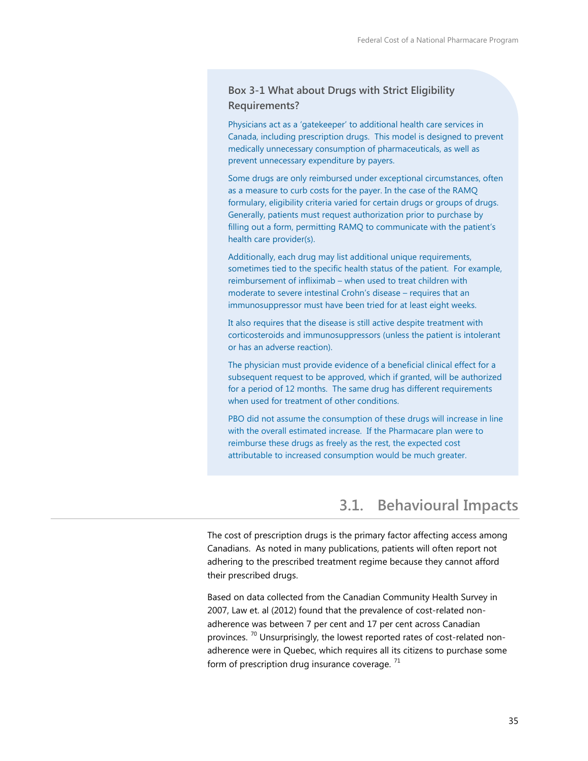### **Box 3-1 What about Drugs with Strict Eligibility Requirements?**

Physicians act as a 'gatekeeper' to additional health care services in Canada, including prescription drugs. This model is designed to prevent medically unnecessary consumption of pharmaceuticals, as well as prevent unnecessary expenditure by payers.

Some drugs are only reimbursed under exceptional circumstances, often as a measure to curb costs for the payer. In the case of the RAMQ formulary, eligibility criteria varied for certain drugs or groups of drugs. Generally, patients must request authorization prior to purchase by filling out a form, permitting RAMQ to communicate with the patient's health care provider(s).

Additionally, each drug may list additional unique requirements, sometimes tied to the specific health status of the patient. For example, reimbursement of infliximab – when used to treat children with moderate to severe intestinal Crohn's disease – requires that an immunosuppressor must have been tried for at least eight weeks.

It also requires that the disease is still active despite treatment with corticosteroids and immunosuppressors (unless the patient is intolerant or has an adverse reaction).

The physician must provide evidence of a beneficial clinical effect for a subsequent request to be approved, which if granted, will be authorized for a period of 12 months. The same drug has different requirements when used for treatment of other conditions.

PBO did not assume the consumption of these drugs will increase in line with the overall estimated increase. If the Pharmacare plan were to reimburse these drugs as freely as the rest, the expected cost attributable to increased consumption would be much greater.

## **3.1. Behavioural Impacts**

The cost of prescription drugs is the primary factor affecting access among Canadians. As noted in many publications, patients will often report not adhering to the prescribed treatment regime because they cannot afford their prescribed drugs.

Based on data collected from the Canadian Community Health Survey in 2007, Law et. al (2012) found that the prevalence of cost-related nonadherence was between 7 per cent and 17 per cent across Canadian provinces.<sup>[70](#page-92-0)</sup> Unsurprisingly, the lowest reported rates of cost-related nonadherence were in Quebec, which requires all its citizens to purchase some form of prescription drug insurance coverage.  $71$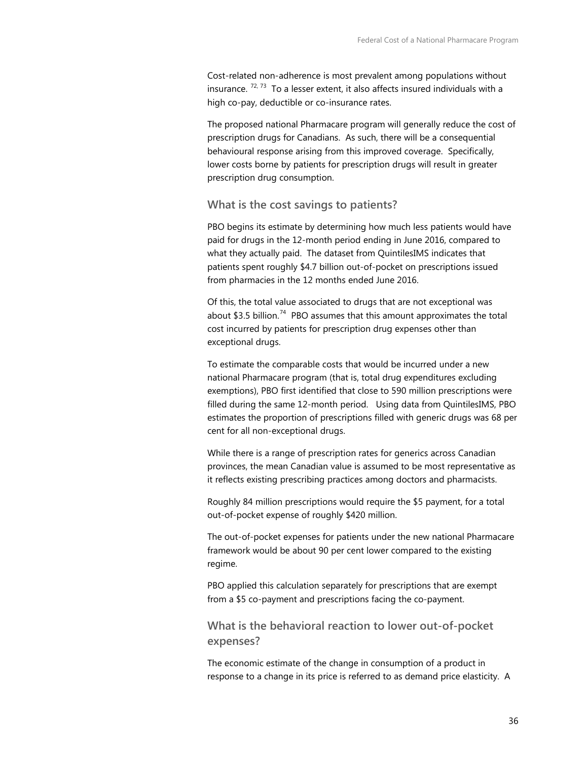Cost-related non-adherence is most prevalent among populations without insurance.  $72, 73$  $72, 73$  To a lesser extent, it also affects insured individuals with a high co-pay, deductible or co-insurance rates.

The proposed national Pharmacare program will generally reduce the cost of prescription drugs for Canadians. As such, there will be a consequential behavioural response arising from this improved coverage. Specifically, lower costs borne by patients for prescription drugs will result in greater prescription drug consumption.

**What is the cost savings to patients?**

PBO begins its estimate by determining how much less patients would have paid for drugs in the 12-month period ending in June 2016, compared to what they actually paid. The dataset from QuintilesIMS indicates that patients spent roughly \$4.7 billion out-of-pocket on prescriptions issued from pharmacies in the 12 months ended June 2016.

Of this, the total value associated to drugs that are not exceptional was about  $$3.5$  billion.<sup>74</sup> PBO assumes that this amount approximates the total cost incurred by patients for prescription drug expenses other than exceptional drugs.

To estimate the comparable costs that would be incurred under a new national Pharmacare program (that is, total drug expenditures excluding exemptions), PBO first identified that close to 590 million prescriptions were filled during the same 12-month period. Using data from QuintilesIMS, PBO estimates the proportion of prescriptions filled with generic drugs was 68 per cent for all non-exceptional drugs.

While there is a range of prescription rates for generics across Canadian provinces, the mean Canadian value is assumed to be most representative as it reflects existing prescribing practices among doctors and pharmacists.

Roughly 84 million prescriptions would require the \$5 payment, for a total out-of-pocket expense of roughly \$420 million.

The out-of-pocket expenses for patients under the new national Pharmacare framework would be about 90 per cent lower compared to the existing regime.

PBO applied this calculation separately for prescriptions that are exempt from a \$5 co-payment and prescriptions facing the co-payment.

**What is the behavioral reaction to lower out-of-pocket expenses?**

The economic estimate of the change in consumption of a product in response to a change in its price is referred to as demand price elasticity. A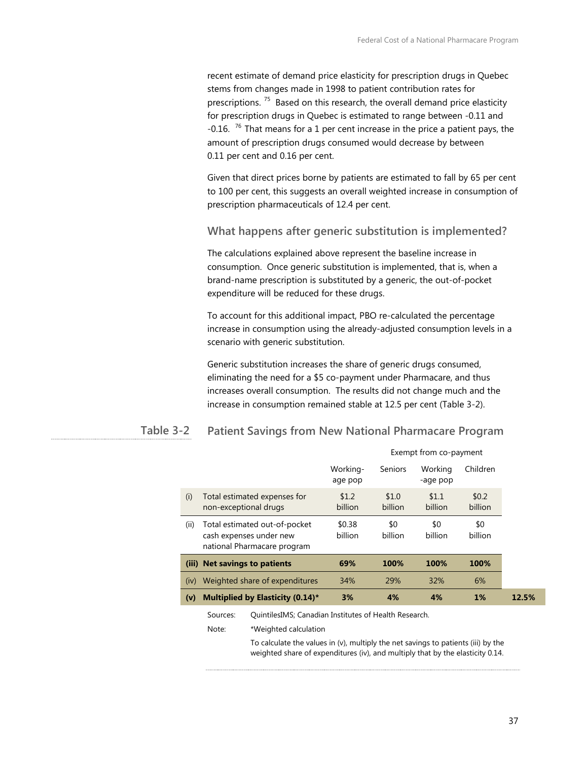recent estimate of demand price elasticity for prescription drugs in Quebec stems from changes made in 1998 to patient contribution rates for prescriptions.<sup>75</sup> Based on this research, the overall demand price elasticity for prescription drugs in Quebec is estimated to range between -0.11 and  $-0.16$ . <sup>76</sup> That means for a 1 per cent increase in the price a patient pays, the amount of prescription drugs consumed would decrease by between 0.11 per cent and 0.16 per cent.

Given that direct prices borne by patients are estimated to fall by 65 per cent to 100 per cent, this suggests an overall weighted increase in consumption of prescription pharmaceuticals of 12.4 per cent.

**What happens after generic substitution is implemented?**

The calculations explained above represent the baseline increase in consumption. Once generic substitution is implemented, that is, when a brand-name prescription is substituted by a generic, the out-of-pocket expenditure will be reduced for these drugs.

To account for this additional impact, PBO re-calculated the percentage increase in consumption using the already-adjusted consumption levels in a scenario with generic substitution.

Generic substitution increases the share of generic drugs consumed, eliminating the need for a \$5 co-payment under Pharmacare, and thus increases overall consumption. The results did not change much and the increase in consumption remained stable at 12.5 per cent (Table 3-2).

#### **Patient Savings from New National Pharmacare Program Table 3-2**

|       |                                                                                         | Exempt from co-payment |                  |                     |                    |       |
|-------|-----------------------------------------------------------------------------------------|------------------------|------------------|---------------------|--------------------|-------|
|       |                                                                                         | Working-<br>age pop    | Seniors          | Working<br>-age pop | Children           |       |
| (i)   | Total estimated expenses for<br>non-exceptional drugs                                   | \$1.2<br>billion       | \$1.0<br>billion | \$1.1<br>billion    | \$0.2\$<br>billion |       |
| (ii)  | Total estimated out-of-pocket<br>cash expenses under new<br>national Pharmacare program | \$0.38<br>billion      | \$0<br>billion   | \$0<br>billion      | \$0<br>billion     |       |
| (iii) | <b>Net savings to patients</b>                                                          | 69%                    | 100%             | 100%                | 100%               |       |
| (iv)  | Weighted share of expenditures                                                          | 34%                    | 29%              | 32%                 | 6%                 |       |
| (v)   | <b>Multiplied by Elasticity (0.14)*</b>                                                 | 3%                     | 4%               | 4%                  | $1\%$              | 12.5% |
|       | QuintilesIMS; Canadian Institutes of Health Research.<br>Sources:                       |                        |                  |                     |                    |       |

Note: \*Weighted calculation

To calculate the values in (v), multiply the net savings to patients (iii) by the weighted share of expenditures (iv), and multiply that by the elasticity 0.14.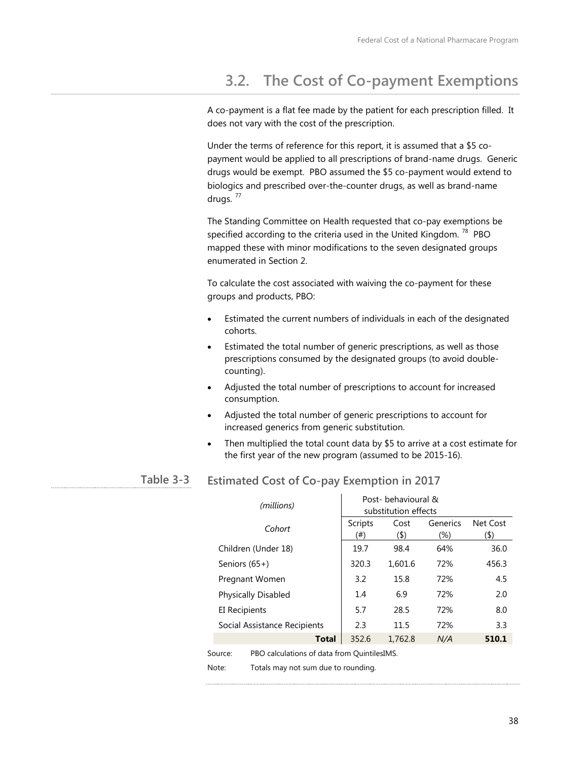## **3.2. The Cost of Co-payment Exemptions**

A co-payment is a flat fee made by the patient for each prescription filled. It does not vary with the cost of the prescription.

Under the terms of reference for this report, it is assumed that a \$5 copayment would be applied to all prescriptions of brand-name drugs. Generic drugs would be exempt. PBO assumed the \$5 co-payment would extend to biologics and prescribed over-the-counter drugs, as well as brand-name drugs.  $77$ 

The Standing Committee on Health requested that co-pay exemptions be specified according to the criteria used in the United Kingdom.  $78$  PBO mapped these with minor modifications to the seven designated groups enumerated in Section 2.

To calculate the cost associated with waiving the co-payment for these groups and products, PBO:

- Estimated the current numbers of individuals in each of the designated cohorts.
- Estimated the total number of generic prescriptions, as well as those prescriptions consumed by the designated groups (to avoid doublecounting).
- Adjusted the total number of prescriptions to account for increased consumption.
- Adjusted the total number of generic prescriptions to account for increased generics from generic substitution.
- Then multiplied the total count data by \$5 to arrive at a cost estimate for the first year of the new program (assumed to be 2015-16).

#### **Estimated Cost of Co-pay Exemption in 2017 Table 3-3**

| Net Cost<br>Scripts<br>Generics<br>Cost<br>Cohort<br>(\$)<br>$(\boldsymbol{\$})$<br>(#)<br>$(\%)$<br>Children (Under 18)<br>98.4<br>64%<br>36.0<br>19.7<br>320.3<br>72%<br>1,601.6<br>456.3<br>Seniors (65+)<br>15.8<br>4.5<br>3.2<br>72%<br>Pregnant Women<br>Physically Disabled<br>2.0<br>6.9<br>72%<br>1.4<br>5.7<br>28.5<br>72%<br>8.0<br><b>EI Recipients</b><br>3.3<br>Social Assistance Recipients<br>2.3<br>11.5<br>72%<br>352.6<br><b>Total</b><br>1,762.8<br>N/A<br>510.1 | (millions) | Post-behavioural &<br>substitution effects |  |  |  |  |
|--------------------------------------------------------------------------------------------------------------------------------------------------------------------------------------------------------------------------------------------------------------------------------------------------------------------------------------------------------------------------------------------------------------------------------------------------------------------------------------|------------|--------------------------------------------|--|--|--|--|
|                                                                                                                                                                                                                                                                                                                                                                                                                                                                                      |            |                                            |  |  |  |  |
|                                                                                                                                                                                                                                                                                                                                                                                                                                                                                      |            |                                            |  |  |  |  |
|                                                                                                                                                                                                                                                                                                                                                                                                                                                                                      |            |                                            |  |  |  |  |
|                                                                                                                                                                                                                                                                                                                                                                                                                                                                                      |            |                                            |  |  |  |  |
|                                                                                                                                                                                                                                                                                                                                                                                                                                                                                      |            |                                            |  |  |  |  |
|                                                                                                                                                                                                                                                                                                                                                                                                                                                                                      |            |                                            |  |  |  |  |
|                                                                                                                                                                                                                                                                                                                                                                                                                                                                                      |            |                                            |  |  |  |  |
|                                                                                                                                                                                                                                                                                                                                                                                                                                                                                      |            |                                            |  |  |  |  |

Source: PBO calculations of data from QuintilesIMS.

Note: Totals may not sum due to rounding.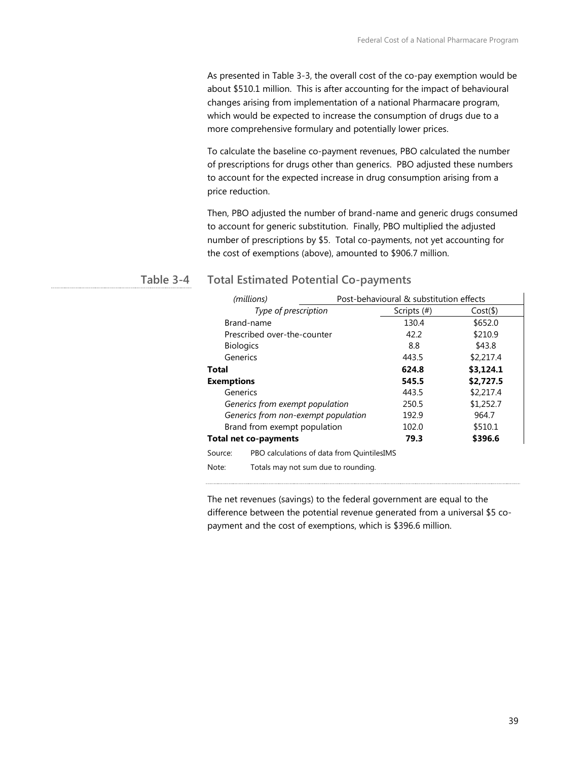As presented in Table 3-3, the overall cost of the co-pay exemption would be about \$510.1 million. This is after accounting for the impact of behavioural changes arising from implementation of a national Pharmacare program, which would be expected to increase the consumption of drugs due to a more comprehensive formulary and potentially lower prices.

To calculate the baseline co-payment revenues, PBO calculated the number of prescriptions for drugs other than generics. PBO adjusted these numbers to account for the expected increase in drug consumption arising from a price reduction.

Then, PBO adjusted the number of brand-name and generic drugs consumed to account for generic substitution. Finally, PBO multiplied the adjusted number of prescriptions by \$5. Total co-payments, not yet accounting for the cost of exemptions (above), amounted to \$906.7 million.

#### **Total Estimated Potential Co-payments Table 3-4**

| (millions)            |                                            |                | Post-behavioural & substitution effects |  |  |  |
|-----------------------|--------------------------------------------|----------------|-----------------------------------------|--|--|--|
|                       | Type of prescription                       | Scripts $(\#)$ | $Cost(\$)$                              |  |  |  |
|                       | Brand-name                                 | 130.4          | \$652.0                                 |  |  |  |
|                       | Prescribed over-the-counter                | 42.2           | \$210.9                                 |  |  |  |
|                       | <b>Biologics</b>                           | 8.8            | \$43.8                                  |  |  |  |
|                       | Generics                                   | 443.5          | \$2,217.4                               |  |  |  |
| Total                 |                                            | 624.8          | \$3,124.1                               |  |  |  |
| <b>Exemptions</b>     |                                            | 545.5          | \$2,727.5                               |  |  |  |
| Generics              |                                            | 443.5          | \$2,217.4                               |  |  |  |
|                       | Generics from exempt population            | 250.5          | \$1,252.7                               |  |  |  |
|                       | Generics from non-exempt population        | 192.9          | 964.7                                   |  |  |  |
|                       | Brand from exempt population               | 102.0          | \$510.1                                 |  |  |  |
| Total net co-payments |                                            | 79.3           | \$396.6                                 |  |  |  |
| Source:               | PBO calculations of data from QuintilesIMS |                |                                         |  |  |  |
| Note:                 | Totals may not sum due to rounding.        |                |                                         |  |  |  |

The net revenues (savings) to the federal government are equal to the difference between the potential revenue generated from a universal \$5 copayment and the cost of exemptions, which is \$396.6 million.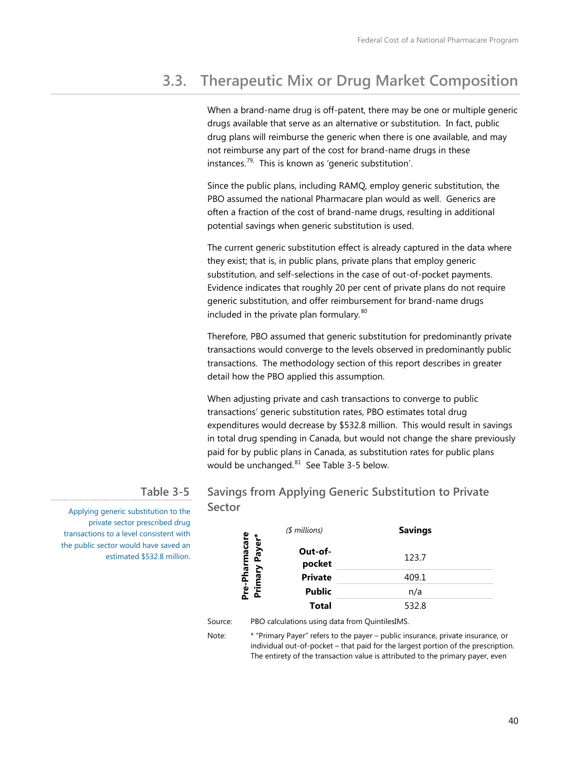# **3.3. Therapeutic Mix or Drug Market Composition**

When a brand-name drug is off-patent, there may be one or multiple generic drugs available that serve as an alternative or substitution. In fact, public drug plans will reimburse the generic when there is one available, and may not reimburse any part of the cost for brand-name drugs in these instances.<sup>[79,](#page-92-9)</sup> This is known as 'generic substitution'.

Since the public plans, including RAMQ, employ generic substitution, the PBO assumed the national Pharmacare plan would as well. Generics are often a fraction of the cost of brand-name drugs, resulting in additional potential savings when generic substitution is used.

The current generic substitution effect is already captured in the data where they exist; that is, in public plans, private plans that employ generic substitution, and self-selections in the case of out-of-pocket payments. Evidence indicates that roughly 20 per cent of private plans do not require generic substitution, and offer reimbursement for brand-name drugs included in the private plan formulary.<sup>80</sup>

Therefore, PBO assumed that generic substitution for predominantly private transactions would converge to the levels observed in predominantly public transactions. The methodology section of this report describes in greater detail how the PBO applied this assumption.

When adjusting private and cash transactions to converge to public transactions' generic substitution rates, PBO estimates total drug expenditures would decrease by \$532.8 million. This would result in savings in total drug spending in Canada, but would not change the share previously paid for by public plans in Canada, as substitution rates for public plans would be unchanged. $81$  See Table 3-5 below.

### **Savings from Applying Generic Substitution to Private Sector**

Applying generic substitution to the private sector prescribed drug transactions to a level consistent with the public sector would have saved an estimated \$532.8 million.

**Table 3-5**

|                                              | $$$ millions)     | <b>Savings</b> |
|----------------------------------------------|-------------------|----------------|
| <sup>I</sup> re-Pharmacare<br>Primary Payer* | Out-of-<br>pocket | 123.7          |
|                                              | <b>Private</b>    | 409.1          |
| 훉<br>ō                                       | <b>Public</b>     | n/a            |
|                                              | Total             | 532.8          |

#### Source: PBO calculations using data from QuintilesIMS.

Note: \* "Primary Payer" refers to the payer – public insurance, private insurance, or individual out-of-pocket – that paid for the largest portion of the prescription. The entirety of the transaction value is attributed to the primary payer, even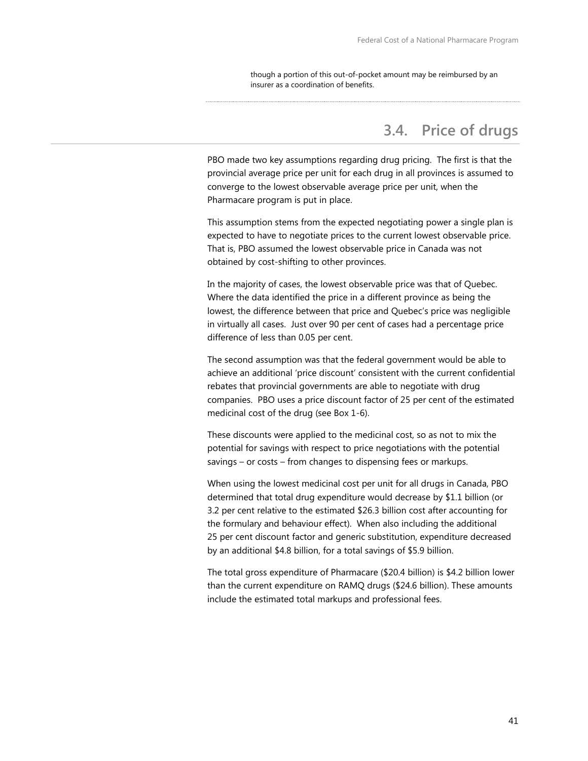though a portion of this out-of-pocket amount may be reimbursed by an insurer as a coordination of benefits.

## **3.4. Price of drugs**

PBO made two key assumptions regarding drug pricing. The first is that the provincial average price per unit for each drug in all provinces is assumed to converge to the lowest observable average price per unit, when the Pharmacare program is put in place.

This assumption stems from the expected negotiating power a single plan is expected to have to negotiate prices to the current lowest observable price. That is, PBO assumed the lowest observable price in Canada was not obtained by cost-shifting to other provinces.

In the majority of cases, the lowest observable price was that of Quebec. Where the data identified the price in a different province as being the lowest, the difference between that price and Quebec's price was negligible in virtually all cases. Just over 90 per cent of cases had a percentage price difference of less than 0.05 per cent.

The second assumption was that the federal government would be able to achieve an additional 'price discount' consistent with the current confidential rebates that provincial governments are able to negotiate with drug companies. PBO uses a price discount factor of 25 per cent of the estimated medicinal cost of the drug (see Box 1-6).

These discounts were applied to the medicinal cost, so as not to mix the potential for savings with respect to price negotiations with the potential savings – or costs – from changes to dispensing fees or markups.

When using the lowest medicinal cost per unit for all drugs in Canada, PBO determined that total drug expenditure would decrease by \$1.1 billion (or 3.2 per cent relative to the estimated \$26.3 billion cost after accounting for the formulary and behaviour effect). When also including the additional 25 per cent discount factor and generic substitution, expenditure decreased by an additional \$4.8 billion, for a total savings of \$5.9 billion.

The total gross expenditure of Pharmacare (\$20.4 billion) is \$4.2 billion lower than the current expenditure on RAMQ drugs (\$24.6 billion). These amounts include the estimated total markups and professional fees.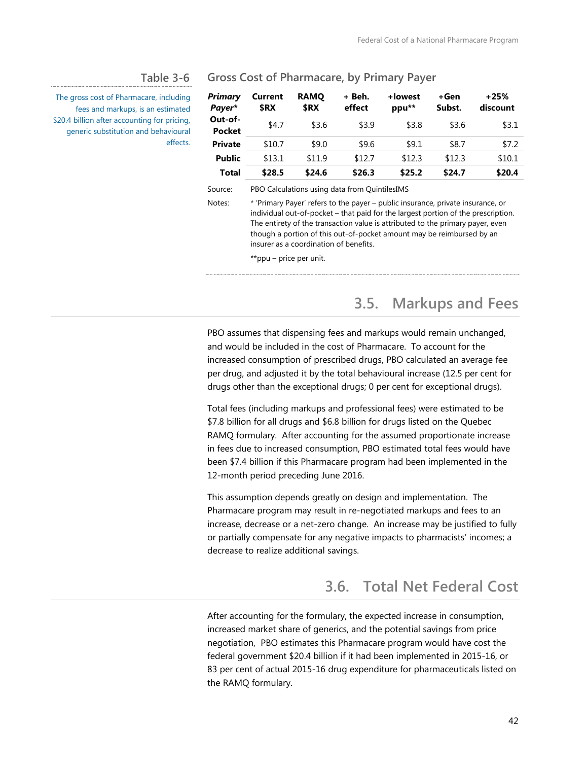#### **Table 3-6**

The gross cost of Pharmacare, including fees and markups, is an estimated \$20.4 billion after accounting for pricing, generic substitution and behavioural effects.

#### **Gross Cost of Pharmacare, by Primary Payer**

| Primary<br>Payer*        | Current<br>\$RX | <b>RAMO</b><br>\$RX | + Beh.<br>effect | +lowest<br>ppu** | +Gen<br>Subst. | $+25%$<br>discount |
|--------------------------|-----------------|---------------------|------------------|------------------|----------------|--------------------|
| Out-of-<br><b>Pocket</b> | \$4.7           | \$3.6               | \$3.9            | \$3.8            | \$3.6          | \$3.1              |
| <b>Private</b>           | \$10.7          | \$9.0               | \$9.6            | \$9.1            | \$8.7          | \$7.2              |
| <b>Public</b>            | \$13.1          | \$11.9              | \$12.7           | \$12.3           | \$12.3         | \$10.1             |
| Total                    | \$28.5          | \$24.6              | \$26.3           | \$25.2           | \$24.7         | \$20.4             |

Source: PBO Calculations using data from QuintilesIMS

Notes: \* 'Primary Payer' refers to the payer – public insurance, private insurance, or individual out-of-pocket – that paid for the largest portion of the prescription. The entirety of the transaction value is attributed to the primary payer, even though a portion of this out-of-pocket amount may be reimbursed by an insurer as a coordination of benefits.

\*\*ppu – price per unit.

## **3.5. Markups and Fees**

PBO assumes that dispensing fees and markups would remain unchanged, and would be included in the cost of Pharmacare. To account for the increased consumption of prescribed drugs, PBO calculated an average fee per drug, and adjusted it by the total behavioural increase (12.5 per cent for drugs other than the exceptional drugs; 0 per cent for exceptional drugs).

Total fees (including markups and professional fees) were estimated to be \$7.8 billion for all drugs and \$6.8 billion for drugs listed on the Quebec RAMQ formulary. After accounting for the assumed proportionate increase in fees due to increased consumption, PBO estimated total fees would have been \$7.4 billion if this Pharmacare program had been implemented in the 12-month period preceding June 2016.

This assumption depends greatly on design and implementation. The Pharmacare program may result in re-negotiated markups and fees to an increase, decrease or a net-zero change. An increase may be justified to fully or partially compensate for any negative impacts to pharmacists' incomes; a decrease to realize additional savings.

## **3.6. Total Net Federal Cost**

After accounting for the formulary, the expected increase in consumption, increased market share of generics, and the potential savings from price negotiation, PBO estimates this Pharmacare program would have cost the federal government \$20.4 billion if it had been implemented in 2015-16, or 83 per cent of actual 2015-16 drug expenditure for pharmaceuticals listed on the RAMQ formulary.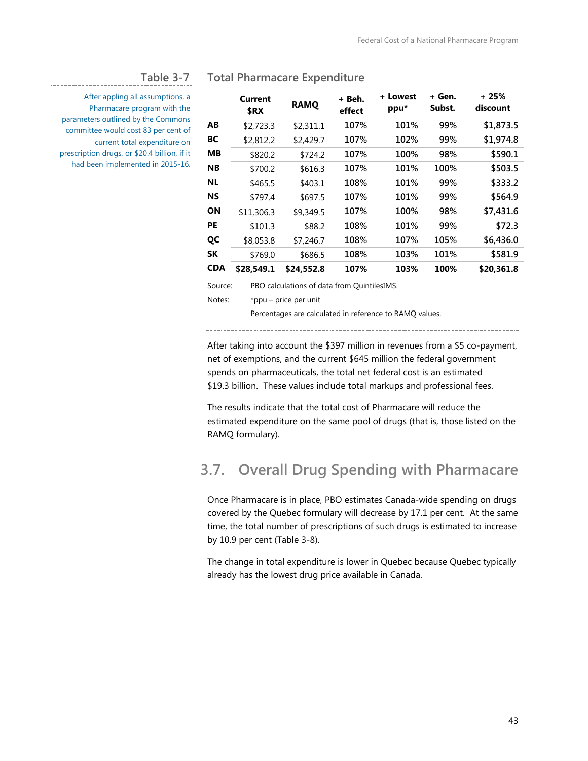#### **Table 3-7**

After appling all assumptions, a Pharmacare program with the parameters outlined by the Commons committee would cost 83 per cent of current total expenditure on prescription drugs, or \$20.4 billion, if it had been implemented in 2015-16.

|     | Current<br>\$RX | <b>RAMO</b> | + Beh.<br>effect | + Lowest<br>ppu* | + Gen.<br>Subst. | + 25%<br>discount |
|-----|-----------------|-------------|------------------|------------------|------------------|-------------------|
| ΑВ  | \$2,723.3       | \$2,311.1   | 107%             | 101%             | 99%              | \$1,873.5         |
| BС  | \$2,812.2       | \$2,429.7   | 107%             | 102%             | 99%              | \$1,974.8         |
| ΜВ  | \$820.2         | \$724.2     | 107%             | 100%             | 98%              | \$590.1           |
| NΒ  | \$700.2         | \$616.3     | 107%             | 101%             | 100%             | \$503.5           |
| NL  | \$465.5         | \$403.1     | 108%             | 101%             | 99%              | \$333.2           |
| NS  | \$797.4         | \$697.5     | 107%             | 101%             | 99%              | \$564.9           |
| ΟN  | \$11,306.3      | \$9,349.5   | 107%             | 100%             | 98%              | \$7,431.6         |
| PE  | \$101.3         | \$88.2      | 108%             | 101%             | 99%              | \$72.3            |
| QC  | \$8,053.8       | \$7,246.7   | 108%             | 107%             | 105%             | \$6,436.0         |
| SΚ  | \$769.0         | \$686.5     | 108%             | 103%             | 101%             | \$581.9           |
| CDA | \$28.549.1      | \$24,552.8  | 107%             | 103%             | 100%             | \$20,361.8        |
|     |                 |             |                  |                  |                  |                   |

#### **Total Pharmacare Expenditure**

Source: PBO calculations of data from QuintilesIMS.

Notes: \*ppu – price per unit

Percentages are calculated in reference to RAMQ values.

After taking into account the \$397 million in revenues from a \$5 co-payment, net of exemptions, and the current \$645 million the federal government spends on pharmaceuticals, the total net federal cost is an estimated \$19.3 billion. These values include total markups and professional fees.

The results indicate that the total cost of Pharmacare will reduce the estimated expenditure on the same pool of drugs (that is, those listed on the RAMQ formulary).

## **3.7. Overall Drug Spending with Pharmacare**

Once Pharmacare is in place, PBO estimates Canada-wide spending on drugs covered by the Quebec formulary will decrease by 17.1 per cent. At the same time, the total number of prescriptions of such drugs is estimated to increase by 10.9 per cent (Table 3-8).

The change in total expenditure is lower in Quebec because Quebec typically already has the lowest drug price available in Canada.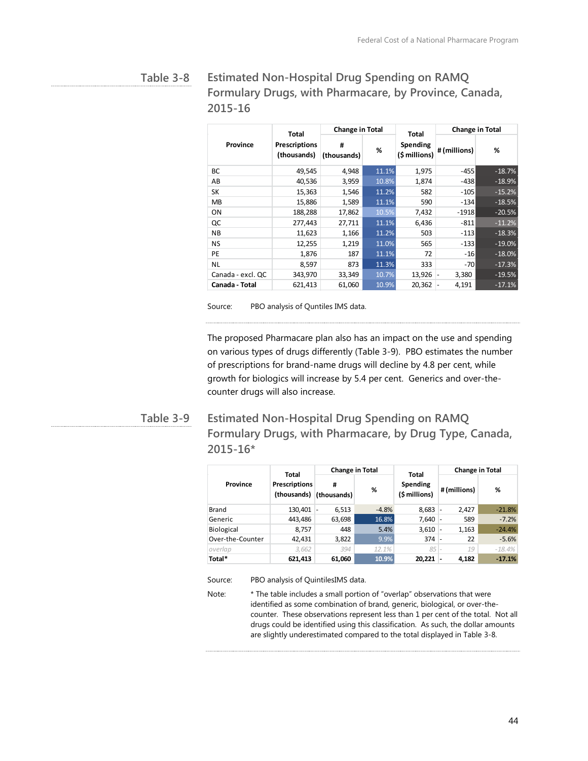#### **Estimated Non-Hospital Drug Spending on RAMQ Formulary Drugs, with Pharmacare, by Province, Canada, 2015-16 Table 3-8**

|                   | <b>Change in Total</b><br><b>Total</b> |                  |       | <b>Total</b>              |                                   | <b>Change in Total</b> |
|-------------------|----------------------------------------|------------------|-------|---------------------------|-----------------------------------|------------------------|
| Province          | <b>Prescriptions</b><br>(thousands)    | #<br>(thousands) | %     | Spending<br>(\$ millions) | #(millions)                       | %                      |
| BС                | 49,545                                 | 4,948            | 11.1% | 1,975                     | $-455$                            | $-18.7%$               |
| AB                | 40,536                                 | 3,959            | 10.8% | 1,874                     | $-438$                            | $-18.9%$               |
| SK                | 15,363                                 | 1,546            | 11.2% | 582                       | $-105$                            | $-15.2%$               |
| <b>MB</b>         | 15,886                                 | 1,589            | 11.1% | 590                       | $-134$                            | $-18.5%$               |
| ON                | 188,288                                | 17,862           | 10.5% | 7,432                     | $-1918$                           | $-20.5%$               |
| QC                | 277,443                                | 27,711           | 11.1% | 6,436                     | $-811$                            | $-11.2%$               |
| <b>NB</b>         | 11,623                                 | 1,166            | 11.2% | 503                       | $-113$                            | $-18.3%$               |
| NS                | 12,255                                 | 1,219            | 11.0% | 565                       | $-133$                            | $-19.0%$               |
| PE                | 1,876                                  | 187              | 11.1% | 72                        | $-16$                             | $-18.0%$               |
| <b>NL</b>         | 8,597                                  | 873              | 11.3% | 333                       | $-70$                             | $-17.3%$               |
| Canada - excl. QC | 343,970                                | 33,349           | 10.7% | 13,926                    | 3,380<br>$\overline{\phantom{m}}$ | $-19.5%$               |
| Canada - Total    | 621,413                                | 61,060           | 10.9% | 20,362                    | 4,191                             | $-17.1%$               |

Source: PBO analysis of Quntiles IMS data.

The proposed Pharmacare plan also has an impact on the use and spending on various types of drugs differently (Table 3-9). PBO estimates the number of prescriptions for brand-name drugs will decline by 4.8 per cent, while growth for biologics will increase by 5.4 per cent. Generics and over-thecounter drugs will also increase.

#### **Estimated Non-Hospital Drug Spending on RAMQ Formulary Drugs, with Pharmacare, by Drug Type, Canada, 2015-16\* Table 3-9**

|                  | Total                               | <b>Change in Total</b> |         | Total                     | <b>Change in Total</b> |          |  |
|------------------|-------------------------------------|------------------------|---------|---------------------------|------------------------|----------|--|
| Province         | <b>Prescriptions</b><br>(thousands) | #<br>(thousands)       | %       | Spending<br>(\$ millions) | # (millions)           | %        |  |
| Brand            | 130,401                             | 6,513                  | $-4.8%$ | 8,683                     | 2,427<br>٠             | $-21.8%$ |  |
| Generic          | 443,486                             | 63,698                 | 16.8%   | 7.640                     | 589                    | $-7.2%$  |  |
| Biological       | 8,757                               | 448                    | 5.4%    | 3,610                     | 1,163                  | $-24.4%$ |  |
| Over-the-Counter | 42,431                              | 3,822                  | 9.9%    | 374                       | 22                     | $-5.6%$  |  |
| overlap          | 3,662                               | 394                    | 12.1%   | 85                        | 19                     | $-18.4%$ |  |
| Total*           | 621,413                             | 61,060                 | 10.9%   | 20.221                    | 4,182<br>-             | $-17.1%$ |  |

Source: PBO analysis of QuintilesIMS data.

Note: \* The table includes a small portion of "overlap" observations that were identified as some combination of brand, generic, biological, or over-thecounter. These observations represent less than 1 per cent of the total. Not all drugs could be identified using this classification. As such, the dollar amounts are slightly underestimated compared to the total displayed in Table 3-8.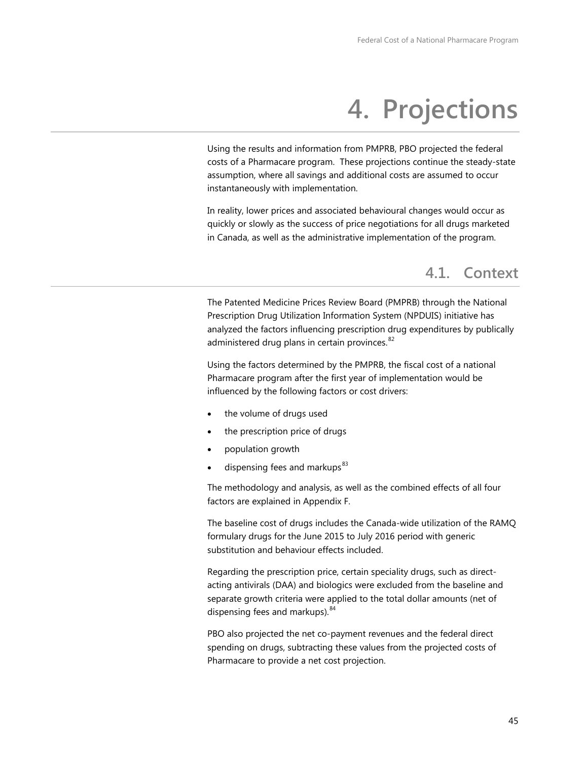# **4. Projections**

Using the results and information from PMPRB, PBO projected the federal costs of a Pharmacare program. These projections continue the steady-state assumption, where all savings and additional costs are assumed to occur instantaneously with implementation.

In reality, lower prices and associated behavioural changes would occur as quickly or slowly as the success of price negotiations for all drugs marketed in Canada, as well as the administrative implementation of the program.

## **4.1. Context**

The Patented Medicine Prices Review Board (PMPRB) through the National Prescription Drug Utilization Information System (NPDUIS) initiative has analyzed the factors influencing prescription drug expenditures by publically administered drug plans in certain provinces. $^{82}$ 

Using the factors determined by the PMPRB, the fiscal cost of a national Pharmacare program after the first year of implementation would be influenced by the following factors or cost drivers:

- the volume of drugs used
- the prescription price of drugs
- population growth
- dispensing fees and markups $83$

The methodology and analysis, as well as the combined effects of all four factors are explained in Appendix F.

The baseline cost of drugs includes the Canada-wide utilization of the RAMQ formulary drugs for the June 2015 to July 2016 period with generic substitution and behaviour effects included.

Regarding the prescription price, certain speciality drugs, such as directacting antivirals (DAA) and biologics were excluded from the baseline and separate growth criteria were applied to the total dollar amounts (net of dispensing fees and markups).<sup>[84](#page-92-14)</sup>

PBO also projected the net co-payment revenues and the federal direct spending on drugs, subtracting these values from the projected costs of Pharmacare to provide a net cost projection.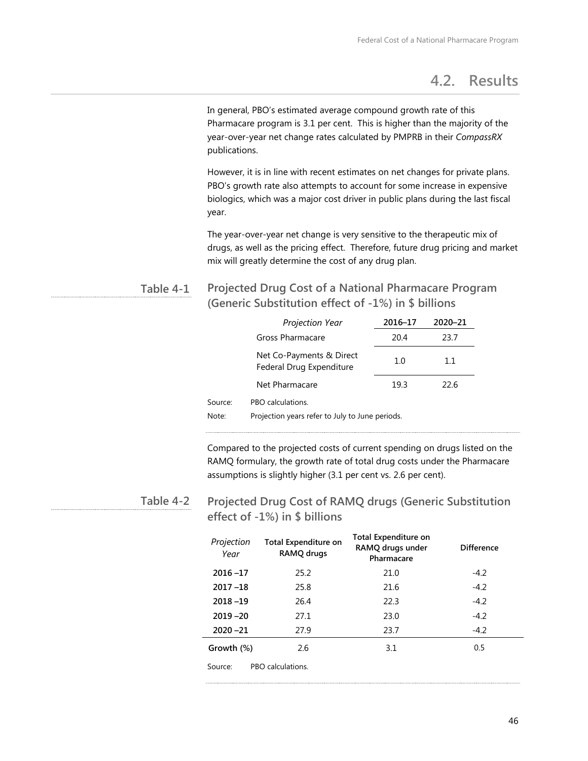## **4.2. Results**

In general, PBO's estimated average compound growth rate of this Pharmacare program is 3.1 per cent. This is higher than the majority of the year-over-year net change rates calculated by PMPRB in their *CompassRX* publications.

However, it is in line with recent estimates on net changes for private plans. PBO's growth rate also attempts to account for some increase in expensive biologics, which was a major cost driver in public plans during the last fiscal year.

The year-over-year net change is very sensitive to the therapeutic mix of drugs, as well as the pricing effect. Therefore, future drug pricing and market mix will greatly determine the cost of any drug plan.

#### **Projected Drug Cost of a National Pharmacare Program (Generic Substitution effect of -1%) in \$ billions Table 4-1**

|                                                                                          | Projection Year                                      | 2016-17 | 2020-21 |  |  |
|------------------------------------------------------------------------------------------|------------------------------------------------------|---------|---------|--|--|
|                                                                                          | Gross Pharmacare                                     | 20.4    | 23.7    |  |  |
|                                                                                          | Net Co-Payments & Direct<br>Federal Drug Expenditure | 1.0     | 1.1     |  |  |
|                                                                                          | Net Pharmacare                                       | 19.3    | 22.6    |  |  |
| Source:<br>PBO calculations.<br>Projection years refer to July to June periods.<br>Note: |                                                      |         |         |  |  |
|                                                                                          |                                                      |         |         |  |  |

Compared to the projected costs of current spending on drugs listed on the RAMQ formulary, the growth rate of total drug costs under the Pharmacare assumptions is slightly higher (3.1 per cent vs. 2.6 per cent).

#### **Projected Drug Cost of RAMQ drugs (Generic Substitution effect of -1%) in \$ billions Table 4-2**

| Projection<br>Year | <b>Total Expenditure on</b><br>RAMQ drugs | <b>Total Expenditure on</b><br>RAMQ drugs under<br>Pharmacare | <b>Difference</b> |
|--------------------|-------------------------------------------|---------------------------------------------------------------|-------------------|
| $2016 - 17$        | 25.2                                      | 21.0                                                          | $-4.2$            |
| $2017 - 18$        | 25.8                                      | 21.6                                                          | $-4.2$            |
| $2018 - 19$        | 26.4                                      | 22.3                                                          | $-4.2$            |
| $2019 - 20$        | 27.1                                      | 23.0                                                          | $-4.2$            |
| $2020 - 21$        | 27.9                                      | 23.7                                                          | $-4.2$            |
| Growth (%)         | 2.6                                       | 3.1                                                           | 0.5               |
| Source:            | PBO calculations.                         |                                                               |                   |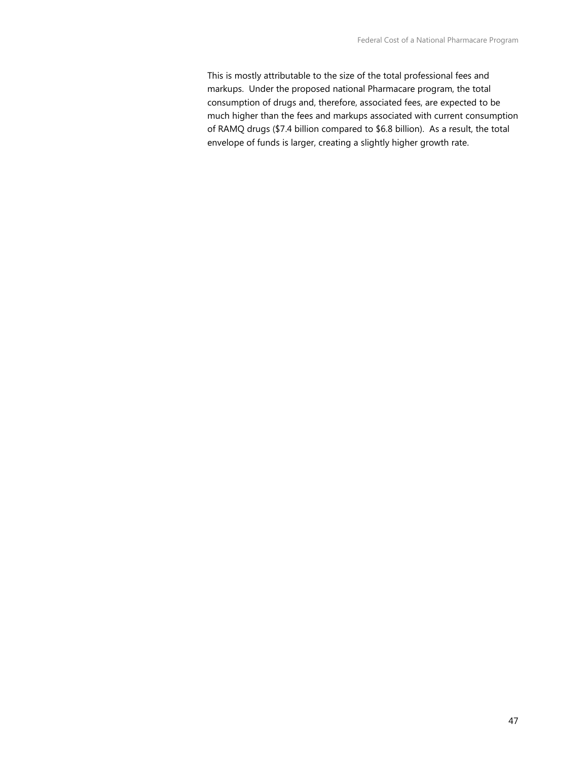This is mostly attributable to the size of the total professional fees and markups. Under the proposed national Pharmacare program, the total consumption of drugs and, therefore, associated fees, are expected to be much higher than the fees and markups associated with current consumption of RAMQ drugs (\$7.4 billion compared to \$6.8 billion). As a result, the total envelope of funds is larger, creating a slightly higher growth rate.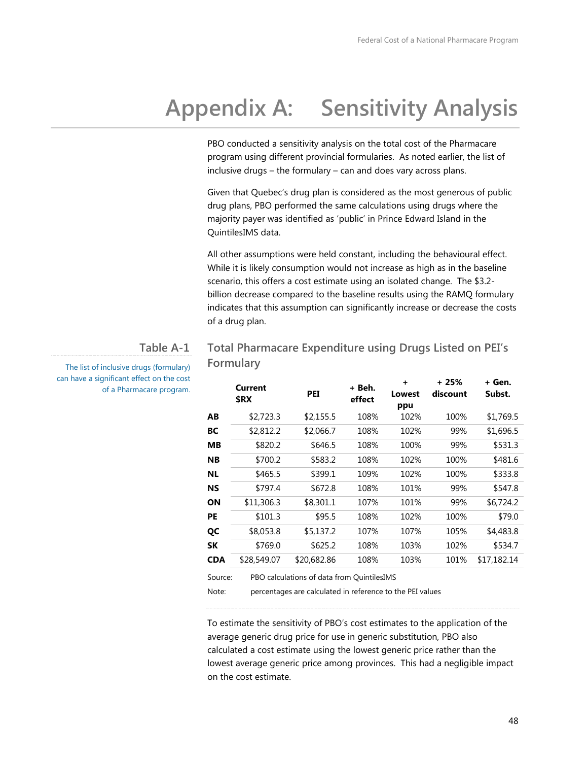**+ 25%** 

**+ Gen.** 

# **Appendix A: Sensitivity Analysis**

PBO conducted a sensitivity analysis on the total cost of the Pharmacare program using different provincial formularies. As noted earlier, the list of inclusive drugs – the formulary – can and does vary across plans.

Given that Quebec's drug plan is considered as the most generous of public drug plans, PBO performed the same calculations using drugs where the majority payer was identified as 'public' in Prince Edward Island in the QuintilesIMS data.

All other assumptions were held constant, including the behavioural effect. While it is likely consumption would not increase as high as in the baseline scenario, this offers a cost estimate using an isolated change. The \$3.2 billion decrease compared to the baseline results using the RAMQ formulary indicates that this assumption can significantly increase or decrease the costs of a drug plan.

### **Table A-1**

The list of inclusive drugs (formulary) can have a significant effect on the cost of a Pharmacare program.

## **Total Pharmacare Expenditure using Drugs Listed on PEI's Formulary**

|     | Current<br>\$RX | PEI         | + Beh.<br>effect | ÷<br>Lowest<br>ppu | + 25%<br>discount | + Gen.<br>Subst. |
|-----|-----------------|-------------|------------------|--------------------|-------------------|------------------|
| ΑВ  | \$2,723.3       | \$2,155.5   | 108%             | 102%               | 100%              | \$1,769.5        |
| BС  | \$2,812.2       | \$2,066.7   | 108%             | 102%               | 99%               | \$1,696.5        |
| MВ  | \$820.2         | \$646.5     | 108%             | 100%               | 99%               | \$531.3          |
| NΒ  | \$700.2         | \$583.2     | 108%             | 102%               | 100%              | \$481.6          |
| ΝL  | \$465.5         | \$399.1     | 109%             | 102%               | 100%              | \$333.8          |
| NS  | \$797.4         | \$672.8     | 108%             | 101%               | 99%               | \$547.8          |
| ΟN  | \$11,306.3      | \$8,301.1   | 107%             | 101%               | 99%               | \$6,724.2        |
| PE  | \$101.3         | \$95.5      | 108%             | 102%               | 100%              | \$79.0           |
| QC  | \$8,053.8       | \$5,137.2   | 107%             | 107%               | 105%              | \$4,483.8        |
| SΚ  | \$769.0         | \$625.2     | 108%             | 103%               | 102%              | \$534.7          |
| CDA | \$28,549.07     | \$20,682.86 | 108%             | 103%               | 101%              | \$17,182.14      |
|     |                 |             |                  |                    |                   |                  |

Source: PBO calculations of data from QuintilesIMS

Note: percentages are calculated in reference to the PEI values

To estimate the sensitivity of PBO's cost estimates to the application of the average generic drug price for use in generic substitution, PBO also calculated a cost estimate using the lowest generic price rather than the lowest average generic price among provinces. This had a negligible impact on the cost estimate.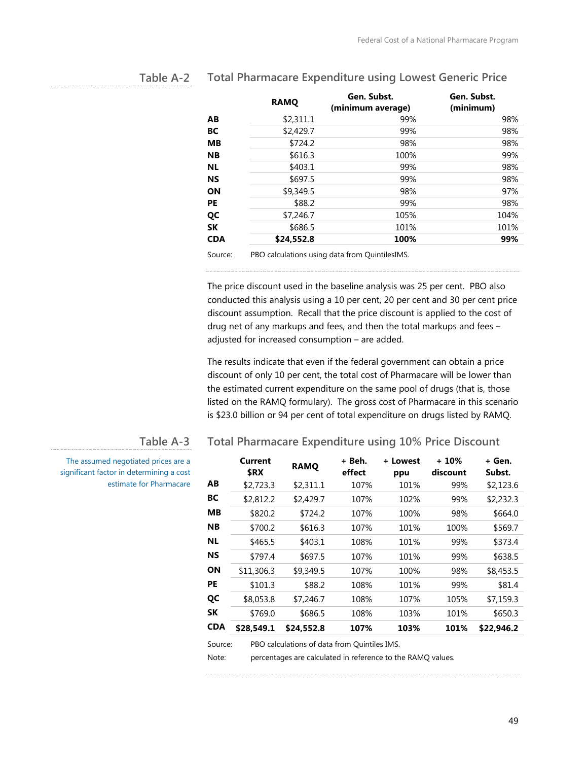|            | <b>RAMO</b> | Gen. Subst.<br>(minimum average)               | Gen. Subst.<br>(minimum) |
|------------|-------------|------------------------------------------------|--------------------------|
| AВ         | \$2,311.1   | 99%                                            | 98%                      |
| BC         | \$2,429.7   | 99%                                            | 98%                      |
| <b>MB</b>  | \$724.2     | 98%                                            | 98%                      |
| <b>NB</b>  | \$616.3     | 100%                                           | 99%                      |
| <b>NL</b>  | \$403.1     | 99%                                            | 98%                      |
| <b>NS</b>  | \$697.5     | 99%                                            | 98%                      |
| <b>ON</b>  | \$9,349.5   | 98%                                            | 97%                      |
| PE         | \$88.2      | 99%                                            | 98%                      |
| QC         | \$7,246.7   | 105%                                           | 104%                     |
| <b>SK</b>  | \$686.5     | 101%                                           | 101%                     |
| <b>CDA</b> | \$24,552.8  | 100%                                           | 99%                      |
| Source:    |             | PBO calculations using data from QuintilesIMS. |                          |

#### **Total Pharmacare Expenditure using Lowest Generic Price Table A-2**

The price discount used in the baseline analysis was 25 per cent. PBO also conducted this analysis using a 10 per cent, 20 per cent and 30 per cent price discount assumption. Recall that the price discount is applied to the cost of drug net of any markups and fees, and then the total markups and fees – adjusted for increased consumption – are added.

The results indicate that even if the federal government can obtain a price discount of only 10 per cent, the total cost of Pharmacare will be lower than the estimated current expenditure on the same pool of drugs (that is, those listed on the RAMQ formulary). The gross cost of Pharmacare in this scenario is \$23.0 billion or 94 per cent of total expenditure on drugs listed by RAMQ.

**Total Pharmacare Expenditure using 10% Price Discount**

#### **Table A-3**

The assumed negotiated prices are a significant factor in determining a cost estimate for Pharmacare

|            | Current<br>\$RX | <b>RAMO</b> | + Beh.<br>effect | + Lowest<br>ppu | + 10%<br>discount | + Gen.<br>Subst. |
|------------|-----------------|-------------|------------------|-----------------|-------------------|------------------|
| AB         | \$2,723.3       | \$2.311.1   | 107%             | 101%            | 99%               | \$2,123.6        |
| BС         | \$2,812.2       | \$2,429.7   | 107%             | 102%            | 99%               | \$2,232.3        |
| MВ         | \$820.2         | \$724.2     | 107%             | 100%            | 98%               | \$664.0          |
| <b>NB</b>  | \$700.2         | \$616.3     | 107%             | 101%            | 100%              | \$569.7          |
| <b>NL</b>  | \$465.5         | \$403.1     | 108%             | 101%            | 99%               | \$373.4          |
| <b>NS</b>  | \$797.4         | \$697.5     | 107%             | 101%            | 99%               | \$638.5          |
| ON         | \$11,306.3      | \$9,349.5   | 107%             | 100%            | 98%               | \$8,453.5        |
| <b>PE</b>  | \$101.3         | \$88.2      | 108%             | 101%            | 99%               | \$81.4           |
| QC         | \$8,053.8       | \$7,246.7   | 108%             | 107%            | 105%              | \$7,159.3        |
| <b>SK</b>  | \$769.0         | \$686.5     | 108%             | 103%            | 101%              | \$650.3          |
| <b>CDA</b> | \$28,549.1      | \$24,552.8  | 107%             | 103%            | 101%              | \$22,946.2       |
|            |                 |             |                  |                 |                   |                  |

Source: PBO calculations of data from Quintiles IMS.

Note: percentages are calculated in reference to the RAMQ values.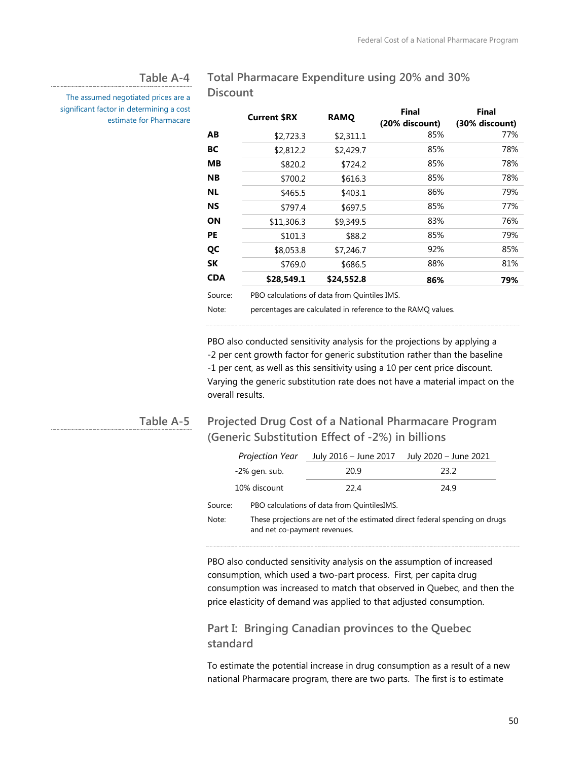#### **Table A-4**

**Discount**

The assumed negotiated prices are a significant factor in determining a cost estimate for Pharmacare

**Current \$RX RAMO Final (20% discount) Final (30% discount) AB** \$2,723.3 \$2,311.1 85% 77% **BC**  $$2,812.2$   $$2,429.7$  85% 78% **MB** \$820.2 \$724.2 85% 78% **NB** \$700.2 \$616.3 85% 78% **NL** \$465.5 \$403.1 86% 79% **NS** \$797.4 \$697.5 85% 77% **ON** \$11,306.3 \$9,349.5 83% 76% **PE** \$101.3 \$88.2 85% 79% **QC** \$8,053.8 \$7,246.7 92% 85% **SK** \$769.0 \$686.5 88% 81% **CDA \$28,549.1 \$24,552.8 86% 79%**

Source: PBO calculations of data from Quintiles IMS.

Note: percentages are calculated in reference to the RAMQ values.

**Total Pharmacare Expenditure using 20% and 30%** 

PBO also conducted sensitivity analysis for the projections by applying a 2 per cent growth factor for generic substitution rather than the baseline 1 per cent, as well as this sensitivity using a 10 per cent price discount. Varying the generic substitution rate does not have a material impact on the overall results.

### **Table A-5**

## **Projected Drug Cost of a National Pharmacare Program (Generic Substitution Effect of -2%) in billions**

| Projection Year  | July 2016 – June 2017                       | July 2020 - June 2021 |  |
|------------------|---------------------------------------------|-----------------------|--|
| $-2\%$ gen. sub. | 20.9                                        | 23.2                  |  |
| 10% discount     | 22.4                                        | 24.9                  |  |
| Source:          | PBO calculations of data from QuintilesIMS. |                       |  |

Note: These projections are net of the estimated direct federal spending on drugs and net co-payment revenues.

PBO also conducted sensitivity analysis on the assumption of increased consumption, which used a two-part process. First, per capita drug consumption was increased to match that observed in Quebec, and then the price elasticity of demand was applied to that adjusted consumption.

### **Part I: Bringing Canadian provinces to the Quebec standard**

To estimate the potential increase in drug consumption as a result of a new national Pharmacare program, there are two parts. The first is to estimate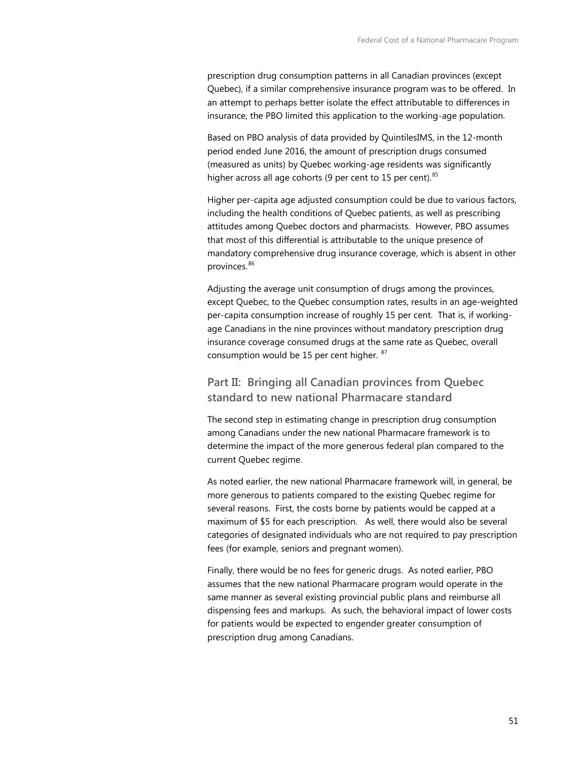prescription drug consumption patterns in all Canadian provinces (except Quebec), if a similar comprehensive insurance program was to be offered. In an attempt to perhaps better isolate the effect attributable to differences in insurance, the PBO limited this application to the working-age population.

Based on PBO analysis of data provided by QuintilesIMS, in the 12-month period ended June 2016, the amount of prescription drugs consumed (measured as units) by Quebec working-age residents was significantly higher across all age cohorts (9 per cent to 15 per cent).  $85$ 

Higher per-capita age adjusted consumption could be due to various factors, including the health conditions of Quebec patients, as well as prescribing attitudes among Quebec doctors and pharmacists. However, PBO assumes that most of this differential is attributable to the unique presence of mandatory comprehensive drug insurance coverage, which is absent in other provinces.<sup>[86](#page-92-16)</sup>

Adjusting the average unit consumption of drugs among the provinces, except Quebec, to the Quebec consumption rates, results in an age-weighted per-capita consumption increase of roughly 15 per cent. That is, if workingage Canadians in the nine provinces without mandatory prescription drug insurance coverage consumed drugs at the same rate as Quebec, overall consumption would be 15 per cent higher. <sup>[87](#page-92-17)</sup>

## **Part II: Bringing all Canadian provinces from Quebec standard to new national Pharmacare standard**

The second step in estimating change in prescription drug consumption among Canadians under the new national Pharmacare framework is to determine the impact of the more generous federal plan compared to the current Quebec regime.

As noted earlier, the new national Pharmacare framework will, in general, be more generous to patients compared to the existing Quebec regime for several reasons. First, the costs borne by patients would be capped at a maximum of \$5 for each prescription. As well, there would also be several categories of designated individuals who are not required to pay prescription fees (for example, seniors and pregnant women).

Finally, there would be no fees for generic drugs. As noted earlier, PBO assumes that the new national Pharmacare program would operate in the same manner as several existing provincial public plans and reimburse all dispensing fees and markups. As such, the behavioral impact of lower costs for patients would be expected to engender greater consumption of prescription drug among Canadians.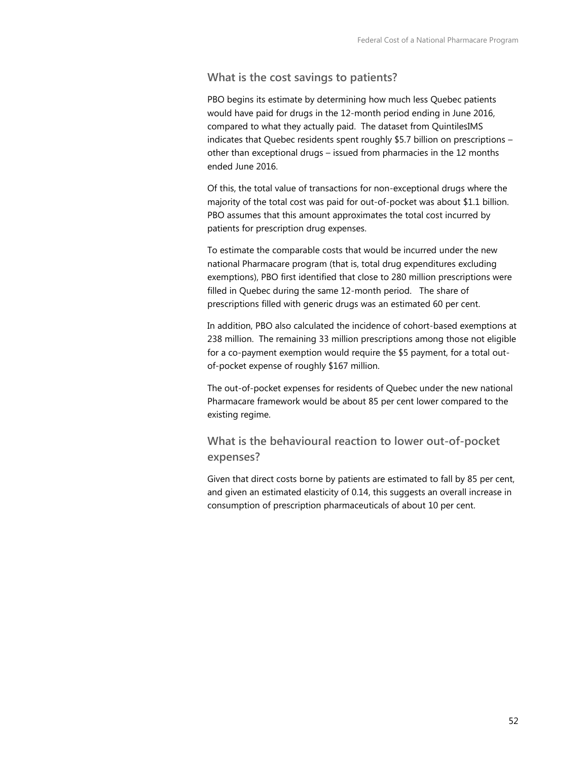#### **What is the cost savings to patients?**

PBO begins its estimate by determining how much less Quebec patients would have paid for drugs in the 12-month period ending in June 2016, compared to what they actually paid. The dataset from QuintilesIMS indicates that Quebec residents spent roughly \$5.7 billion on prescriptions – other than exceptional drugs – issued from pharmacies in the 12 months ended June 2016.

Of this, the total value of transactions for non-exceptional drugs where the majority of the total cost was paid for out-of-pocket was about \$1.1 billion. PBO assumes that this amount approximates the total cost incurred by patients for prescription drug expenses.

To estimate the comparable costs that would be incurred under the new national Pharmacare program (that is, total drug expenditures excluding exemptions), PBO first identified that close to 280 million prescriptions were filled in Quebec during the same 12-month period. The share of prescriptions filled with generic drugs was an estimated 60 per cent.

In addition, PBO also calculated the incidence of cohort-based exemptions at 238 million. The remaining 33 million prescriptions among those not eligible for a co-payment exemption would require the \$5 payment, for a total outof-pocket expense of roughly \$167 million.

The out-of-pocket expenses for residents of Quebec under the new national Pharmacare framework would be about 85 per cent lower compared to the existing regime.

## **What is the behavioural reaction to lower out-of-pocket expenses?**

Given that direct costs borne by patients are estimated to fall by 85 per cent, and given an estimated elasticity of 0.14, this suggests an overall increase in consumption of prescription pharmaceuticals of about 10 per cent.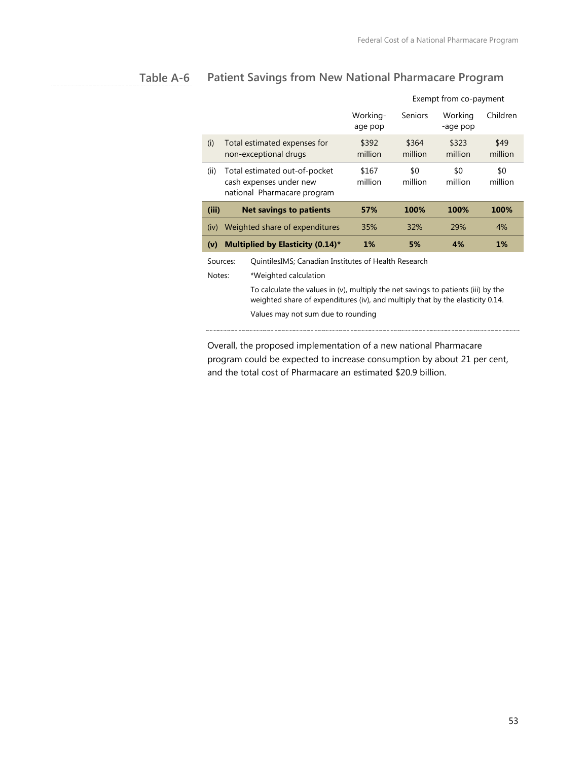#### **Patient Savings from New National Pharmacare Program Table A-6**

|                                                                  |                                                                                                                                                                     |                                                                                         |                     | Exempt from co-payment |                     |                 |
|------------------------------------------------------------------|---------------------------------------------------------------------------------------------------------------------------------------------------------------------|-----------------------------------------------------------------------------------------|---------------------|------------------------|---------------------|-----------------|
|                                                                  |                                                                                                                                                                     |                                                                                         | Working-<br>age pop | <b>Seniors</b>         | Working<br>-age pop | Children        |
| (i)                                                              |                                                                                                                                                                     | Total estimated expenses for<br>non-exceptional drugs                                   | \$392<br>million    | \$364<br>million       | \$323<br>million    | \$49<br>million |
| (ii)                                                             |                                                                                                                                                                     | Total estimated out-of-pocket<br>cash expenses under new<br>national Pharmacare program | \$167<br>million    | \$0<br>million         | \$0<br>million      | \$0<br>million  |
| (iii)                                                            |                                                                                                                                                                     | <b>Net savings to patients</b>                                                          | 57%                 | 100%                   | 100%                | 100%            |
| (iv)                                                             |                                                                                                                                                                     | Weighted share of expenditures                                                          | 35%                 | 32%                    | 29%                 | 4%              |
| (v)                                                              |                                                                                                                                                                     | Multiplied by Elasticity (0.14)*                                                        | 1%                  | 5%                     | 4%                  | 1%              |
| QuintilesIMS; Canadian Institutes of Health Research<br>Sources: |                                                                                                                                                                     |                                                                                         |                     |                        |                     |                 |
| Notes:                                                           |                                                                                                                                                                     | *Weighted calculation                                                                   |                     |                        |                     |                 |
|                                                                  | To calculate the values in (v), multiply the net savings to patients (iii) by the<br>weighted share of expenditures (iv), and multiply that by the elasticity 0.14. |                                                                                         |                     |                        |                     |                 |
|                                                                  |                                                                                                                                                                     | Values may not sum due to rounding                                                      |                     |                        |                     |                 |

Overall, the proposed implementation of a new national Pharmacare program could be expected to increase consumption by about 21 per cent, and the total cost of Pharmacare an estimated \$20.9 billion.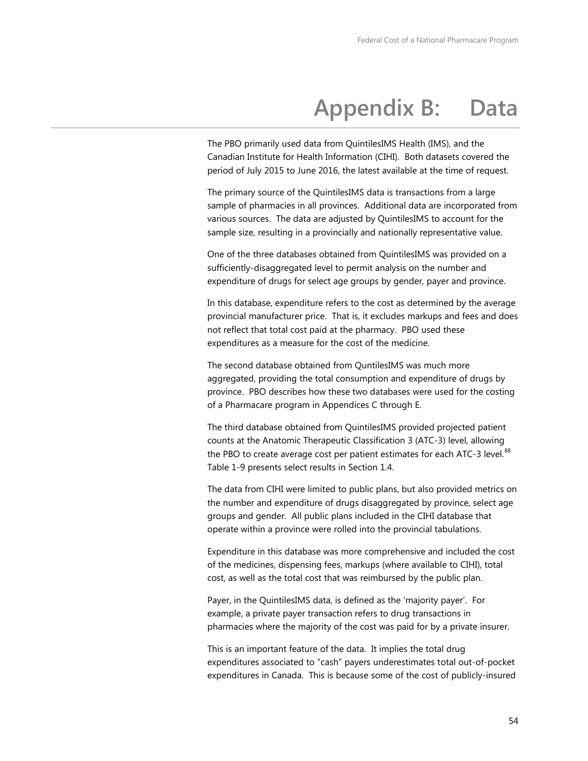# **Appendix B: Data**

The PBO primarily used data from QuintilesIMS Health (IMS), and the Canadian Institute for Health Information (CIHI). Both datasets covered the period of July 2015 to June 2016, the latest available at the time of request.

The primary source of the QuintilesIMS data is transactions from a large sample of pharmacies in all provinces. Additional data are incorporated from various sources. The data are adjusted by QuintilesIMS to account for the sample size, resulting in a provincially and nationally representative value.

One of the three databases obtained from QuintilesIMS was provided on a sufficiently-disaggregated level to permit analysis on the number and expenditure of drugs for select age groups by gender, payer and province.

In this database, expenditure refers to the cost as determined by the average provincial manufacturer price. That is, it excludes markups and fees and does not reflect that total cost paid at the pharmacy. PBO used these expenditures as a measure for the cost of the medicine.

The second database obtained from QuntilesIMS was much more aggregated, providing the total consumption and expenditure of drugs by province. PBO describes how these two databases were used for the costing of a Pharmacare program in Appendices C through E.

The third database obtained from QuintilesIMS provided projected patient counts at the Anatomic Therapeutic Classification 3 (ATC-3) level, allowing the PBO to create average cost per patient estimates for each ATC-3 level.<sup>[88](#page-92-9)</sup> Table 1-9 presents select results in Section 1.4.

The data from CIHI were limited to public plans, but also provided metrics on the number and expenditure of drugs disaggregated by province, select age groups and gender. All public plans included in the CIHI database that operate within a province were rolled into the provincial tabulations.

Expenditure in this database was more comprehensive and included the cost of the medicines, dispensing fees, markups (where available to CIHI), total cost, as well as the total cost that was reimbursed by the public plan.

Payer, in the QuintilesIMS data, is defined as the 'majority payer'. For example, a private payer transaction refers to drug transactions in pharmacies where the majority of the cost was paid for by a private insurer.

This is an important feature of the data. It implies the total drug expenditures associated to "cash" payers underestimates total out-of-pocket expenditures in Canada. This is because some of the cost of publicly-insured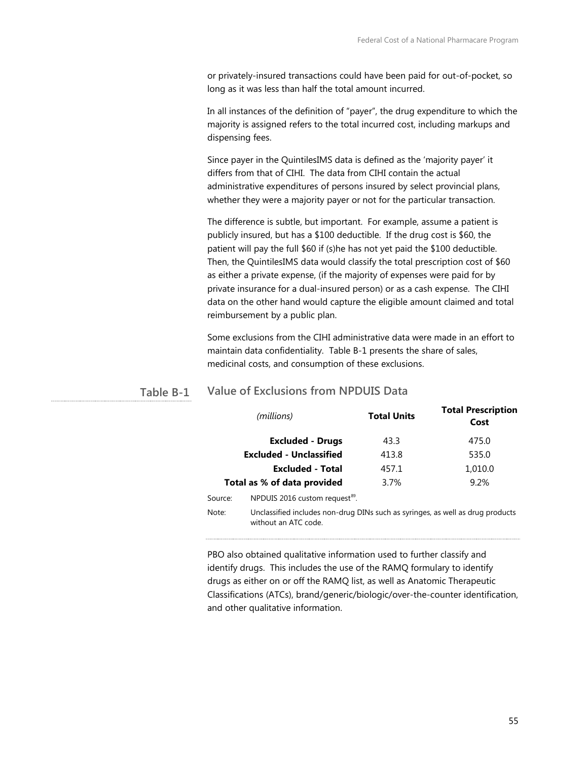or privately-insured transactions could have been paid for out-of-pocket, so long as it was less than half the total amount incurred.

In all instances of the definition of "payer", the drug expenditure to which the majority is assigned refers to the total incurred cost, including markups and dispensing fees.

Since payer in the QuintilesIMS data is defined as the 'majority payer' it differs from that of CIHI. The data from CIHI contain the actual administrative expenditures of persons insured by select provincial plans, whether they were a majority payer or not for the particular transaction.

The difference is subtle, but important. For example, assume a patient is publicly insured, but has a \$100 deductible. If the drug cost is \$60, the patient will pay the full \$60 if (s)he has not yet paid the \$100 deductible. Then, the QuintilesIMS data would classify the total prescription cost of \$60 as either a private expense, (if the majority of expenses were paid for by private insurance for a dual-insured person) or as a cash expense. The CIHI data on the other hand would capture the eligible amount claimed and total reimbursement by a public plan.

Some exclusions from the CIHI administrative data were made in an effort to maintain data confidentiality. Table B-1 presents the share of sales, medicinal costs, and consumption of these exclusions.

| (millions)                                                                                                      |                                            | <b>Total Units</b> | <b>Total Prescription</b><br>Cost |  |  |
|-----------------------------------------------------------------------------------------------------------------|--------------------------------------------|--------------------|-----------------------------------|--|--|
|                                                                                                                 | <b>Excluded - Drugs</b>                    | 43.3               | 475.0                             |  |  |
| <b>Excluded - Unclassified</b>                                                                                  |                                            | 413.8              | 535.0                             |  |  |
|                                                                                                                 | <b>Excluded - Total</b>                    | 457.1              | 1,010.0                           |  |  |
| Total as % of data provided                                                                                     |                                            | 3.7%               | 9.2%                              |  |  |
| Source:                                                                                                         | NPDUIS 2016 custom request <sup>89</sup> . |                    |                                   |  |  |
| Unclassified includes non-drug DINs such as syringes, as well as drug products<br>Note:<br>without an ATC code. |                                            |                    |                                   |  |  |

#### **Value of Exclusions from NPDUIS Data Table B-1**

PBO also obtained qualitative information used to further classify and identify drugs. This includes the use of the RAMQ formulary to identify drugs as either on or off the RAMQ list, as well as Anatomic Therapeutic Classifications (ATCs), brand/generic/biologic/over-the-counter identification, and other qualitative information.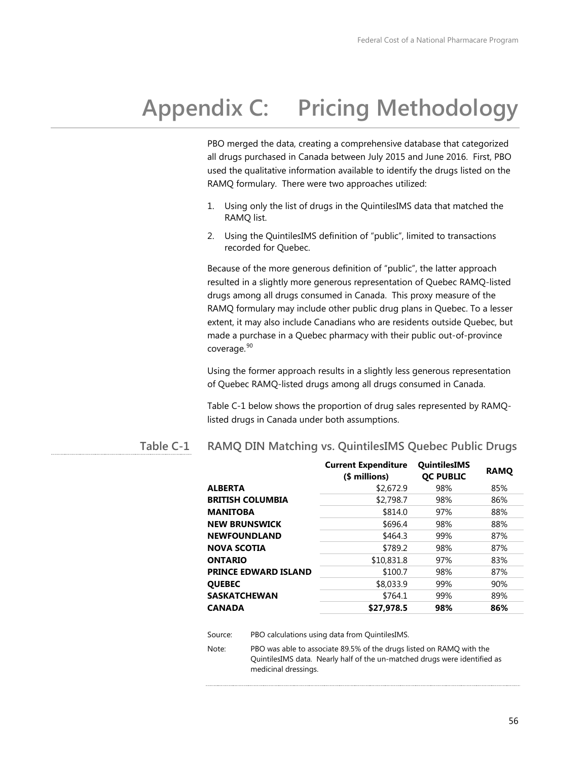# **Appendix C: Pricing Methodology**

PBO merged the data, creating a comprehensive database that categorized all drugs purchased in Canada between July 2015 and June 2016. First, PBO used the qualitative information available to identify the drugs listed on the RAMQ formulary. There were two approaches utilized:

- 1. Using only the list of drugs in the QuintilesIMS data that matched the RAMQ list.
- 2. Using the QuintilesIMS definition of "public", limited to transactions recorded for Quebec.

Because of the more generous definition of "public", the latter approach resulted in a slightly more generous representation of Quebec RAMQ-listed drugs among all drugs consumed in Canada. This proxy measure of the RAMQ formulary may include other public drug plans in Quebec. To a lesser extent, it may also include Canadians who are residents outside Quebec, but made a purchase in a Quebec pharmacy with their public out-of-province coverage. [90](#page-92-3)

Using the former approach results in a slightly less generous representation of Quebec RAMQ-listed drugs among all drugs consumed in Canada.

Table C-1 below shows the proportion of drug sales represented by RAMQlisted drugs in Canada under both assumptions.

#### **RAMQ DIN Matching vs. QuintilesIMS Quebec Public Drugs Table C-1**

|                             | <b>Current Expenditure</b><br>(\$ millions) | <b>QuintilesIMS</b><br><b>OC PUBLIC</b> | <b>RAMO</b> |  |
|-----------------------------|---------------------------------------------|-----------------------------------------|-------------|--|
| ALBERTA                     | \$2,672.9                                   | 98%                                     | 85%         |  |
| <b>BRITISH COLUMBIA</b>     | \$2,798.7                                   | 98%                                     | 86%         |  |
| MANITOBA                    | \$814.0                                     | 97%                                     | 88%         |  |
| <b>NEW BRUNSWICK</b>        | \$696.4                                     | 98%                                     | 88%         |  |
| <b>NEWFOUNDLAND</b>         | \$464.3                                     | 99%                                     | 87%         |  |
| NOVA SCOTIA                 | \$789.2                                     | 98%                                     | 87%         |  |
| ONTARIO                     | \$10,831.8                                  | 97%                                     | 83%         |  |
| <b>PRINCE EDWARD ISLAND</b> | \$100.7                                     | 98%                                     | 87%         |  |
| <b>QUEBEC</b>               | \$8,033.9                                   | 99%                                     | 90%         |  |
| SASKATCHEWAN                | \$764.1                                     | 99%                                     | 89%         |  |
| CANADA                      | \$27,978.5                                  | 98%                                     | 86%         |  |
|                             |                                             |                                         |             |  |

Source: PBO calculations using data from QuintilesIMS.

Note: PBO was able to associate 89.5% of the drugs listed on RAMQ with the QuintilesIMS data. Nearly half of the un-matched drugs were identified as medicinal dressings.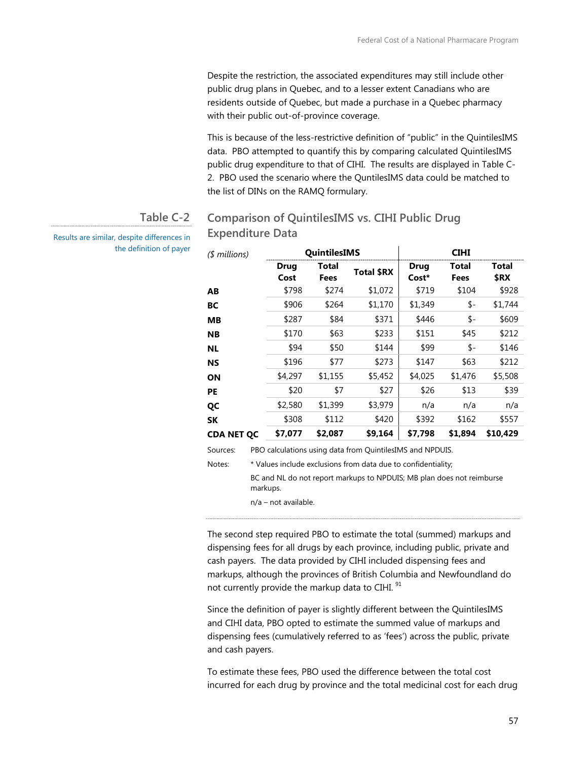Despite the restriction, the associated expenditures may still include other public drug plans in Quebec, and to a lesser extent Canadians who are residents outside of Quebec, but made a purchase in a Quebec pharmacy with their public out-of-province coverage.

This is because of the less-restrictive definition of "public" in the QuintilesIMS data. PBO attempted to quantify this by comparing calculated QuintilesIMS public drug expenditure to that of CIHI. The results are displayed in Table C-2. PBO used the scenario where the QuntilesIMS data could be matched to the list of DINs on the RAMQ formulary.

#### **Comparison of QuintilesIMS vs. CIHI Public Drug Expenditure Data Table C-2**

*(\$ millions)* **QuintilesIMS CIHI Drug Cost Total Fees Total \$RX Drug Cost\* Total Fees Total \$RX AB** \$798 \$274 \$1,072 \$719 \$104 \$928 **BC** \$906 \$264 \$1,170 \$1,349 \$- \$1,744 **MB** \$287 \$84 \$371 \$446 \$- \$609 **NB** \$170 \$63 \$233 | \$151 \$45 \$212 **NL** \$94 \$50 \$144 \$99 \$- \$146 **NS** \$196 \$77 \$273 | \$147 \$63 \$212 **ON** \$4,297 \$1,155 \$5,452 \$4,025 \$1,476 \$5,508 **PE** \$20 \$7 \$27 \$26 \$13 \$39 **QC** \$2,580 \$1,399 \$3,979 n/a n/a n/a **SK** \$308 \$112 \$420 \$392 \$162 \$557 **CDA NET QC \$7,077 \$2,087 \$9,164 \$7,798 \$1,894 \$10,429** Sources: PBO calculations using data from QuintilesIMS and NPDUIS. Notes: \* Values include exclusions from data due to confidentiality;

BC and NL do not report markups to NPDUIS; MB plan does not reimburse markups.

n/a – not available.

The second step required PBO to estimate the total (summed) markups and dispensing fees for all drugs by each province, including public, private and cash payers. The data provided by CIHI included dispensing fees and markups, although the provinces of British Columbia and Newfoundland do not currently provide the markup data to CIHI.<sup>[91](#page-92-19)</sup>

Since the definition of payer is slightly different between the QuintilesIMS and CIHI data, PBO opted to estimate the summed value of markups and dispensing fees (cumulatively referred to as 'fees') across the public, private and cash payers.

To estimate these fees, PBO used the difference between the total cost incurred for each drug by province and the total medicinal cost for each drug

Results are similar, despite differences in the definition of payer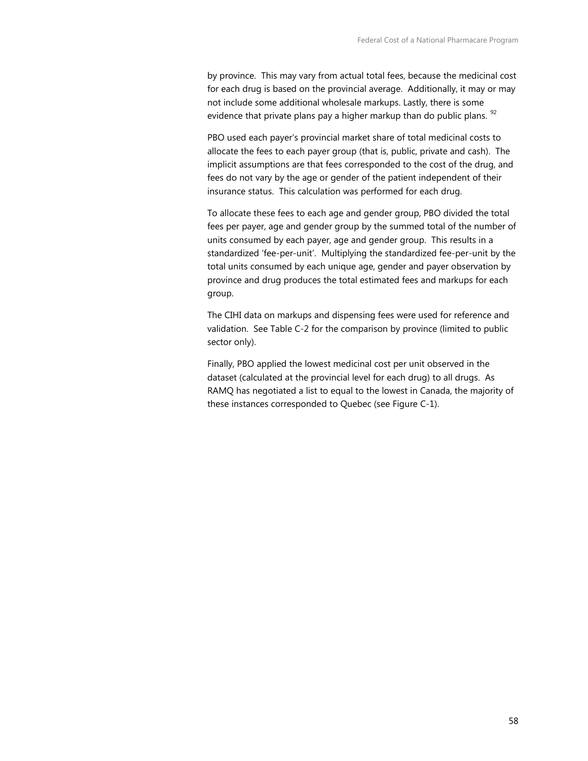by province. This may vary from actual total fees, because the medicinal cost for each drug is based on the provincial average. Additionally, it may or may not include some additional wholesale markups. Lastly, there is some evidence that private plans pay a higher markup than do public plans.  $92$ 

PBO used each payer's provincial market share of total medicinal costs to allocate the fees to each payer group (that is, public, private and cash). The implicit assumptions are that fees corresponded to the cost of the drug, and fees do not vary by the age or gender of the patient independent of their insurance status. This calculation was performed for each drug.

To allocate these fees to each age and gender group, PBO divided the total fees per payer, age and gender group by the summed total of the number of units consumed by each payer, age and gender group. This results in a standardized 'fee-per-unit'. Multiplying the standardized fee-per-unit by the total units consumed by each unique age, gender and payer observation by province and drug produces the total estimated fees and markups for each group.

The CIHI data on markups and dispensing fees were used for reference and validation. See Table C-2 for the comparison by province (limited to public sector only).

Finally, PBO applied the lowest medicinal cost per unit observed in the dataset (calculated at the provincial level for each drug) to all drugs. As RAMQ has negotiated a list to equal to the lowest in Canada, the majority of these instances corresponded to Quebec (see Figure C-1).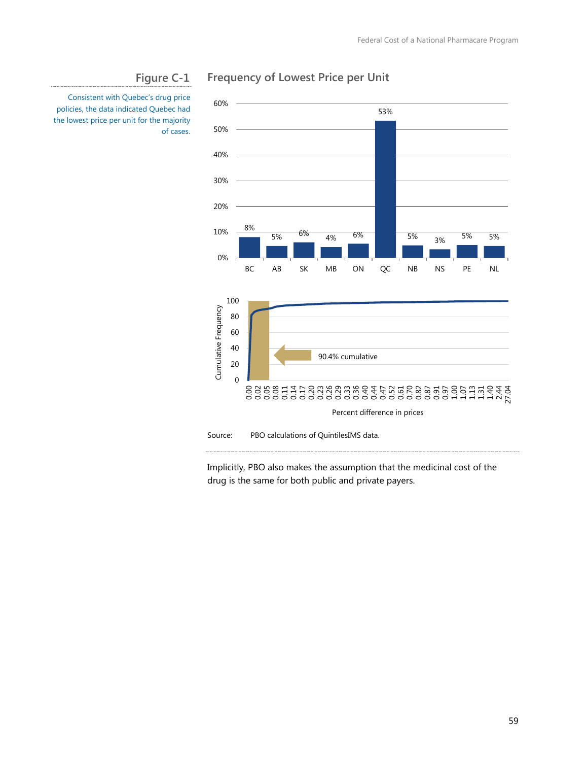

## **Frequency of Lowest Price per Unit**

Consistent with Quebec's drug price policies, the data indicated Quebec had the lowest price per unit for the majority of cases.

**Figure C-1**

Implicitly, PBO also makes the assumption that the medicinal cost of the drug is the same for both public and private payers.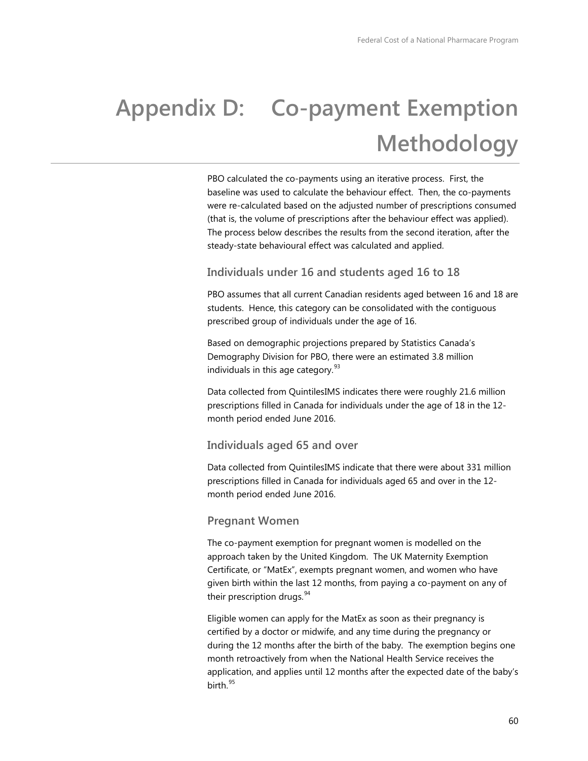# **Appendix D: Co-payment Exemption Methodology**

PBO calculated the co-payments using an iterative process. First, the baseline was used to calculate the behaviour effect. Then, the co-payments were re-calculated based on the adjusted number of prescriptions consumed (that is, the volume of prescriptions after the behaviour effect was applied). The process below describes the results from the second iteration, after the steady-state behavioural effect was calculated and applied.

### **Individuals under 16 and students aged 16 to 18**

PBO assumes that all current Canadian residents aged between 16 and 18 are students. Hence, this category can be consolidated with the contiguous prescribed group of individuals under the age of 16.

Based on demographic projections prepared by Statistics Canada's Demography Division for PBO, there were an estimated 3.8 million individuals in this age category.<sup>[93](#page-92-13)</sup>

Data collected from QuintilesIMS indicates there were roughly 21.6 million prescriptions filled in Canada for individuals under the age of 18 in the 12 month period ended June 2016.

#### **Individuals aged 65 and over**

Data collected from QuintilesIMS indicate that there were about 331 million prescriptions filled in Canada for individuals aged 65 and over in the 12 month period ended June 2016.

#### **Pregnant Women**

The co-payment exemption for pregnant women is modelled on the approach taken by the United Kingdom. The UK Maternity Exemption Certificate, or "MatEx", exempts pregnant women, and women who have given birth within the last 12 months, from paying a co-payment on any of their prescription drugs.<sup>[94](#page-92-21)</sup>

Eligible women can apply for the MatEx as soon as their pregnancy is certified by a doctor or midwife, and any time during the pregnancy or during the 12 months after the birth of the baby. The exemption begins one month retroactively from when the National Health Service receives the application, and applies until 12 months after the expected date of the baby's  $birth<sup>95</sup>$  $birth<sup>95</sup>$  $birth<sup>95</sup>$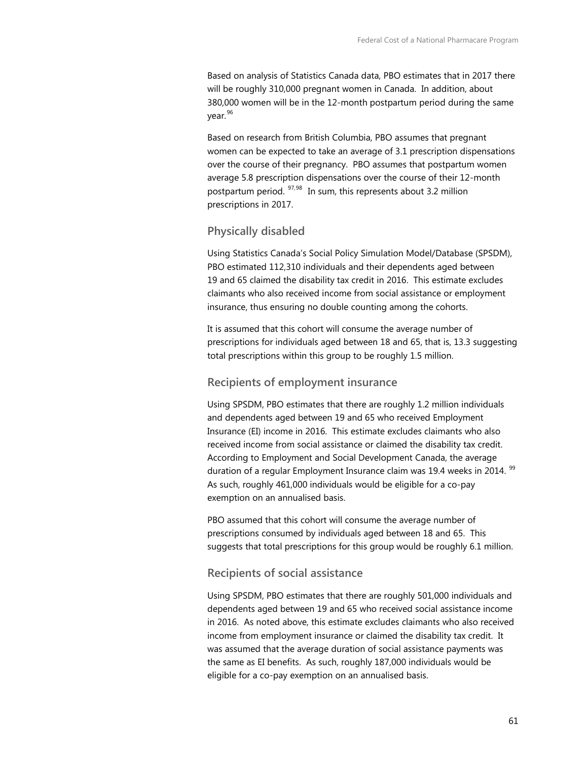Based on analysis of Statistics Canada data, PBO estimates that in 2017 there will be roughly 310,000 pregnant women in Canada. In addition, about 380,000 women will be in the 12-month postpartum period during the same year.[96](#page-92-16)

Based on research from British Columbia, PBO assumes that pregnant women can be expected to take an average of 3.1 prescription dispensations over the course of their pregnancy. PBO assumes that postpartum women average 5.8 prescription dispensations over the course of their 12-month postpartum period. [97](#page-92-17),[98](#page-92-8) In sum, this represents about 3.2 million prescriptions in 2017.

#### **Physically disabled**

Using Statistics Canada's Social Policy Simulation Model/Database (SPSDM), PBO estimated 112,310 individuals and their dependents aged between 19 and 65 claimed the disability tax credit in 2016. This estimate excludes claimants who also received income from social assistance or employment insurance, thus ensuring no double counting among the cohorts.

It is assumed that this cohort will consume the average number of prescriptions for individuals aged between 18 and 65, that is, 13.3 suggesting total prescriptions within this group to be roughly 1.5 million.

#### **Recipients of employment insurance**

Using SPSDM, PBO estimates that there are roughly 1.2 million individuals and dependents aged between 19 and 65 who received Employment Insurance (EI) income in 2016. This estimate excludes claimants who also received income from social assistance or claimed the disability tax credit. According to Employment and Social Development Canada, the average duration of a regular Employment Insurance claim was 19.4 weeks in 2014. <sup>[99](#page-92-23)</sup> As such, roughly 461,000 individuals would be eligible for a co-pay exemption on an annualised basis.

PBO assumed that this cohort will consume the average number of prescriptions consumed by individuals aged between 18 and 65. This suggests that total prescriptions for this group would be roughly 6.1 million.

#### **Recipients of social assistance**

Using SPSDM, PBO estimates that there are roughly 501,000 individuals and dependents aged between 19 and 65 who received social assistance income in 2016. As noted above, this estimate excludes claimants who also received income from employment insurance or claimed the disability tax credit. It was assumed that the average duration of social assistance payments was the same as EI benefits. As such, roughly 187,000 individuals would be eligible for a co-pay exemption on an annualised basis.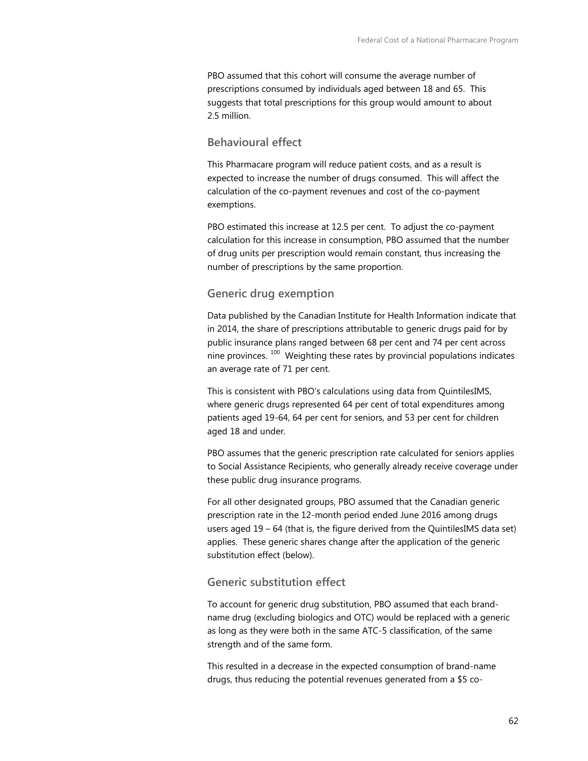PBO assumed that this cohort will consume the average number of prescriptions consumed by individuals aged between 18 and 65. This suggests that total prescriptions for this group would amount to about 2.5 million.

#### **Behavioural effect**

This Pharmacare program will reduce patient costs, and as a result is expected to increase the number of drugs consumed. This will affect the calculation of the co-payment revenues and cost of the co-payment exemptions.

PBO estimated this increase at 12.5 per cent. To adjust the co-payment calculation for this increase in consumption, PBO assumed that the number of drug units per prescription would remain constant, thus increasing the number of prescriptions by the same proportion.

#### **Generic drug exemption**

Data published by the Canadian Institute for Health Information indicate that in 2014, the share of prescriptions attributable to generic drugs paid for by public insurance plans ranged between 68 per cent and 74 per cent across nine provinces.  $100$  Weighting these rates by provincial populations indicates an average rate of 71 per cent.

This is consistent with PBO's calculations using data from QuintilesIMS, where generic drugs represented 64 per cent of total expenditures among patients aged 19-64, 64 per cent for seniors, and 53 per cent for children aged 18 and under.

PBO assumes that the generic prescription rate calculated for seniors applies to Social Assistance Recipients, who generally already receive coverage under these public drug insurance programs.

For all other designated groups, PBO assumed that the Canadian generic prescription rate in the 12-month period ended June 2016 among drugs users aged 19 – 64 (that is, the figure derived from the QuintilesIMS data set) applies. These generic shares change after the application of the generic substitution effect (below).

### **Generic substitution effect**

To account for generic drug substitution, PBO assumed that each brandname drug (excluding biologics and OTC) would be replaced with a generic as long as they were both in the same ATC-5 classification, of the same strength and of the same form.

This resulted in a decrease in the expected consumption of brand-name drugs, thus reducing the potential revenues generated from a \$5 co-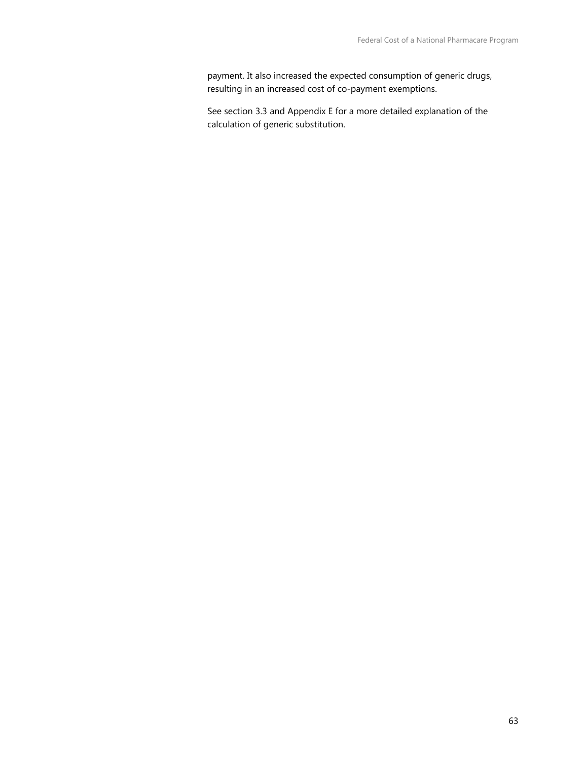payment. It also increased the expected consumption of generic drugs, resulting in an increased cost of co-payment exemptions.

See section 3.3 and Appendix E for a more detailed explanation of the calculation of generic substitution.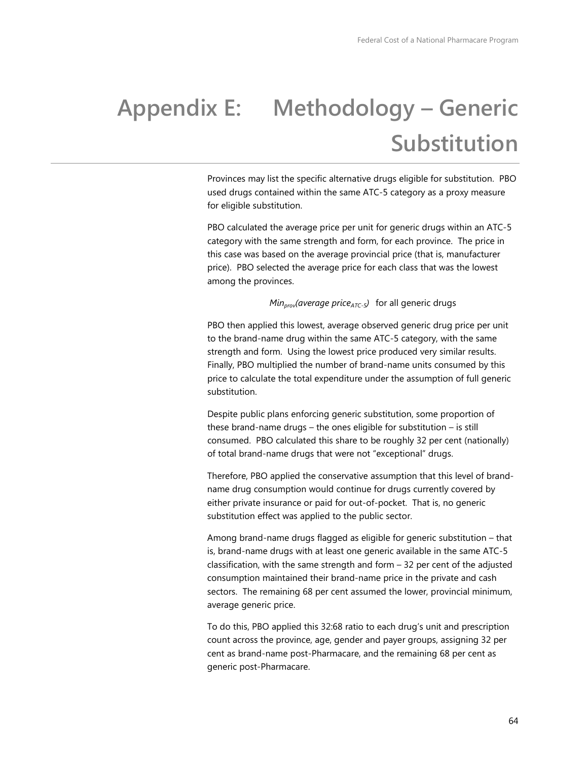# **Appendix E: Methodology – Generic Substitution**

Provinces may list the specific alternative drugs eligible for substitution. PBO used drugs contained within the same ATC-5 category as a proxy measure for eligible substitution.

PBO calculated the average price per unit for generic drugs within an ATC-5 category with the same strength and form, for each province. The price in this case was based on the average provincial price (that is, manufacturer price). PBO selected the average price for each class that was the lowest among the provinces.

#### *Min<sub>prov</sub>(average price<sub>ATC-5</sub>)* for all generic drugs

PBO then applied this lowest, average observed generic drug price per unit to the brand-name drug within the same ATC-5 category, with the same strength and form. Using the lowest price produced very similar results. Finally, PBO multiplied the number of brand-name units consumed by this price to calculate the total expenditure under the assumption of full generic substitution.

Despite public plans enforcing generic substitution, some proportion of these brand-name drugs – the ones eligible for substitution – is still consumed. PBO calculated this share to be roughly 32 per cent (nationally) of total brand-name drugs that were not "exceptional" drugs.

Therefore, PBO applied the conservative assumption that this level of brandname drug consumption would continue for drugs currently covered by either private insurance or paid for out-of-pocket. That is, no generic substitution effect was applied to the public sector.

Among brand-name drugs flagged as eligible for generic substitution – that is, brand-name drugs with at least one generic available in the same ATC-5 classification, with the same strength and form – 32 per cent of the adjusted consumption maintained their brand-name price in the private and cash sectors. The remaining 68 per cent assumed the lower, provincial minimum, average generic price.

To do this, PBO applied this 32:68 ratio to each drug's unit and prescription count across the province, age, gender and payer groups, assigning 32 per cent as brand-name post-Pharmacare, and the remaining 68 per cent as generic post-Pharmacare.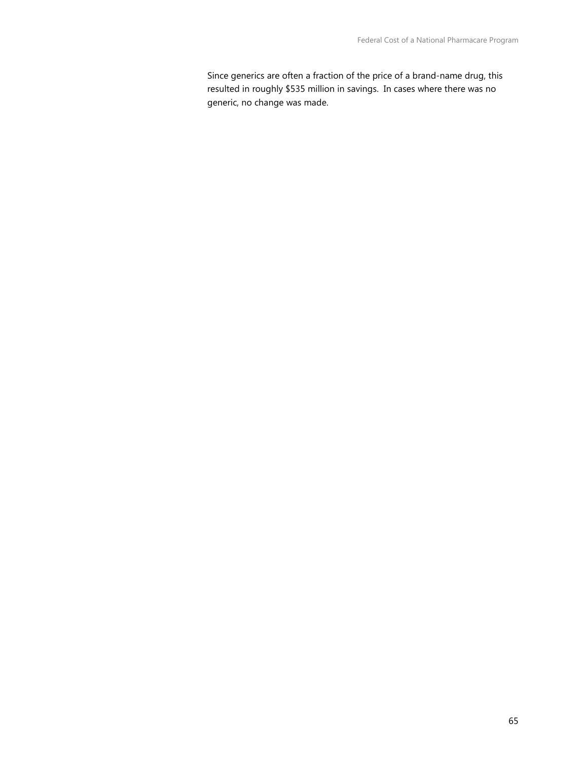Since generics are often a fraction of the price of a brand-name drug, this resulted in roughly \$535 million in savings. In cases where there was no generic, no change was made.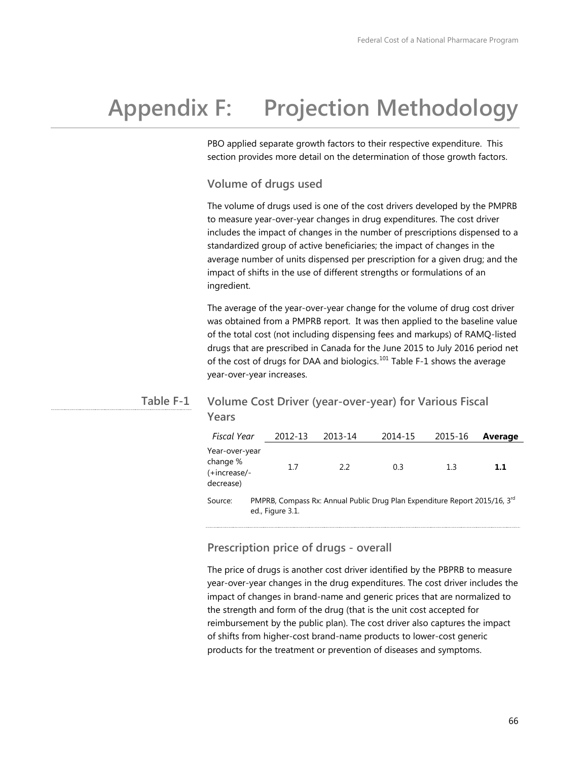# **Appendix F: Projection Methodology**

PBO applied separate growth factors to their respective expenditure. This section provides more detail on the determination of those growth factors.

#### **Volume of drugs used**

The volume of drugs used is one of the cost drivers developed by the PMPRB to measure year-over-year changes in drug expenditures. The cost driver includes the impact of changes in the number of prescriptions dispensed to a standardized group of active beneficiaries; the impact of changes in the average number of units dispensed per prescription for a given drug; and the impact of shifts in the use of different strengths or formulations of an ingredient.

The average of the year-over-year change for the volume of drug cost driver was obtained from a PMPRB report. It was then applied to the baseline value of the total cost (not including dispensing fees and markups) of RAMQ-listed drugs that are prescribed in Canada for the June 2015 to July 2016 period net of the cost of drugs for DAA and biologics.<sup>[101](#page-92-25)</sup> Table F-1 shows the average year-over-year increases.

#### **Volume Cost Driver (year-over-year) for Various Fiscal Years Table F-1**

| Fiscal Year                                             | 2012-13                                                                                        | 2013-14 | 2014-15 | 2015-16 | Average |
|---------------------------------------------------------|------------------------------------------------------------------------------------------------|---------|---------|---------|---------|
| Year-over-year<br>change %<br>(+increase/-<br>decrease) | 1.7                                                                                            | 22      | 0.3     | 13      | 1.1     |
| Source:                                                 | PMPRB, Compass Rx: Annual Public Drug Plan Expenditure Report 2015/16, 3rd<br>ed., Figure 3.1. |         |         |         |         |

#### **Prescription price of drugs - overall**

The price of drugs is another cost driver identified by the PBPRB to measure year-over-year changes in the drug expenditures. The cost driver includes the impact of changes in brand-name and generic prices that are normalized to the strength and form of the drug (that is the unit cost accepted for reimbursement by the public plan). The cost driver also captures the impact of shifts from higher-cost brand-name products to lower-cost generic products for the treatment or prevention of diseases and symptoms.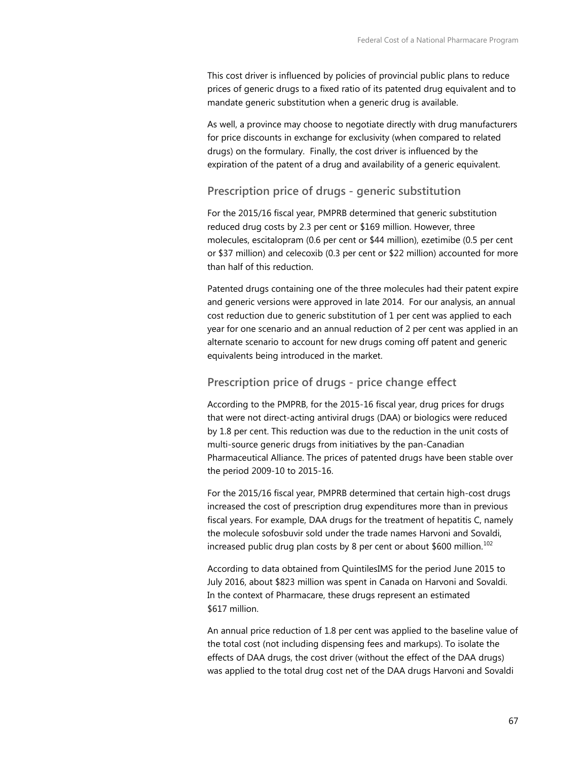This cost driver is influenced by policies of provincial public plans to reduce prices of generic drugs to a fixed ratio of its patented drug equivalent and to mandate generic substitution when a generic drug is available.

As well, a province may choose to negotiate directly with drug manufacturers for price discounts in exchange for exclusivity (when compared to related drugs) on the formulary. Finally, the cost driver is influenced by the expiration of the patent of a drug and availability of a generic equivalent.

### **Prescription price of drugs - generic substitution**

For the 2015/16 fiscal year, PMPRB determined that generic substitution reduced drug costs by 2.3 per cent or \$169 million. However, three molecules, escitalopram (0.6 per cent or \$44 million), ezetimibe (0.5 per cent or \$37 million) and celecoxib (0.3 per cent or \$22 million) accounted for more than half of this reduction.

Patented drugs containing one of the three molecules had their patent expire and generic versions were approved in late 2014. For our analysis, an annual cost reduction due to generic substitution of 1 per cent was applied to each year for one scenario and an annual reduction of 2 per cent was applied in an alternate scenario to account for new drugs coming off patent and generic equivalents being introduced in the market.

## **Prescription price of drugs - price change effect**

According to the PMPRB, for the 2015-16 fiscal year, drug prices for drugs that were not direct-acting antiviral drugs (DAA) or biologics were reduced by 1.8 per cent. This reduction was due to the reduction in the unit costs of multi-source generic drugs from initiatives by the pan-Canadian Pharmaceutical Alliance. The prices of patented drugs have been stable over the period 2009-10 to 2015-16.

For the 2015/16 fiscal year, PMPRB determined that certain high-cost drugs increased the cost of prescription drug expenditures more than in previous fiscal years. For example, DAA drugs for the treatment of hepatitis C, namely the molecule sofosbuvir sold under the trade names Harvoni and Sovaldi, increased public drug plan costs by 8 per cent or about \$600 million.<sup>[102](#page-92-26)</sup>

According to data obtained from QuintilesIMS for the period June 2015 to July 2016, about \$823 million was spent in Canada on Harvoni and Sovaldi. In the context of Pharmacare, these drugs represent an estimated \$617 million.

An annual price reduction of 1.8 per cent was applied to the baseline value of the total cost (not including dispensing fees and markups). To isolate the effects of DAA drugs, the cost driver (without the effect of the DAA drugs) was applied to the total drug cost net of the DAA drugs Harvoni and Sovaldi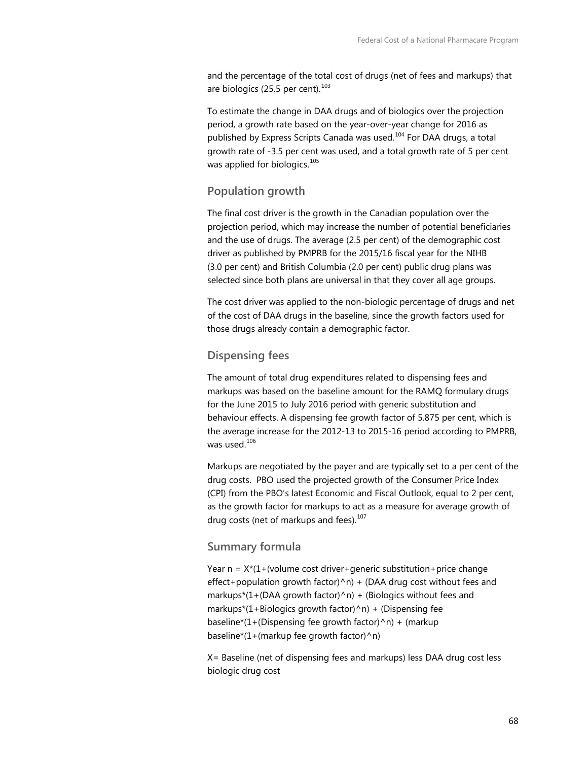and the percentage of the total cost of drugs (net of fees and markups) that are biologics (25.5 per cent). $103$ 

To estimate the change in DAA drugs and of biologics over the projection period, a growth rate based on the year-over-year change for 2016 as published by Express Scripts Canada was used.<sup>[104](#page-92-1)</sup> For DAA drugs, a total growth rate of -3.5 per cent was used, and a total growth rate of 5 per cent was applied for biologics.<sup>105</sup>

#### **Population growth**

The final cost driver is the growth in the Canadian population over the projection period, which may increase the number of potential beneficiaries and the use of drugs. The average (2.5 per cent) of the demographic cost driver as published by PMPRB for the 2015/16 fiscal year for the NIHB (3.0 per cent) and British Columbia (2.0 per cent) public drug plans was selected since both plans are universal in that they cover all age groups.

The cost driver was applied to the non-biologic percentage of drugs and net of the cost of DAA drugs in the baseline, since the growth factors used for those drugs already contain a demographic factor.

#### **Dispensing fees**

The amount of total drug expenditures related to dispensing fees and markups was based on the baseline amount for the RAMQ formulary drugs for the June 2015 to July 2016 period with generic substitution and behaviour effects. A dispensing fee growth factor of 5.875 per cent, which is the average increase for the 2012-13 to 2015-16 period according to PMPRB, was used.[106](#page-92-3) 

Markups are negotiated by the payer and are typically set to a per cent of the drug costs. PBO used the projected growth of the Consumer Price Index (CPI) from the PBO's latest Economic and Fiscal Outlook, equal to 2 per cent, as the growth factor for markups to act as a measure for average growth of drug costs (net of markups and fees). $107$ 

#### **Summary formula**

Year  $n = X*(1+(volume cost driver+generic substitution + price change)$ effect+population growth factor)^n) + (DAA drug cost without fees and markups\*(1+(DAA growth factor) $\wedge$ n) + (Biologics without fees and markups\*(1+Biologics growth factor)^n) + (Dispensing fee baseline\*(1+(Dispensing fee growth factor)^n) + (markup baseline\*(1+(markup fee growth factor)^n)

X= Baseline (net of dispensing fees and markups) less DAA drug cost less biologic drug cost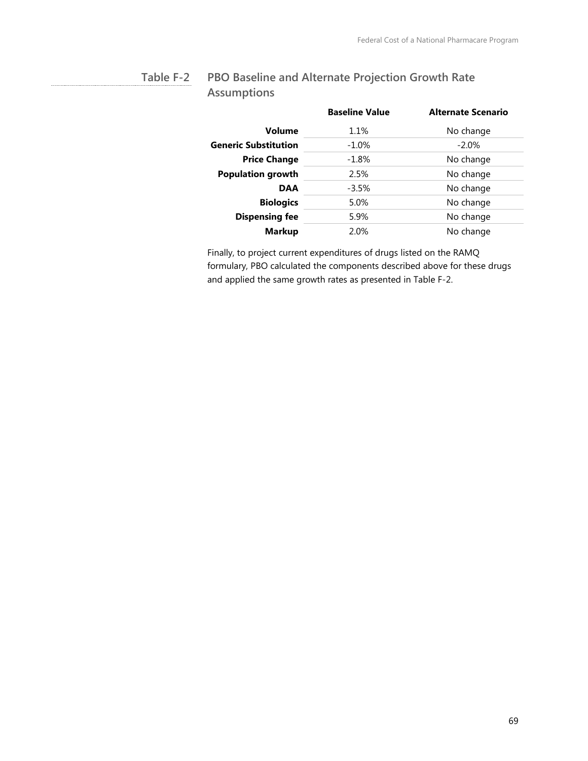#### **PBO Baseline and Alternate Projection Growth Rate Assumptions Table F-2**

|                             | <b>Baseline Value</b> | <b>Alternate Scenario</b> |
|-----------------------------|-----------------------|---------------------------|
| Volume                      | 1.1%                  | No change                 |
| <b>Generic Substitution</b> | $-1.0\%$              | $-2.0%$                   |
| <b>Price Change</b>         | $-1.8\%$              | No change                 |
| <b>Population growth</b>    | 2.5%                  | No change                 |
| <b>DAA</b>                  | $-3.5%$               | No change                 |
| <b>Biologics</b>            | 5.0%                  | No change                 |
| <b>Dispensing fee</b>       | 5.9%                  | No change                 |
| <b>Markup</b>               | 2.0%                  | No change                 |

Finally, to project current expenditures of drugs listed on the RAMQ formulary, PBO calculated the components described above for these drugs and applied the same growth rates as presented in Table F-2.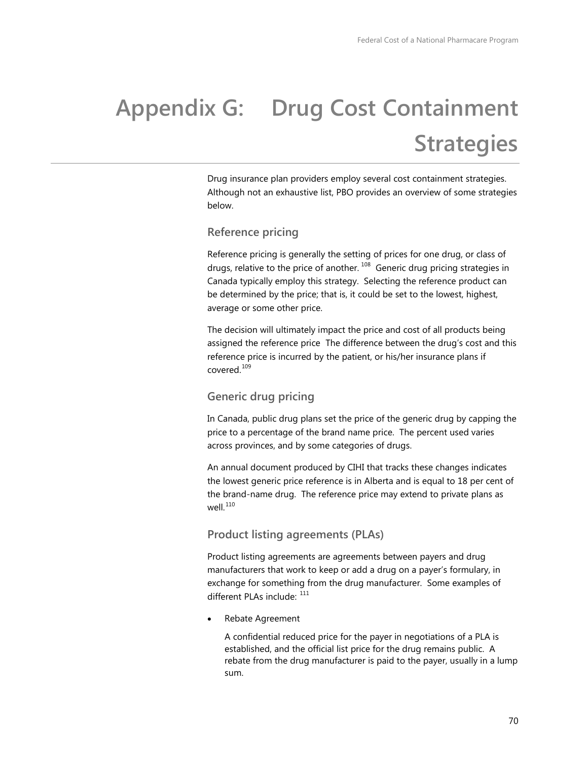# **Appendix G: Drug Cost Containment Strategies**

Drug insurance plan providers employ several cost containment strategies. Although not an exhaustive list, PBO provides an overview of some strategies below.

### **Reference pricing**

Reference pricing is generally the setting of prices for one drug, or class of drugs, relative to the price of another.<sup>[108](#page-92-5)</sup> Generic drug pricing strategies in Canada typically employ this strategy. Selecting the reference product can be determined by the price; that is, it could be set to the lowest, highest, average or some other price.

The decision will ultimately impact the price and cost of all products being assigned the reference price The difference between the drug's cost and this reference price is incurred by the patient, or his/her insurance plans if covered.<sup>109</sup>

### **Generic drug pricing**

In Canada, public drug plans set the price of the generic drug by capping the price to a percentage of the brand name price. The percent used varies across provinces, and by some categories of drugs.

An annual document produced by CIHI that tracks these changes indicates the lowest generic price reference is in Alberta and is equal to 18 per cent of the brand-name drug. The reference price may extend to private plans as well. $^{110}$  $^{110}$  $^{110}$ 

### **Product listing agreements (PLAs)**

Product listing agreements are agreements between payers and drug manufacturers that work to keep or add a drug on a payer's formulary, in exchange for something from the drug manufacturer. Some examples of different PLAs include:  $^{111}$  $^{111}$  $^{111}$ 

• Rebate Agreement

A confidential reduced price for the payer in negotiations of a PLA is established, and the official list price for the drug remains public. A rebate from the drug manufacturer is paid to the payer, usually in a lump sum.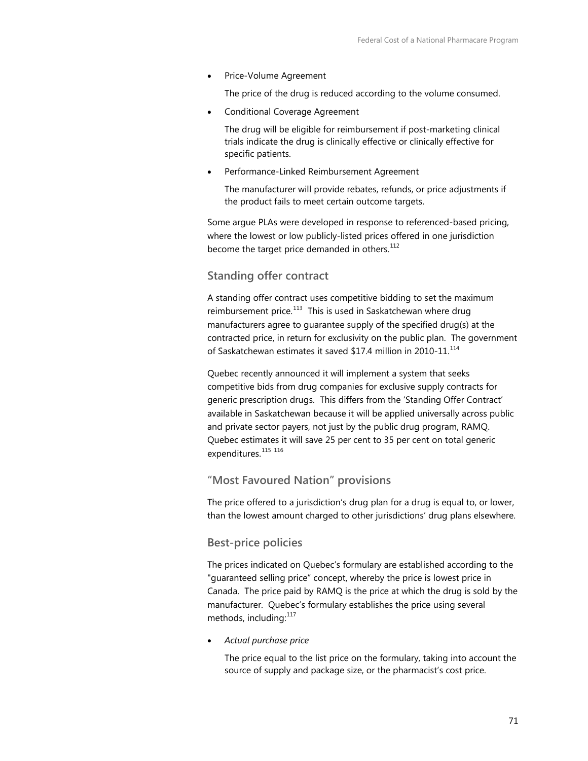• Price-Volume Agreement

The price of the drug is reduced according to the volume consumed.

• Conditional Coverage Agreement

The drug will be eligible for reimbursement if post-marketing clinical trials indicate the drug is clinically effective or clinically effective for specific patients.

• Performance-Linked Reimbursement Agreement

The manufacturer will provide rebates, refunds, or price adjustments if the product fails to meet certain outcome targets.

Some argue PLAs were developed in response to referenced-based pricing, where the lowest or low publicly-listed prices offered in one jurisdiction become the target price demanded in others.<sup>[112](#page-92-9)</sup>

# **Standing offer contract**

A standing offer contract uses competitive bidding to set the maximum reimbursement price. $113$  This is used in Saskatchewan where drug manufacturers agree to guarantee supply of the specified drug(s) at the contracted price, in return for exclusivity on the public plan. The government of Saskatchewan estimates it saved \$17.4 million in 2010-11.<sup>114</sup>

Quebec recently announced it will implement a system that seeks competitive bids from drug companies for exclusive supply contracts for generic prescription drugs. This differs from the 'Standing Offer Contract' available in Saskatchewan because it will be applied universally across public and private sector payers, not just by the public drug program, RAMQ. Quebec estimates it will save 25 per cent to 35 per cent on total generic expenditures.<sup>[115](#page-92-11)</sup> [116](#page-92-12)

### **"Most Favoured Nation" provisions**

The price offered to a jurisdiction's drug plan for a drug is equal to, or lower, than the lowest amount charged to other jurisdictions' drug plans elsewhere.

#### **Best-price policies**

The prices indicated on Quebec's formulary are established according to the "guaranteed selling price" concept, whereby the price is lowest price in Canada. The price paid by RAMQ is the price at which the drug is sold by the manufacturer. Quebec's formulary establishes the price using several methods, including:<sup>[117](#page-92-13)</sup>

• *Actual purchase price*

The price equal to the list price on the formulary, taking into account the source of supply and package size, or the pharmacist's cost price.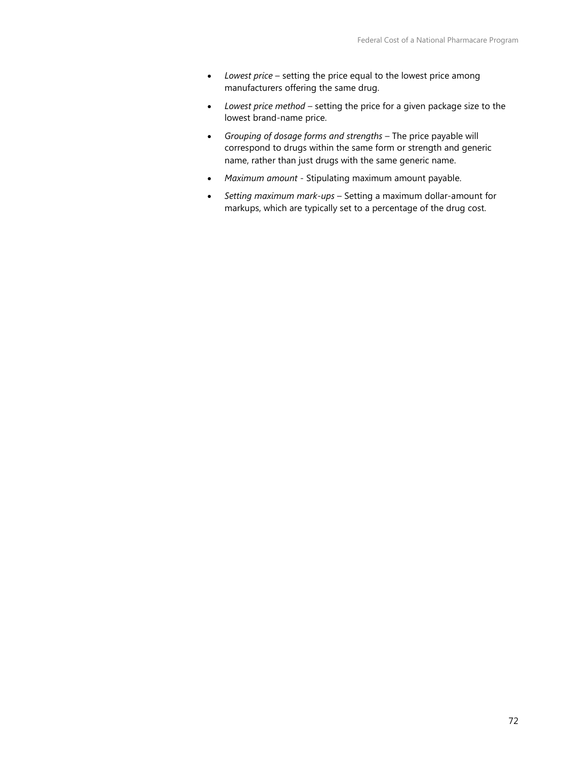- *Lowest price* setting the price equal to the lowest price among manufacturers offering the same drug.
- *Lowest price method* setting the price for a given package size to the lowest brand-name price.
- *Grouping of dosage forms and strengths* The price payable will correspond to drugs within the same form or strength and generic name, rather than just drugs with the same generic name.
- *Maximum amount* Stipulating maximum amount payable.
- *Setting maximum mark-ups* Setting a maximum dollar-amount for markups, which are typically set to a percentage of the drug cost.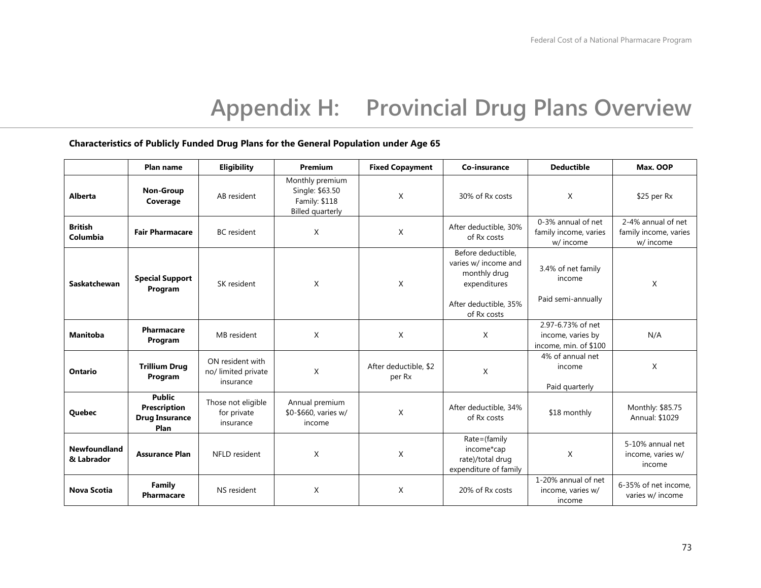# **Appendix H: Provincial Drug Plans Overview**

#### **Characteristics of Publicly Funded Drug Plans for the General Population under Age 65**

|                            | Plan name                                                      | Eligibility                                          | Premium                                                                        | <b>Fixed Copayment</b>          | Co-insurance                                                                                                       | <b>Deductible</b>                                               | Max. OOP                                                 |
|----------------------------|----------------------------------------------------------------|------------------------------------------------------|--------------------------------------------------------------------------------|---------------------------------|--------------------------------------------------------------------------------------------------------------------|-----------------------------------------------------------------|----------------------------------------------------------|
| <b>Alberta</b>             | Non-Group<br>Coverage                                          | AB resident                                          | Monthly premium<br>Single: \$63.50<br>Family: \$118<br><b>Billed quarterly</b> | X                               | 30% of Rx costs                                                                                                    | X                                                               | $$25$ per Rx                                             |
| <b>British</b><br>Columbia | <b>Fair Pharmacare</b>                                         | <b>BC</b> resident                                   | X                                                                              | X                               | After deductible, 30%<br>of Rx costs                                                                               | 0-3% annual of net<br>family income, varies<br>w/ income        | 2-4% annual of net<br>family income, varies<br>w/ income |
| <b>Saskatchewan</b>        | <b>Special Support</b><br>Program                              | SK resident                                          | X                                                                              | X                               | Before deductible,<br>varies w/ income and<br>monthly drug<br>expenditures<br>After deductible, 35%<br>of Rx costs | 3.4% of net family<br>income<br>Paid semi-annually              | X                                                        |
| <b>Manitoba</b>            | Pharmacare<br>Program                                          | MB resident                                          | X                                                                              | X                               | X                                                                                                                  | 2.97-6.73% of net<br>income, varies by<br>income, min. of \$100 | N/A                                                      |
| Ontario                    | <b>Trillium Drug</b><br>Program                                | ON resident with<br>no/ limited private<br>insurance | X                                                                              | After deductible, \$2<br>per Rx | X                                                                                                                  | 4% of annual net<br>income<br>Paid quarterly                    | X                                                        |
| Quebec                     | <b>Public</b><br>Prescription<br><b>Drug Insurance</b><br>Plan | Those not eligible<br>for private<br>insurance       | Annual premium<br>\$0-\$660, varies w/<br>income                               | X                               | After deductible, 34%<br>of Rx costs                                                                               | \$18 monthly                                                    | Monthly: \$85.75<br>Annual: \$1029                       |
| Newfoundland<br>& Labrador | <b>Assurance Plan</b>                                          | NFLD resident                                        | X                                                                              | X                               | Rate=(family<br>income*cap<br>rate)/total drug<br>expenditure of family                                            | X                                                               | 5-10% annual net<br>income, varies w/<br>income          |
| <b>Nova Scotia</b>         | Family<br><b>Pharmacare</b>                                    | NS resident                                          | X                                                                              | X                               | 20% of Rx costs                                                                                                    | 1-20% annual of net<br>income, varies w/<br>income              | 6-35% of net income,<br>varies w/ income                 |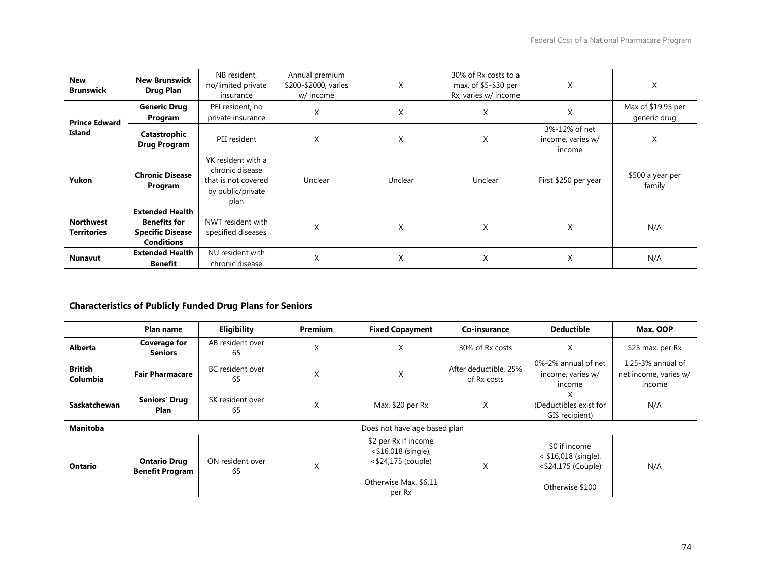| <b>New</b><br><b>Brunswick</b>         | <b>New Brunswick</b><br><b>Drug Plan</b>                                                      | NB resident,<br>no/limited private<br>insurance                                           | Annual premium<br>\$200-\$2000, varies<br>w/ income | X       | 30% of Rx costs to a<br>max. of \$5-\$30 per<br>Rx, varies w/ income | X                                            | X                                  |
|----------------------------------------|-----------------------------------------------------------------------------------------------|-------------------------------------------------------------------------------------------|-----------------------------------------------------|---------|----------------------------------------------------------------------|----------------------------------------------|------------------------------------|
| <b>Prince Edward</b><br><b>Island</b>  | <b>Generic Drug</b><br>Program                                                                | PEI resident, no<br>private insurance                                                     | X                                                   | X       | X                                                                    | X                                            | Max of \$19.95 per<br>generic drug |
|                                        | Catastrophic<br><b>Drug Program</b>                                                           | PEI resident                                                                              | X                                                   | X       | X                                                                    | 3%-12% of net<br>income, varies w/<br>income | X                                  |
| Yukon                                  | <b>Chronic Disease</b><br>Program                                                             | YK resident with a<br>chronic disease<br>that is not covered<br>by public/private<br>plan | Unclear                                             | Unclear | Unclear                                                              | First \$250 per year                         | \$500 a year per<br>family         |
| <b>Northwest</b><br><b>Territories</b> | <b>Extended Health</b><br><b>Benefits for</b><br><b>Specific Disease</b><br><b>Conditions</b> | NWT resident with<br>specified diseases                                                   | X                                                   | X       | X                                                                    | X                                            | N/A                                |
| <b>Nunavut</b>                         | <b>Extended Health</b><br>Benefit                                                             | NU resident with<br>chronic disease                                                       | X                                                   | X       | X                                                                    | X                                            | N/A                                |

# **Characteristics of Publicly Funded Drug Plans for Seniors**

|                            | Plan name                                     | <b>Eligibility</b>            | <b>Premium</b> | <b>Fixed Copayment</b>                                                                                     | Co-insurance                         | <b>Deductible</b>                                                                | Max. OOP                                                 |  |  |
|----------------------------|-----------------------------------------------|-------------------------------|----------------|------------------------------------------------------------------------------------------------------------|--------------------------------------|----------------------------------------------------------------------------------|----------------------------------------------------------|--|--|
| <b>Alberta</b>             | <b>Coverage for</b><br><b>Seniors</b>         | AB resident over<br>65        | X              | X                                                                                                          | 30% of Rx costs                      | X                                                                                | \$25 max. per Rx                                         |  |  |
| <b>British</b><br>Columbia | <b>Fair Pharmacare</b>                        | <b>BC</b> resident over<br>65 | X              | X                                                                                                          | After deductible, 25%<br>of Rx costs | 0%-2% annual of net<br>income, varies w/<br>income                               | $1.25 - 3%$ annual of<br>net income, varies w/<br>income |  |  |
| <b>Saskatchewan</b>        | <b>Seniors' Drug</b><br>Plan                  | SK resident over<br>65        | X              | Max. \$20 per Rx                                                                                           | X                                    | X<br>(Deductibles exist for<br>GIS recipient)                                    | N/A                                                      |  |  |
| Manitoba                   | Does not have age based plan                  |                               |                |                                                                                                            |                                      |                                                                                  |                                                          |  |  |
| <b>Ontario</b>             | <b>Ontario Drug</b><br><b>Benefit Program</b> | ON resident over<br>65        | X              | \$2 per Rx if income<br>$<$ \$16,018 (single),<br>$<$ \$24,175 (couple)<br>Otherwise Max. \$6.11<br>per Rx | X                                    | \$0 if income<br>$<$ \$16,018 (single),<br><\$24,175 (Couple)<br>Otherwise \$100 | N/A                                                      |  |  |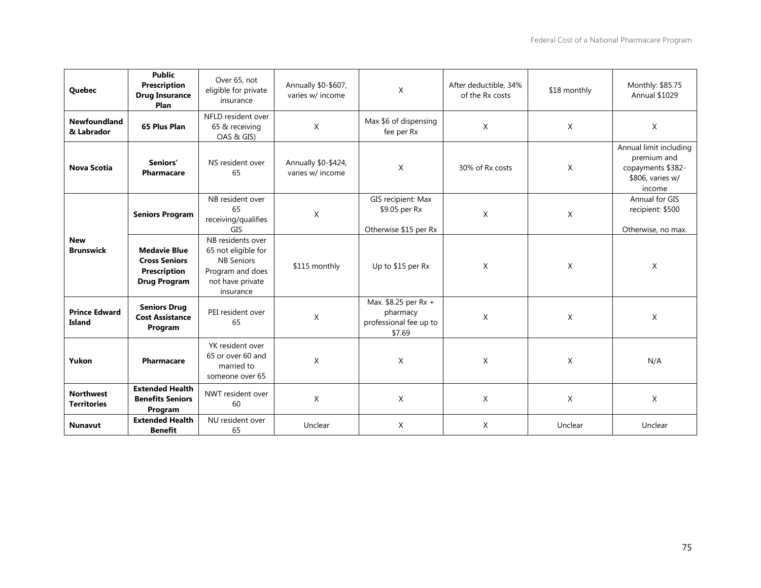| Quebec                                 | <b>Public</b><br><b>Prescription</b><br><b>Drug Insurance</b><br>Plan                     | Over 65, not<br>eligible for private<br>insurance                                                                  | Annually \$0-\$607,<br>varies w/ income | X                                                                    | After deductible, 34%<br>of the Rx costs | \$18 monthly | Monthly: \$85.75<br><b>Annual \$1029</b>                                                 |
|----------------------------------------|-------------------------------------------------------------------------------------------|--------------------------------------------------------------------------------------------------------------------|-----------------------------------------|----------------------------------------------------------------------|------------------------------------------|--------------|------------------------------------------------------------------------------------------|
| Newfoundland<br>& Labrador             | 65 Plus Plan                                                                              | NFLD resident over<br>65 & receiving<br>OAS & GIS)                                                                 | X                                       | Max \$6 of dispensing<br>fee per Rx                                  | X                                        | $\mathsf{X}$ | $\mathsf{X}$                                                                             |
| <b>Nova Scotia</b>                     | Seniors'<br><b>Pharmacare</b>                                                             | NS resident over<br>65                                                                                             | Annually \$0-\$424,<br>varies w/ income | $\mathsf{X}$                                                         | 30% of Rx costs                          | X            | Annual limit including<br>premium and<br>copayments \$382-<br>\$806, varies w/<br>income |
|                                        | <b>Seniors Program</b>                                                                    | NB resident over<br>65<br>receiving/qualifies<br>GIS                                                               | X                                       | GIS recipient: Max<br>\$9.05 per Rx<br>Otherwise \$15 per Rx         | X                                        | $\mathsf{X}$ | Annual for GIS<br>recipient: \$500<br>Otherwise, no max.                                 |
| <b>New</b><br><b>Brunswick</b>         | <b>Medavie Blue</b><br><b>Cross Seniors</b><br><b>Prescription</b><br><b>Drug Program</b> | NB residents over<br>65 not eligible for<br><b>NB Seniors</b><br>Program and does<br>not have private<br>insurance | \$115 monthly                           | Up to \$15 per Rx                                                    | $\mathsf{X}$                             | X            | X                                                                                        |
| <b>Prince Edward</b><br>Island         | <b>Seniors Drug</b><br><b>Cost Assistance</b><br>Program                                  | PEI resident over<br>65                                                                                            | X                                       | Max. \$8.25 per Rx +<br>pharmacy<br>professional fee up to<br>\$7.69 | $\mathsf{X}$                             | X            | X                                                                                        |
| Yukon                                  | Pharmacare                                                                                | YK resident over<br>65 or over 60 and<br>married to<br>someone over 65                                             | X                                       | $\mathsf{X}$                                                         | $\mathsf{X}$                             | X            | N/A                                                                                      |
| <b>Northwest</b><br><b>Territories</b> | <b>Extended Health</b><br><b>Benefits Seniors</b><br>Program                              | NWT resident over<br>60                                                                                            | X                                       | X                                                                    | X                                        | $\times$     | $\mathsf{X}$                                                                             |
| <b>Nunavut</b>                         | <b>Extended Health</b><br><b>Benefit</b>                                                  | NU resident over<br>65                                                                                             | Unclear                                 | X                                                                    | X                                        | Unclear      | Unclear                                                                                  |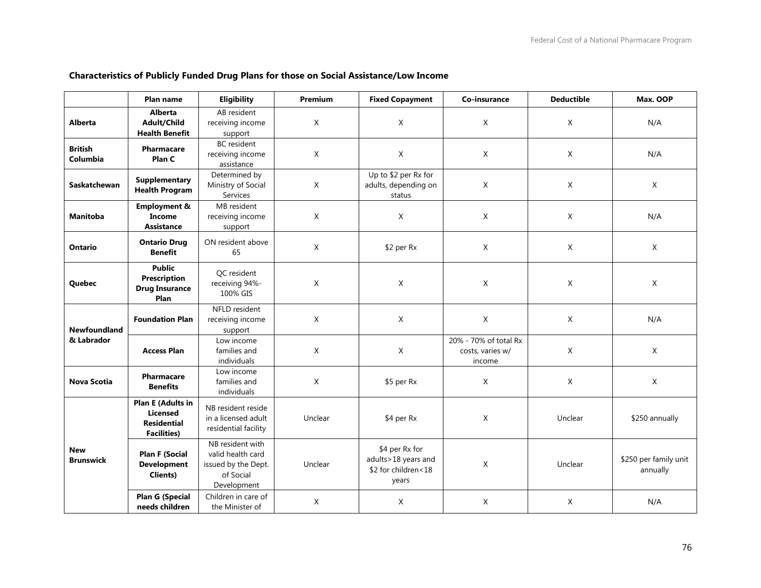|                                | Plan name                                                                        | Eligibility                                                                              | <b>Premium</b> | <b>Fixed Copayment</b>                                                | Co-insurance                                        | <b>Deductible</b> | Max. OOP                          |
|--------------------------------|----------------------------------------------------------------------------------|------------------------------------------------------------------------------------------|----------------|-----------------------------------------------------------------------|-----------------------------------------------------|-------------------|-----------------------------------|
| <b>Alberta</b>                 | <b>Alberta</b><br>Adult/Child<br><b>Health Benefit</b>                           | AB resident<br>receiving income<br>support                                               | $\sf X$        | $\times$                                                              | X                                                   | X                 | N/A                               |
| <b>British</b><br>Columbia     | <b>Pharmacare</b><br>Plan C                                                      | <b>BC</b> resident<br>receiving income<br>assistance                                     | $\times$       | $\mathsf{X}$                                                          | $\mathsf{X}$                                        | X                 | N/A                               |
| <b>Saskatchewan</b>            | <b>Supplementary</b><br><b>Health Program</b>                                    | Determined by<br>Ministry of Social<br>Services                                          | X              | Up to \$2 per Rx for<br>adults, depending on<br>status                | X                                                   | X                 | X                                 |
| <b>Manitoba</b>                | <b>Employment &amp;</b><br>Income<br><b>Assistance</b>                           | MB resident<br>receiving income<br>support                                               | $\mathsf X$    | X                                                                     | X                                                   | X                 | N/A                               |
| <b>Ontario</b>                 | <b>Ontario Drug</b><br><b>Benefit</b>                                            | ON resident above<br>65                                                                  | X              | \$2 per Rx                                                            | X                                                   | X                 | X                                 |
| Quebec                         | <b>Public</b><br>Prescription<br><b>Drug Insurance</b><br>Plan                   | QC resident<br>receiving 94%-<br>100% GIS                                                | X              | $\mathsf{X}$                                                          | X                                                   | X                 | X                                 |
| Newfoundland                   | <b>Foundation Plan</b>                                                           | NFLD resident<br>receiving income<br>support                                             | $\mathsf{X}$   | $\mathsf{X}$                                                          | X                                                   | X                 | N/A                               |
| & Labrador                     | <b>Access Plan</b>                                                               | Low income<br>families and<br>individuals                                                | $\sf X$        | $\mathsf{X}$                                                          | 20% - 70% of total Rx<br>costs, varies w/<br>income | X                 | $\mathsf{X}$                      |
| <b>Nova Scotia</b>             | <b>Pharmacare</b><br><b>Benefits</b>                                             | Low income<br>families and<br>individuals                                                | X              | \$5 per Rx                                                            | X                                                   | X                 | X                                 |
| <b>New</b><br><b>Brunswick</b> | <b>Plan E (Adults in</b><br>Licensed<br><b>Residential</b><br><b>Facilities)</b> | NB resident reside<br>in a licensed adult<br>residential facility                        | Unclear        | \$4 per Rx                                                            | $\mathsf{X}$                                        | Unclear           | \$250 annually                    |
|                                | <b>Plan F (Social</b><br><b>Development</b><br><b>Clients)</b>                   | NB resident with<br>valid health card<br>issued by the Dept.<br>of Social<br>Development | Unclear        | \$4 per Rx for<br>adults>18 years and<br>\$2 for children<18<br>years | X                                                   | Unclear           | \$250 per family unit<br>annually |
|                                | <b>Plan G (Special</b><br>needs children                                         | Children in care of<br>the Minister of                                                   | $\mathsf{X}$   | X                                                                     | X                                                   | X                 | N/A                               |

# **Characteristics of Publicly Funded Drug Plans for those on Social Assistance/Low Income**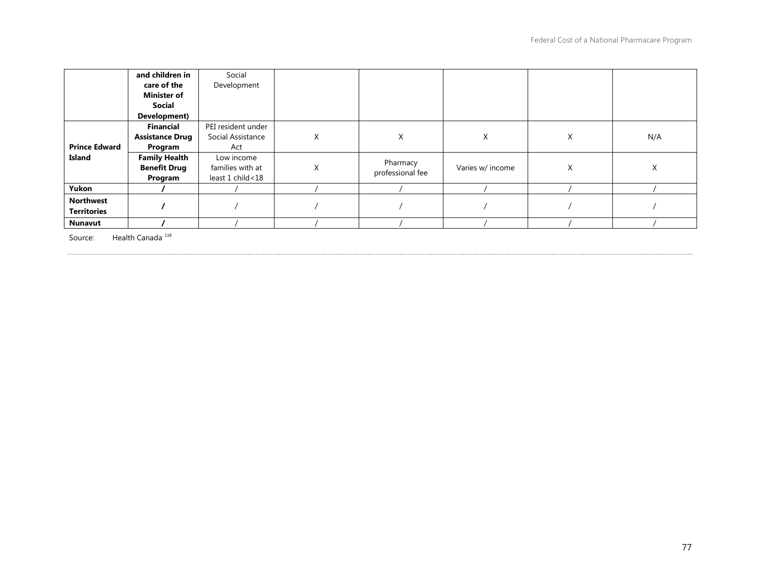|                      | and children in        | Social             |   |                  |                  |   |     |
|----------------------|------------------------|--------------------|---|------------------|------------------|---|-----|
|                      | care of the            | Development        |   |                  |                  |   |     |
|                      | <b>Minister of</b>     |                    |   |                  |                  |   |     |
|                      | <b>Social</b>          |                    |   |                  |                  |   |     |
|                      | Development)           |                    |   |                  |                  |   |     |
|                      | Financial              | PEI resident under |   |                  |                  |   |     |
|                      | <b>Assistance Drug</b> | Social Assistance  | X | X                | X                | X | N/A |
| <b>Prince Edward</b> | Program                | Act                |   |                  |                  |   |     |
| Island               | <b>Family Health</b>   | Low income         |   | Pharmacy         |                  |   |     |
|                      | <b>Benefit Drug</b>    | families with at   | X | professional fee | Varies w/ income | Χ | Χ   |
|                      | Program                | least 1 child<18   |   |                  |                  |   |     |
| Yukon                |                        |                    |   |                  |                  |   |     |
| <b>Northwest</b>     |                        |                    |   |                  |                  |   |     |
| <b>Territories</b>   |                        |                    |   |                  |                  |   |     |
| <b>Nunavut</b>       |                        |                    |   |                  |                  |   |     |

Source: Health Canada<sup>118</sup>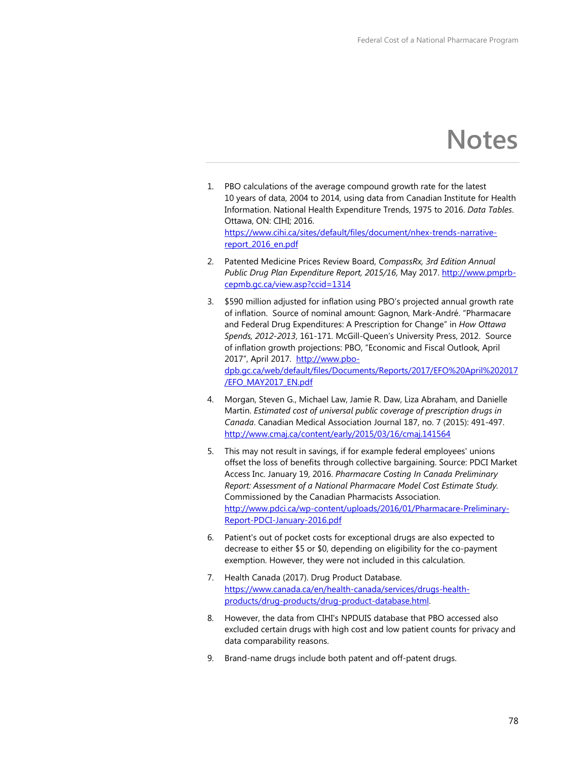# **Notes**

- 1. PBO calculations of the average compound growth rate for the latest 10 years of data, 2004 to 2014, using data from Canadian Institute for Health Information. National Health Expenditure Trends, 1975 to 2016. *Data Tables*. Ottawa, ON: CIHI; 2016. https://www.cihi.ca/sites/default/files/document/nhex-trends-narrativereport\_2016\_en.pdf
- 2. Patented Medicine Prices Review Board, *CompassRx, 3rd Edition Annual Public Drug Plan Expenditure Report, 2015/16*, May 2017. [http://www.pmprb](http://www.pmprb-cepmb.gc.ca/view.asp?ccid=1314)[cepmb.gc.ca/view.asp?ccid=1314](http://www.pmprb-cepmb.gc.ca/view.asp?ccid=1314)
- 3. \$590 million adjusted for inflation using PBO's projected annual growth rate of inflation. Source of nominal amount: Gagnon, Mark-André. "Pharmacare and Federal Drug Expenditures: A Prescription for Change" in *How Ottawa Spends, 2012-2013*, 161-171. McGill-Queen's University Press, 2012. Source of inflation growth projections: PBO, "Economic and Fiscal Outlook, April 2017", April 2017. [http://www.pbo](http://www.pbo-dpb.gc.ca/web/default/files/Documents/Reports/2017/EFO%20April%202017/EFO_MAY2017_EN.pdf)[dpb.gc.ca/web/default/files/Documents/Reports/2017/EFO%20April%202017](http://www.pbo-dpb.gc.ca/web/default/files/Documents/Reports/2017/EFO%20April%202017/EFO_MAY2017_EN.pdf) [/EFO\\_MAY2017\\_EN.pdf](http://www.pbo-dpb.gc.ca/web/default/files/Documents/Reports/2017/EFO%20April%202017/EFO_MAY2017_EN.pdf)
- 4. Morgan, Steven G., Michael Law, Jamie R. Daw, Liza Abraham, and Danielle Martin. *Estimated cost of universal public coverage of prescription drugs in Canada*. Canadian Medical Association Journal 187, no. 7 (2015): 491-497. <http://www.cmaj.ca/content/early/2015/03/16/cmaj.141564>
- 5. This may not result in savings, if for example federal employees' unions offset the loss of benefits through collective bargaining. Source: PDCI Market Access Inc. January 19, 2016. *Pharmacare Costing In Canada Preliminary Report: Assessment of a National Pharmacare Model Cost Estimate Study.* Commissioned by the Canadian Pharmacists Association. [http://www.pdci.ca/wp-content/uploads/2016/01/Pharmacare-Preliminary-](http://www.pdci.ca/wp-content/uploads/2016/01/Pharmacare-Preliminary-Report-PDCI-January-2016.pdf)[Report-PDCI-January-2016.pdf](http://www.pdci.ca/wp-content/uploads/2016/01/Pharmacare-Preliminary-Report-PDCI-January-2016.pdf)
- 6. Patient's out of pocket costs for exceptional drugs are also expected to decrease to either \$5 or \$0, depending on eligibility for the co-payment exemption. However, they were not included in this calculation.
- 7. Health Canada (2017). Drug Product Database. [https://www.canada.ca/en/health-canada/services/drugs-health](https://www.canada.ca/en/health-canada/services/drugs-health-products/drug-products/drug-product-database.html)[products/drug-products/drug-product-database.html.](https://www.canada.ca/en/health-canada/services/drugs-health-products/drug-products/drug-product-database.html)
- 8. However, the data from CIHI's NPDUIS database that PBO accessed also excluded certain drugs with high cost and low patient counts for privacy and data comparability reasons.
- 9. Brand-name drugs include both patent and off-patent drugs.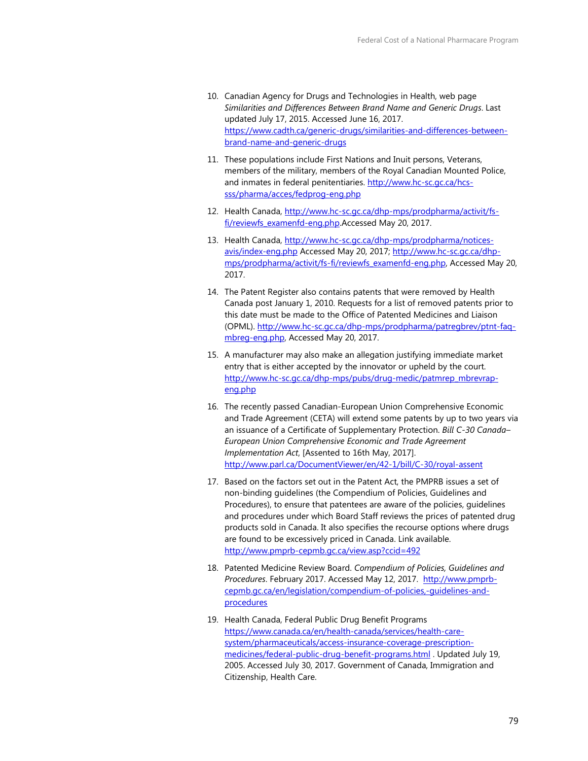- 10. Canadian Agency for Drugs and Technologies in Health, web page *Similarities and Differences Between Brand Name and Generic Drugs*. Last updated July 17, 2015. Accessed June 16, 2017. [https://www.cadth.ca/generic-drugs/similarities-and-differences-between](https://www.cadth.ca/generic-drugs/similarities-and-differences-between-brand-name-and-generic-drugs)[brand-name-and-generic-drugs](https://www.cadth.ca/generic-drugs/similarities-and-differences-between-brand-name-and-generic-drugs)
- 11. These populations include First Nations and Inuit persons, Veterans, members of the military, members of the Royal Canadian Mounted Police, and inmates in federal penitentiaries. [http://www.hc-sc.gc.ca/hcs](http://www.hc-sc.gc.ca/hcs-sss/pharma/acces/fedprog-eng.php)[sss/pharma/acces/fedprog-eng.php](http://www.hc-sc.gc.ca/hcs-sss/pharma/acces/fedprog-eng.php)
- 12. Health Canada[, http://www.hc-sc.gc.ca/dhp-mps/prodpharma/activit/fs](http://www.hc-sc.gc.ca/dhp-mps/prodpharma/activit/fs-fi/reviewfs_examenfd-eng.php)[fi/reviewfs\\_examenfd-eng.php.A](http://www.hc-sc.gc.ca/dhp-mps/prodpharma/activit/fs-fi/reviewfs_examenfd-eng.php)ccessed May 20, 2017.
- 13. Health Canada[, http://www.hc-sc.gc.ca/dhp-mps/prodpharma/notices](http://www.hc-sc.gc.ca/dhp-mps/prodpharma/notices-avis/index-eng.php)[avis/index-eng.php](http://www.hc-sc.gc.ca/dhp-mps/prodpharma/notices-avis/index-eng.php) Accessed May 20, 2017; [http://www.hc-sc.gc.ca/dhp](http://www.hc-sc.gc.ca/dhp-mps/prodpharma/activit/fs-fi/reviewfs_examenfd-eng.php)[mps/prodpharma/activit/fs-fi/reviewfs\\_examenfd-eng.php,](http://www.hc-sc.gc.ca/dhp-mps/prodpharma/activit/fs-fi/reviewfs_examenfd-eng.php) Accessed May 20, 2017.
- 14. The Patent Register also contains patents that were removed by Health Canada post January 1, 2010. Requests for a list of removed patents prior to this date must be made to the Office of Patented Medicines and Liaison (OPML). [http://www.hc-sc.gc.ca/dhp-mps/prodpharma/patregbrev/ptnt-faq](http://www.hc-sc.gc.ca/dhp-mps/prodpharma/patregbrev/ptnt-faq-mbreg-eng.php)[mbreg-eng.php,](http://www.hc-sc.gc.ca/dhp-mps/prodpharma/patregbrev/ptnt-faq-mbreg-eng.php) Accessed May 20, 2017.
- 15. A manufacturer may also make an allegation justifying immediate market entry that is either accepted by the innovator or upheld by the court. [http://www.hc-sc.gc.ca/dhp-mps/pubs/drug-medic/patmrep\\_mbrevrap](http://www.hc-sc.gc.ca/dhp-mps/pubs/drug-medic/patmrep_mbrevrap-eng.php)[eng.php](http://www.hc-sc.gc.ca/dhp-mps/pubs/drug-medic/patmrep_mbrevrap-eng.php)
- 16. The recently passed Canadian-European Union Comprehensive Economic and Trade Agreement (CETA) will extend some patents by up to two years via an issuance of a Certificate of Supplementary Protection. *Bill C-30 Canada– European Union Comprehensive Economic and Trade Agreement Implementation Act*, [Assented to 16th May, 2017]. <http://www.parl.ca/DocumentViewer/en/42-1/bill/C-30/royal-assent>
- 17. Based on the factors set out in the Patent Act, the PMPRB issues a set of non-binding guidelines (the Compendium of Policies, Guidelines and Procedures), to ensure that patentees are aware of the policies, guidelines and procedures under which Board Staff reviews the prices of patented drug products sold in Canada. It also specifies the recourse options where drugs are found to be excessively priced in Canada. Link available. <http://www.pmprb-cepmb.gc.ca/view.asp?ccid=492>
- 18. Patented Medicine Review Board. *Compendium of Policies, Guidelines and Procedures*. February 2017. Accessed May 12, 2017. [http://www.pmprb](http://www.pmprb-cepmb.gc.ca/en/legislation/compendium-of-policies,-guidelines-and-procedures)[cepmb.gc.ca/en/legislation/compendium-of-policies,-guidelines-and](http://www.pmprb-cepmb.gc.ca/en/legislation/compendium-of-policies,-guidelines-and-procedures)[procedures](http://www.pmprb-cepmb.gc.ca/en/legislation/compendium-of-policies,-guidelines-and-procedures)
- 19. Health Canada, Federal Public Drug Benefit Programs [https://www.canada.ca/en/health-canada/services/health-care](https://www.canada.ca/en/health-canada/services/health-care-system/pharmaceuticals/access-insurance-coverage-prescription-medicines/federal-public-drug-benefit-programs.html)[system/pharmaceuticals/access-insurance-coverage-prescription](https://www.canada.ca/en/health-canada/services/health-care-system/pharmaceuticals/access-insurance-coverage-prescription-medicines/federal-public-drug-benefit-programs.html)[medicines/federal-public-drug-benefit-programs.html](https://www.canada.ca/en/health-canada/services/health-care-system/pharmaceuticals/access-insurance-coverage-prescription-medicines/federal-public-drug-benefit-programs.html) . Updated July 19, 2005. Accessed July 30, 2017. Government of Canada, Immigration and Citizenship, Health Care.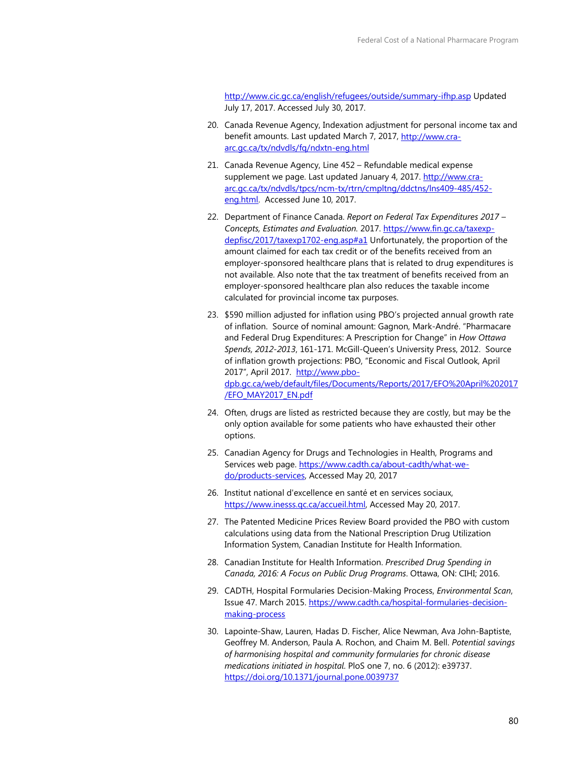<http://www.cic.gc.ca/english/refugees/outside/summary-ifhp.asp> Updated July 17, 2017. Accessed July 30, 2017.

- 20. Canada Revenue Agency, Indexation adjustment for personal income tax and benefit amounts. Last updated March 7, 2017, [http://www.cra](http://www.cra-arc.gc.ca/tx/ndvdls/fq/ndxtn-eng.html)[arc.gc.ca/tx/ndvdls/fq/ndxtn-eng.html](http://www.cra-arc.gc.ca/tx/ndvdls/fq/ndxtn-eng.html)
- 21. Canada Revenue Agency, Line 452 Refundable medical expense supplement we page. Last updated January 4, 2017. [http://www.cra](http://www.cra-arc.gc.ca/tx/ndvdls/tpcs/ncm-tx/rtrn/cmpltng/ddctns/lns409-485/452-eng.html)[arc.gc.ca/tx/ndvdls/tpcs/ncm-tx/rtrn/cmpltng/ddctns/lns409-485/452](http://www.cra-arc.gc.ca/tx/ndvdls/tpcs/ncm-tx/rtrn/cmpltng/ddctns/lns409-485/452-eng.html) [eng.html.](http://www.cra-arc.gc.ca/tx/ndvdls/tpcs/ncm-tx/rtrn/cmpltng/ddctns/lns409-485/452-eng.html) Accessed June 10, 2017.
- 22. Department of Finance Canada. *Report on Federal Tax Expenditures 2017 Concepts, Estimates and Evaluation.* 2017. [https://www.fin.gc.ca/taxexp](https://www.fin.gc.ca/taxexp-depfisc/2017/taxexp1702-eng.asp#a1)[depfisc/2017/taxexp1702-eng.asp#a1](https://www.fin.gc.ca/taxexp-depfisc/2017/taxexp1702-eng.asp#a1) Unfortunately, the proportion of the amount claimed for each tax credit or of the benefits received from an employer-sponsored healthcare plans that is related to drug expenditures is not available. Also note that the tax treatment of benefits received from an employer-sponsored healthcare plan also reduces the taxable income calculated for provincial income tax purposes.
- 23. \$590 million adjusted for inflation using PBO's projected annual growth rate of inflation. Source of nominal amount: Gagnon, Mark-André. "Pharmacare and Federal Drug Expenditures: A Prescription for Change" in *How Ottawa Spends, 2012-2013*, 161-171. McGill-Queen's University Press, 2012. Source of inflation growth projections: PBO, "Economic and Fiscal Outlook, April 2017", April 2017. [http://www.pbo](http://www.pbo-dpb.gc.ca/web/default/files/Documents/Reports/2017/EFO%20April%202017/EFO_MAY2017_EN.pdf)[dpb.gc.ca/web/default/files/Documents/Reports/2017/EFO%20April%202017](http://www.pbo-dpb.gc.ca/web/default/files/Documents/Reports/2017/EFO%20April%202017/EFO_MAY2017_EN.pdf) [/EFO\\_MAY2017\\_EN.pdf](http://www.pbo-dpb.gc.ca/web/default/files/Documents/Reports/2017/EFO%20April%202017/EFO_MAY2017_EN.pdf)
- 24. Often, drugs are listed as restricted because they are costly, but may be the only option available for some patients who have exhausted their other options.
- 25. Canadian Agency for Drugs and Technologies in Health, Programs and Services web page[. https://www.cadth.ca/about-cadth/what-we](https://www.cadth.ca/about-cadth/what-we-do/products-services)[do/products-services,](https://www.cadth.ca/about-cadth/what-we-do/products-services) Accessed May 20, 2017
- 26. Institut national d'excellence en santé et en services sociaux, [https://www.inesss.qc.ca/accueil.html,](https://www.inesss.qc.ca/accueil.html) Accessed May 20, 2017.
- 27. The Patented Medicine Prices Review Board provided the PBO with custom calculations using data from the National Prescription Drug Utilization Information System, Canadian Institute for Health Information.
- 28. Canadian Institute for Health Information. *Prescribed Drug Spending in Canada, 2016: A Focus on Public Drug Programs*. Ottawa, ON: CIHI; 2016.
- 29. CADTH, Hospital Formularies Decision-Making Process, *Environmental Scan*, Issue 47. March 2015[. https://www.cadth.ca/hospital-formularies-decision](https://www.cadth.ca/hospital-formularies-decision-making-process)[making-process](https://www.cadth.ca/hospital-formularies-decision-making-process)
- 30. Lapointe-Shaw, Lauren, Hadas D. Fischer, Alice Newman, Ava John-Baptiste, Geoffrey M. Anderson, Paula A. Rochon, and Chaim M. Bell. *Potential savings of harmonising hospital and community formularies for chronic disease medications initiated in hospital*. PloS one 7, no. 6 (2012): e39737. <https://doi.org/10.1371/journal.pone.0039737>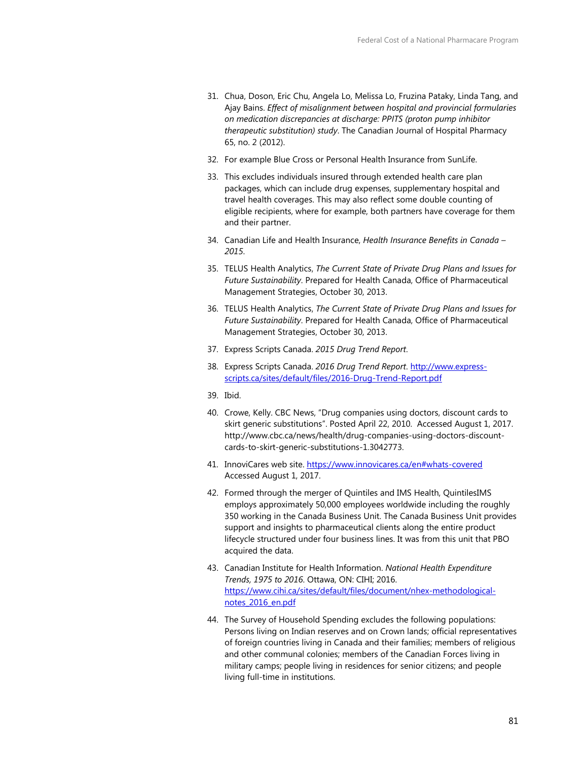- 31. Chua, Doson, Eric Chu, Angela Lo, Melissa Lo, Fruzina Pataky, Linda Tang, and Ajay Bains. *Effect of misalignment between hospital and provincial formularies on medication discrepancies at discharge: PPITS (proton pump inhibitor therapeutic substitution) study*. The Canadian Journal of Hospital Pharmacy 65, no. 2 (2012).
- 32. For example Blue Cross or Personal Health Insurance from SunLife.
- 33. This excludes individuals insured through extended health care plan packages, which can include drug expenses, supplementary hospital and travel health coverages. This may also reflect some double counting of eligible recipients, where for example, both partners have coverage for them and their partner.
- 34. Canadian Life and Health Insurance, *Health Insurance Benefits in Canada 2015*.
- 35. TELUS Health Analytics, *The Current State of Private Drug Plans and Issues for Future Sustainability*. Prepared for Health Canada, Office of Pharmaceutical Management Strategies, October 30, 2013.
- 36. TELUS Health Analytics, *The Current State of Private Drug Plans and Issues for Future Sustainability*. Prepared for Health Canada, Office of Pharmaceutical Management Strategies, October 30, 2013.
- 37. Express Scripts Canada. *2015 Drug Trend Report*.
- 38. Express Scripts Canada. *2016 Drug Trend Report*. [http://www.express](http://www.express-scripts.ca/sites/default/files/2016-Drug-Trend-Report.pdf)[scripts.ca/sites/default/files/2016-Drug-Trend-Report.pdf](http://www.express-scripts.ca/sites/default/files/2016-Drug-Trend-Report.pdf)
- 39. Ibid.
- 40. Crowe, Kelly. CBC News, "Drug companies using doctors, discount cards to skirt generic substitutions". Posted April 22, 2010. Accessed August 1, 2017. http://www.cbc.ca/news/health/drug-companies-using-doctors-discountcards-to-skirt-generic-substitutions-1.3042773.
- 41. InnoviCares web site.<https://www.innovicares.ca/en#whats-covered> Accessed August 1, 2017.
- 42. Formed through the merger of Quintiles and IMS Health, QuintilesIMS employs approximately 50,000 employees worldwide including the roughly 350 working in the Canada Business Unit. The Canada Business Unit provides support and insights to pharmaceutical clients along the entire product lifecycle structured under four business lines. It was from this unit that PBO acquired the data.
- 43. Canadian Institute for Health Information. *National Health Expenditure Trends, 1975 to 2016*. Ottawa, ON: CIHI; 2016. [https://www.cihi.ca/sites/default/files/document/nhex-methodological](https://www.cihi.ca/sites/default/files/document/nhex-methodological-notes_2016_en.pdf)[notes\\_2016\\_en.pdf](https://www.cihi.ca/sites/default/files/document/nhex-methodological-notes_2016_en.pdf)
- 44. The Survey of Household Spending excludes the following populations: Persons living on Indian reserves and on Crown lands; official representatives of foreign countries living in Canada and their families; members of religious and other communal colonies; members of the Canadian Forces living in military camps; people living in residences for senior citizens; and people living full-time in institutions.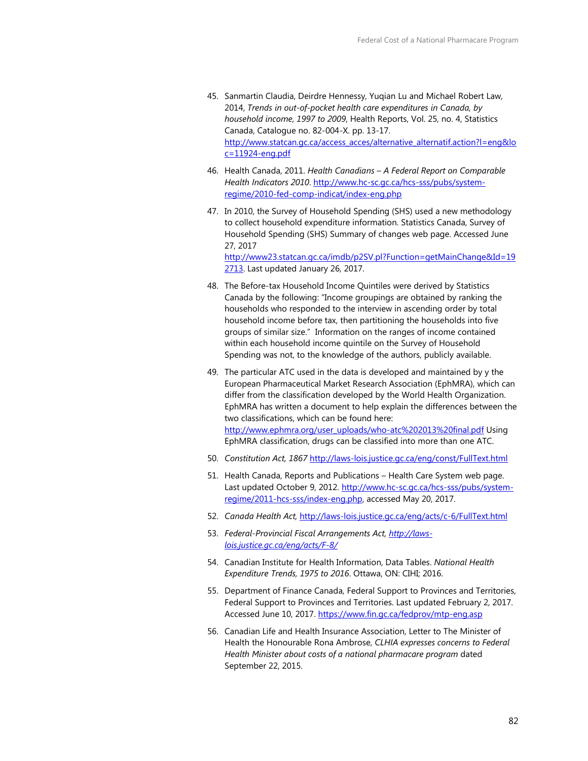- 45. Sanmartin Claudia, Deirdre Hennessy, Yuqian Lu and Michael Robert Law, 2014, *Trends in out-of-pocket health care expenditures in Canada, by household income, 1997 to 2009*, Health Reports, Vol. 25, no. 4, Statistics Canada, Catalogue no. 82-004-X. pp. 13-17. [http://www.statcan.gc.ca/access\\_acces/alternative\\_alternatif.action?l=eng&lo](http://www.statcan.gc.ca/access_acces/alternative_alternatif.action?l=eng&loc=11924-eng.pdf) [c=11924-eng.pdf](http://www.statcan.gc.ca/access_acces/alternative_alternatif.action?l=eng&loc=11924-eng.pdf)
- 46. Health Canada, 2011. *Health Canadians A Federal Report on Comparable Health Indicators 2010*[. http://www.hc-sc.gc.ca/hcs-sss/pubs/system](http://www.hc-sc.gc.ca/hcs-sss/pubs/system-regime/2010-fed-comp-indicat/index-eng.php)[regime/2010-fed-comp-indicat/index-eng.php](http://www.hc-sc.gc.ca/hcs-sss/pubs/system-regime/2010-fed-comp-indicat/index-eng.php)
- 47. In 2010, the Survey of Household Spending (SHS) used a new methodology to collect household expenditure information. Statistics Canada, Survey of Household Spending (SHS) Summary of changes web page. Accessed June 27, 2017 [http://www23.statcan.gc.ca/imdb/p2SV.pl?Function=getMainChange&Id=19](http://www23.statcan.gc.ca/imdb/p2SV.pl?Function=getMainChange&Id=192713) [2713.](http://www23.statcan.gc.ca/imdb/p2SV.pl?Function=getMainChange&Id=192713) Last updated January 26, 2017.
- 48. The Before-tax Household Income Quintiles were derived by Statistics Canada by the following: "Income groupings are obtained by ranking the households who responded to the interview in ascending order by total household income before tax, then partitioning the households into five groups of similar size." Information on the ranges of income contained within each household income quintile on the Survey of Household Spending was not, to the knowledge of the authors, publicly available.
- 49. The particular ATC used in the data is developed and maintained by y the European Pharmaceutical Market Research Association (EphMRA), which can differ from the classification developed by the World Health Organization. EphMRA has written a document to help explain the differences between the two classifications, which can be found here: [http://www.ephmra.org/user\\_uploads/who-atc%202013%20final.pdf](http://www.ephmra.org/user_uploads/who-atc%202013%20final.pdf) Using EphMRA classification, drugs can be classified into more than one ATC.
- 50. *Constitution Act, 1867* <http://laws-lois.justice.gc.ca/eng/const/FullText.html>
- 51. Health Canada, Reports and Publications Health Care System web page. Last updated October 9, 2012. [http://www.hc-sc.gc.ca/hcs-sss/pubs/system](http://www.hc-sc.gc.ca/hcs-sss/pubs/system-regime/2011-hcs-sss/index-eng.php)[regime/2011-hcs-sss/index-eng.php,](http://www.hc-sc.gc.ca/hcs-sss/pubs/system-regime/2011-hcs-sss/index-eng.php) accessed May 20, 2017.
- 52. *Canada Health Act,* <http://laws-lois.justice.gc.ca/eng/acts/c-6/FullText.html>
- 53. *Federal-Provincial Fiscal Arrangements Act, [http://laws](http://laws-lois.justice.gc.ca/eng/acts/F-8/)[lois.justice.gc.ca/eng/acts/F-8/](http://laws-lois.justice.gc.ca/eng/acts/F-8/)*
- 54. Canadian Institute for Health Information, Data Tables. *National Health Expenditure Trends, 1975 to 2016*. Ottawa, ON: CIHI; 2016.
- 55. Department of Finance Canada, Federal Support to Provinces and Territories, Federal Support to Provinces and Territories. Last updated February 2, 2017. Accessed June 10, 2017.<https://www.fin.gc.ca/fedprov/mtp-eng.asp>
- 56. Canadian Life and Health Insurance Association, Letter to The Minister of Health the Honourable Rona Ambrose, *CLHIA expresses concerns to Federal Health Minister about costs of a national pharmacare program* dated September 22, 2015.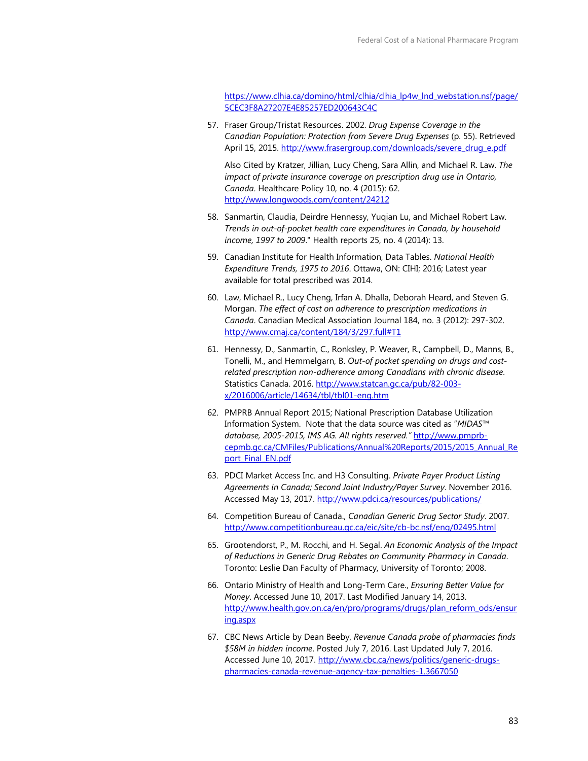[https://www.clhia.ca/domino/html/clhia/clhia\\_lp4w\\_lnd\\_webstation.nsf/page/](https://www.clhia.ca/domino/html/clhia/clhia_lp4w_lnd_webstation.nsf/page/5CEC3F8A27207E4E85257ED200643C4C) [5CEC3F8A27207E4E85257ED200643C4C](https://www.clhia.ca/domino/html/clhia/clhia_lp4w_lnd_webstation.nsf/page/5CEC3F8A27207E4E85257ED200643C4C) 

57. Fraser Group/Tristat Resources. 2002. *Drug Expense Coverage in the Canadian Population: Protection from Severe Drug Expenses* (p. 55). Retrieved April 15, 2015. http://www.frasergroup.com/downloads/severe\_drug\_e.pdf

Also Cited by Kratzer, Jillian, Lucy Cheng, Sara Allin, and Michael R. Law. *The impact of private insurance coverage on prescription drug use in Ontario, Canada*. Healthcare Policy 10, no. 4 (2015): 62. <http://www.longwoods.com/content/24212>

- 58. Sanmartin, Claudia, Deirdre Hennessy, Yuqian Lu, and Michael Robert Law. *Trends in out-of-pocket health care expenditures in Canada, by household income, 1997 to 2009*." Health reports 25, no. 4 (2014): 13.
- 59. Canadian Institute for Health Information, Data Tables. *National Health Expenditure Trends, 1975 to 2016*. Ottawa, ON: CIHI; 2016; Latest year available for total prescribed was 2014.
- 60. Law, Michael R., Lucy Cheng, Irfan A. Dhalla, Deborah Heard, and Steven G. Morgan. *The effect of cost on adherence to prescription medications in Canada*. Canadian Medical Association Journal 184, no. 3 (2012): 297-302. [http://www.cmaj.ca/content/184/3/297.full#T1](http://www.cmaj.ca/content/184/3/297.full%23T1)
- 61. Hennessy, D., Sanmartin, C., Ronksley, P. Weaver, R., Campbell, D., Manns, B., Tonelli, M., and Hemmelgarn, B. *Out-of pocket spending on drugs and costrelated prescription non-adherence among Canadians with chronic disease*. Statistics Canada. 2016. [http://www.statcan.gc.ca/pub/82-003](http://www.statcan.gc.ca/pub/82-003-x/2016006/article/14634/tbl/tbl01-eng.htm) [x/2016006/article/14634/tbl/tbl01-eng.htm](http://www.statcan.gc.ca/pub/82-003-x/2016006/article/14634/tbl/tbl01-eng.htm)
- 62. PMPRB Annual Report 2015; National Prescription Database Utilization Information System. Note that the data source was cited as "*MIDAS™ database, 2005-2015, IMS AG. All rights reserved."* [http://www.pmprb](http://www.pmprb-cepmb.gc.ca/CMFiles/Publications/Annual%20Reports/2015/2015_Annual_Report_Final_EN.pdf)[cepmb.gc.ca/CMFiles/Publications/Annual%20Reports/2015/2015\\_Annual\\_Re](http://www.pmprb-cepmb.gc.ca/CMFiles/Publications/Annual%20Reports/2015/2015_Annual_Report_Final_EN.pdf) port\_Final\_EN.pdf
- 63. PDCI Market Access Inc. and H3 Consulting. *Private Payer Product Listing Agreements in Canada; Second Joint Industry/Payer Survey*. November 2016. Accessed May 13, 2017.<http://www.pdci.ca/resources/publications/>
- 64. Competition Bureau of Canada., *Canadian Generic Drug Sector Study*. 2007. <http://www.competitionbureau.gc.ca/eic/site/cb-bc.nsf/eng/02495.html>
- 65. Grootendorst, P., M. Rocchi, and H. Segal. *An Economic Analysis of the Impact of Reductions in Generic Drug Rebates on Community Pharmacy in Canada*. Toronto: Leslie Dan Faculty of Pharmacy, University of Toronto; 2008.
- 66. Ontario Ministry of Health and Long-Term Care., *Ensuring Better Value for Money*. Accessed June 10, 2017. Last Modified January 14, 2013. [http://www.health.gov.on.ca/en/pro/programs/drugs/plan\\_reform\\_ods/ensur](http://www.health.gov.on.ca/en/pro/programs/drugs/plan_reform_ods/ensuring.aspx) [ing.aspx](http://www.health.gov.on.ca/en/pro/programs/drugs/plan_reform_ods/ensuring.aspx)
- 67. CBC News Article by Dean Beeby, *Revenue Canada probe of pharmacies finds \$58M in hidden income*. Posted July 7, 2016. Last Updated July 7, 2016. Accessed June 10, 2017. [http://www.cbc.ca/news/politics/generic-drugs](http://www.cbc.ca/news/politics/generic-drugs-pharmacies-canada-revenue-agency-tax-penalties-1.3667050)[pharmacies-canada-revenue-agency-tax-penalties-1.3667050](http://www.cbc.ca/news/politics/generic-drugs-pharmacies-canada-revenue-agency-tax-penalties-1.3667050)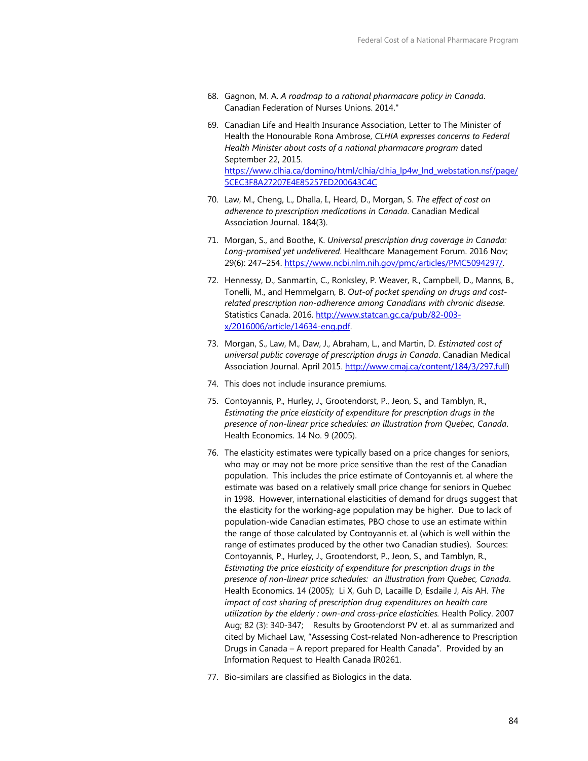- 68. Gagnon, M. A. *A roadmap to a rational pharmacare policy in Canada*. Canadian Federation of Nurses Unions. 2014."
- 69. Canadian Life and Health Insurance Association, Letter to The Minister of Health the Honourable Rona Ambrose, *CLHIA expresses concerns to Federal Health Minister about costs of a national pharmacare program* dated September 22, 2015. [https://www.clhia.ca/domino/html/clhia/clhia\\_lp4w\\_lnd\\_webstation.nsf/page/](https://www.clhia.ca/domino/html/clhia/clhia_lp4w_lnd_webstation.nsf/page/5CEC3F8A27207E4E85257ED200643C4C) [5CEC3F8A27207E4E85257ED200643C4C](https://www.clhia.ca/domino/html/clhia/clhia_lp4w_lnd_webstation.nsf/page/5CEC3F8A27207E4E85257ED200643C4C)
- 70. Law, M., Cheng, L., Dhalla, I., Heard, D., Morgan, S. *The effect of cost on adherence to prescription medications in Canada*. Canadian Medical Association Journal. 184(3).
- 71. Morgan, S., and Boothe, K. *Universal prescription drug coverage in Canada: Long-promised yet undelivered*. Healthcare Management Forum. 2016 Nov; 29(6): 247-254. https://www.ncbi.nlm.nih.gov/pmc/articles/PMC5094297/.
- 72. Hennessy, D., Sanmartin, C., Ronksley, P. Weaver, R., Campbell, D., Manns, B., Tonelli, M., and Hemmelgarn, B. *Out-of pocket spending on drugs and costrelated prescription non-adherence among Canadians with chronic disease*. Statistics Canada. 2016. [http://www.statcan.gc.ca/pub/82-003](http://www.statcan.gc.ca/pub/82-003-x/2016006/article/14634-eng.pdf) [x/2016006/article/14634-eng.pdf.](http://www.statcan.gc.ca/pub/82-003-x/2016006/article/14634-eng.pdf)
- 73. Morgan, S., Law, M., Daw, J., Abraham, L., and Martin, D. *Estimated cost of universal public coverage of prescription drugs in Canada*. Canadian Medical Association Journal. April 2015[. http://www.cmaj.ca/content/184/3/297.full\)](http://www.cmaj.ca/content/184/3/297.full)
- 74. This does not include insurance premiums.
- 75. Contoyannis, P., Hurley, J., Grootendorst, P., Jeon, S., and Tamblyn, R., *Estimating the price elasticity of expenditure for prescription drugs in the presence of non-linear price schedules: an illustration from Quebec, Canada*. Health Economics. 14 No. 9 (2005).
- 76. The elasticity estimates were typically based on a price changes for seniors, who may or may not be more price sensitive than the rest of the Canadian population. This includes the price estimate of Contoyannis et. al where the estimate was based on a relatively small price change for seniors in Quebec in 1998. However, international elasticities of demand for drugs suggest that the elasticity for the working-age population may be higher. Due to lack of population-wide Canadian estimates, PBO chose to use an estimate within the range of those calculated by Contoyannis et. al (which is well within the range of estimates produced by the other two Canadian studies). Sources: Contoyannis, P., Hurley, J., Grootendorst, P., Jeon, S., and Tamblyn, R., *Estimating the price elasticity of expenditure for prescription drugs in the presence of non-linear price schedules: an illustration from Quebec, Canada*. Health Economics. 14 (2005); Li X, Guh D, Lacaille D, Esdaile J, Ais AH. *The impact of cost sharing of prescription drug expenditures on health care utilization by the elderly : own-and cross-price elasticities.* Health Policy. 2007 Aug; 82 (3): 340-347; Results by Grootendorst PV et. al as summarized and cited by Michael Law, "Assessing Cost-related Non-adherence to Prescription Drugs in Canada – A report prepared for Health Canada". Provided by an Information Request to Health Canada IR0261.
- 77. Bio-similars are classified as Biologics in the data.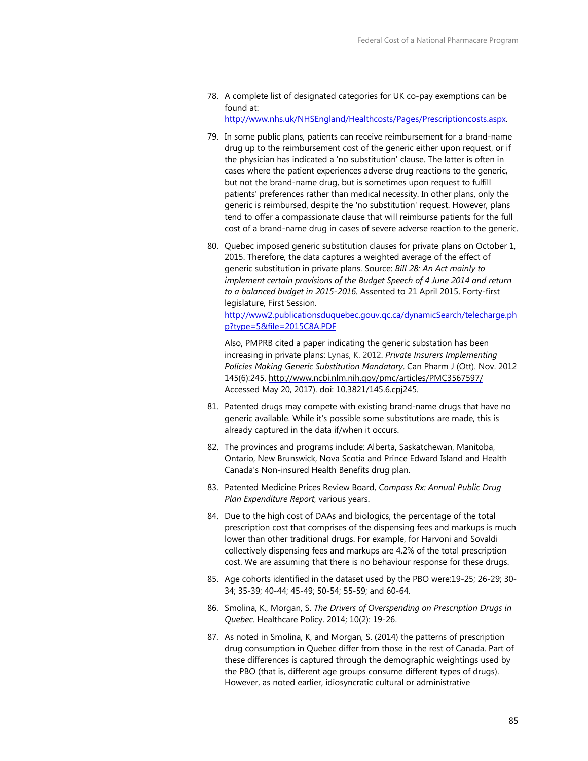- 78. A complete list of designated categories for UK co-pay exemptions can be found at: [http://www.nhs.uk/NHSEngland/Healthcosts/Pages/Prescriptioncosts.aspx.](http://www.nhs.uk/NHSEngland/Healthcosts/Pages/Prescriptioncosts.aspx)
- 79. In some public plans, patients can receive reimbursement for a brand-name drug up to the reimbursement cost of the generic either upon request, or if the physician has indicated a 'no substitution' clause. The latter is often in cases where the patient experiences adverse drug reactions to the generic, but not the brand-name drug, but is sometimes upon request to fulfill patients' preferences rather than medical necessity. In other plans, only the generic is reimbursed, despite the 'no substitution' request. However, plans tend to offer a compassionate clause that will reimburse patients for the full cost of a brand-name drug in cases of severe adverse reaction to the generic.
- 80. Quebec imposed generic substitution clauses for private plans on October 1, 2015. Therefore, the data captures a weighted average of the effect of generic substitution in private plans. Source: *Bill 28: An Act mainly to implement certain provisions of the Budget Speech of 4 June 2014 and return to a balanced budget in 2015-2016.* Assented to 21 April 2015. Forty-first legislature, First Session.

[http://www2.publicationsduquebec.gouv.qc.ca/dynamicSearch/telecharge.ph](http://www2.publicationsduquebec.gouv.qc.ca/dynamicSearch/telecharge.php?type=5&file=2015C8A.PDF) [p?type=5&file=2015C8A.PDF](http://www2.publicationsduquebec.gouv.qc.ca/dynamicSearch/telecharge.php?type=5&file=2015C8A.PDF) 

Also, PMPRB cited a paper indicating the generic substation has been increasing in private plans: Lynas, K. 2012. *Private Insurers Implementing Policies Making Generic Substitution Mandatory*. Can Pharm J (Ott). Nov. 2012 145(6):245. <http://www.ncbi.nlm.nih.gov/pmc/articles/PMC3567597/> Accessed May 20, 2017). doi: 10.3821/145.6.cpj245.

- 81. Patented drugs may compete with existing brand-name drugs that have no generic available. While it's possible some substitutions are made, this is already captured in the data if/when it occurs.
- 82. The provinces and programs include: Alberta, Saskatchewan, Manitoba, Ontario, New Brunswick, Nova Scotia and Prince Edward Island and Health Canada's Non-insured Health Benefits drug plan.
- 83. Patented Medicine Prices Review Board, *Compass Rx: Annual Public Drug Plan Expenditure Report*, various years.
- 84. Due to the high cost of DAAs and biologics, the percentage of the total prescription cost that comprises of the dispensing fees and markups is much lower than other traditional drugs. For example, for Harvoni and Sovaldi collectively dispensing fees and markups are 4.2% of the total prescription cost. We are assuming that there is no behaviour response for these drugs.
- 85. Age cohorts identified in the dataset used by the PBO were:19-25; 26-29; 30- 34; 35-39; 40-44; 45-49; 50-54; 55-59; and 60-64.
- 86. Smolina, K., Morgan, S. *The Drivers of Overspending on Prescription Drugs in Quebec*. Healthcare Policy. 2014; 10(2): 19-26.
- 87. As noted in Smolina, K, and Morgan, S. (2014) the patterns of prescription drug consumption in Quebec differ from those in the rest of Canada. Part of these differences is captured through the demographic weightings used by the PBO (that is, different age groups consume different types of drugs). However, as noted earlier, idiosyncratic cultural or administrative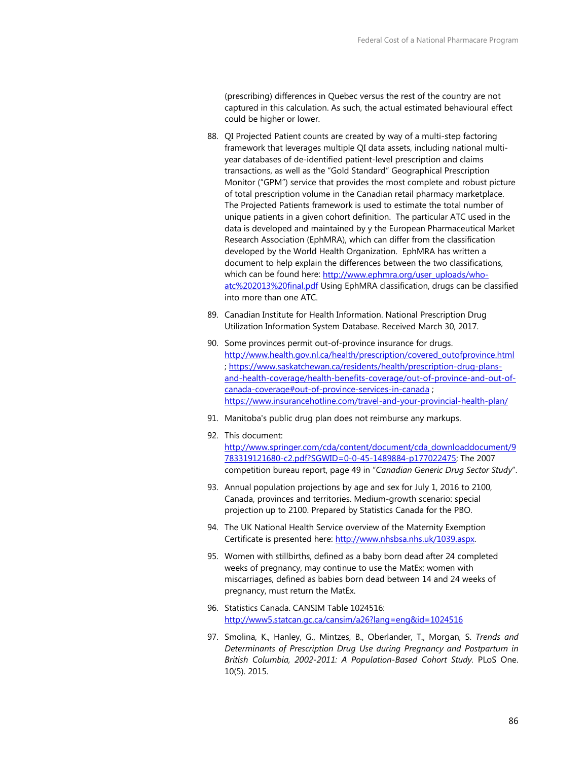(prescribing) differences in Quebec versus the rest of the country are not captured in this calculation. As such, the actual estimated behavioural effect could be higher or lower.

- 88. QI Projected Patient counts are created by way of a multi-step factoring framework that leverages multiple QI data assets, including national multiyear databases of de-identified patient-level prescription and claims transactions, as well as the "Gold Standard" Geographical Prescription Monitor ("GPM") service that provides the most complete and robust picture of total prescription volume in the Canadian retail pharmacy marketplace. The Projected Patients framework is used to estimate the total number of unique patients in a given cohort definition. The particular ATC used in the data is developed and maintained by y the European Pharmaceutical Market Research Association (EphMRA), which can differ from the classification developed by the World Health Organization. EphMRA has written a document to help explain the differences between the two classifications, which can be found here: [http://www.ephmra.org/user\\_uploads/who](http://www.ephmra.org/user_uploads/who-atc%202013%20final.pdf)[atc%202013%20final.pdf](http://www.ephmra.org/user_uploads/who-atc%202013%20final.pdf) Using EphMRA classification, drugs can be classified into more than one ATC.
- 89. Canadian Institute for Health Information. National Prescription Drug Utilization Information System Database. Received March 30, 2017.
- 90. Some provinces permit out-of-province insurance for drugs. [http://www.health.gov.nl.ca/health/prescription/covered\\_outofprovince.html](http://www.health.gov.nl.ca/health/prescription/covered_outofprovince.html) ; [https://www.saskatchewan.ca/residents/health/prescription-drug-plans](https://www.saskatchewan.ca/residents/health/prescription-drug-plans-and-health-coverage/health-benefits-coverage/out-of-province-and-out-of-canada-coverage#out-of-province-services-in-canada)[and-health-coverage/health-benefits-coverage/out-of-province-and-out-of](https://www.saskatchewan.ca/residents/health/prescription-drug-plans-and-health-coverage/health-benefits-coverage/out-of-province-and-out-of-canada-coverage#out-of-province-services-in-canada)[canada-coverage#out-of-province-services-in-canada](https://www.saskatchewan.ca/residents/health/prescription-drug-plans-and-health-coverage/health-benefits-coverage/out-of-province-and-out-of-canada-coverage#out-of-province-services-in-canada) ; <https://www.insurancehotline.com/travel-and-your-provincial-health-plan/>
- 91. Manitoba's public drug plan does not reimburse any markups.
- 92. This document: [http://www.springer.com/cda/content/document/cda\\_downloaddocument/9](http://www.springer.com/cda/content/document/cda_downloaddocument/9783319121680-c2.pdf?SGWID=0-0-45-1489884-p177022475) [783319121680-c2.pdf?SGWID=0-0-45-1489884-p177022475;](http://www.springer.com/cda/content/document/cda_downloaddocument/9783319121680-c2.pdf?SGWID=0-0-45-1489884-p177022475) The 2007 competition bureau report, page 49 in "*Canadian Generic Drug Sector Study*".
- 93. Annual population projections by age and sex for July 1, 2016 to 2100, Canada, provinces and territories. Medium-growth scenario: special projection up to 2100. Prepared by Statistics Canada for the PBO.
- 94. The UK National Health Service overview of the Maternity Exemption Certificate is presented here: [http://www.nhsbsa.nhs.uk/1039.aspx.](http://www.nhsbsa.nhs.uk/1039.aspx)
- 95. Women with stillbirths, defined as a baby born dead after 24 completed weeks of pregnancy, may continue to use the MatEx; women with miscarriages, defined as babies born dead between 14 and 24 weeks of pregnancy, must return the MatEx.
- 96. Statistics Canada. CANSIM Table 1024516: <http://www5.statcan.gc.ca/cansim/a26?lang=eng&id=1024516>
- 97. Smolina, K., Hanley, G., Mintzes, B., Oberlander, T., Morgan, S. *Trends and Determinants of Prescription Drug Use during Pregnancy and Postpartum in British Columbia, 2002-2011: A Population-Based Cohort Study.* PLoS One. 10(5). 2015.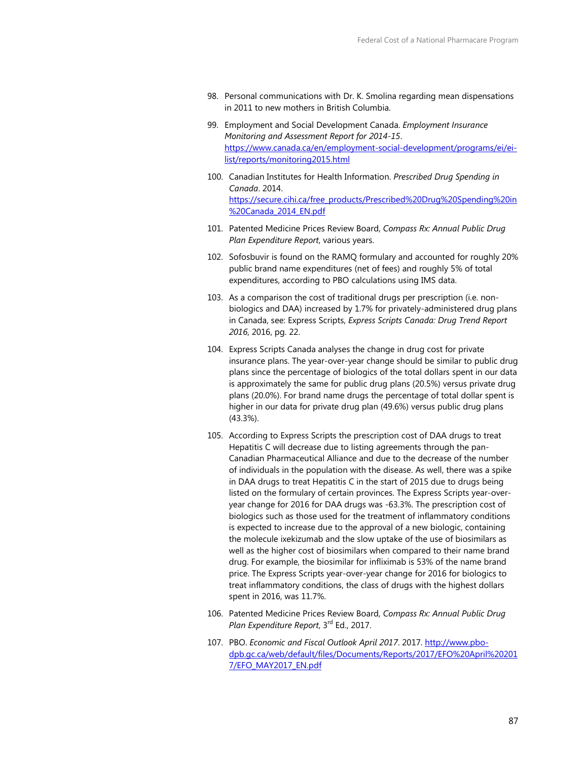- 98. Personal communications with Dr. K. Smolina regarding mean dispensations in 2011 to new mothers in British Columbia.
- 99. Employment and Social Development Canada. *Employment Insurance Monitoring and Assessment Report for 2014-15*. [https://www.canada.ca/en/employment-social-development/programs/ei/ei](https://www.canada.ca/en/employment-social-development/programs/ei/ei-list/reports/monitoring2015.html)[list/reports/monitoring2015.html](https://www.canada.ca/en/employment-social-development/programs/ei/ei-list/reports/monitoring2015.html)
- 100. Canadian Institutes for Health Information. *Prescribed Drug Spending in Canada*. 2014. [https://secure.cihi.ca/free\\_products/Prescribed%20Drug%20Spending%20in](https://secure.cihi.ca/free_products/Prescribed%20Drug%20Spending%20in%20Canada_2014_EN.pdf) [%20Canada\\_2014\\_EN.pdf](https://secure.cihi.ca/free_products/Prescribed%20Drug%20Spending%20in%20Canada_2014_EN.pdf)
- 101. Patented Medicine Prices Review Board, *Compass Rx: Annual Public Drug Plan Expenditure Report*, various years.
- 102. Sofosbuvir is found on the RAMQ formulary and accounted for roughly 20% public brand name expenditures (net of fees) and roughly 5% of total expenditures, according to PBO calculations using IMS data.
- 103. As a comparison the cost of traditional drugs per prescription (i.e. nonbiologics and DAA) increased by 1.7% for privately-administered drug plans in Canada, see: Express Scripts, *Express Scripts Canada: Drug Trend Report 2016*, 2016, pg. 22.
- 104. Express Scripts Canada analyses the change in drug cost for private insurance plans. The year-over-year change should be similar to public drug plans since the percentage of biologics of the total dollars spent in our data is approximately the same for public drug plans (20.5%) versus private drug plans (20.0%). For brand name drugs the percentage of total dollar spent is higher in our data for private drug plan (49.6%) versus public drug plans (43.3%).
- 105. According to Express Scripts the prescription cost of DAA drugs to treat Hepatitis C will decrease due to listing agreements through the pan-Canadian Pharmaceutical Alliance and due to the decrease of the number of individuals in the population with the disease. As well, there was a spike in DAA drugs to treat Hepatitis C in the start of 2015 due to drugs being listed on the formulary of certain provinces. The Express Scripts year-overyear change for 2016 for DAA drugs was -63.3%. The prescription cost of biologics such as those used for the treatment of inflammatory conditions is expected to increase due to the approval of a new biologic, containing the molecule ixekizumab and the slow uptake of the use of biosimilars as well as the higher cost of biosimilars when compared to their name brand drug. For example, the biosimilar for infliximab is 53% of the name brand price. The Express Scripts year-over-year change for 2016 for biologics to treat inflammatory conditions, the class of drugs with the highest dollars spent in 2016, was 11.7%.
- 106. Patented Medicine Prices Review Board, *Compass Rx: Annual Public Drug Plan Expenditure Report*, 3rd Ed., 2017.
- 107. PBO. *Economic and Fiscal Outlook April 2017*. 2017[. http://www.pbo](http://www.pbo-dpb.gc.ca/web/default/files/Documents/Reports/2017/EFO%20April%202017/EFO_MAY2017_EN.pdf)[dpb.gc.ca/web/default/files/Documents/Reports/2017/EFO%20April%20201](http://www.pbo-dpb.gc.ca/web/default/files/Documents/Reports/2017/EFO%20April%202017/EFO_MAY2017_EN.pdf) [7/EFO\\_MAY2017\\_EN.pdf](http://www.pbo-dpb.gc.ca/web/default/files/Documents/Reports/2017/EFO%20April%202017/EFO_MAY2017_EN.pdf)